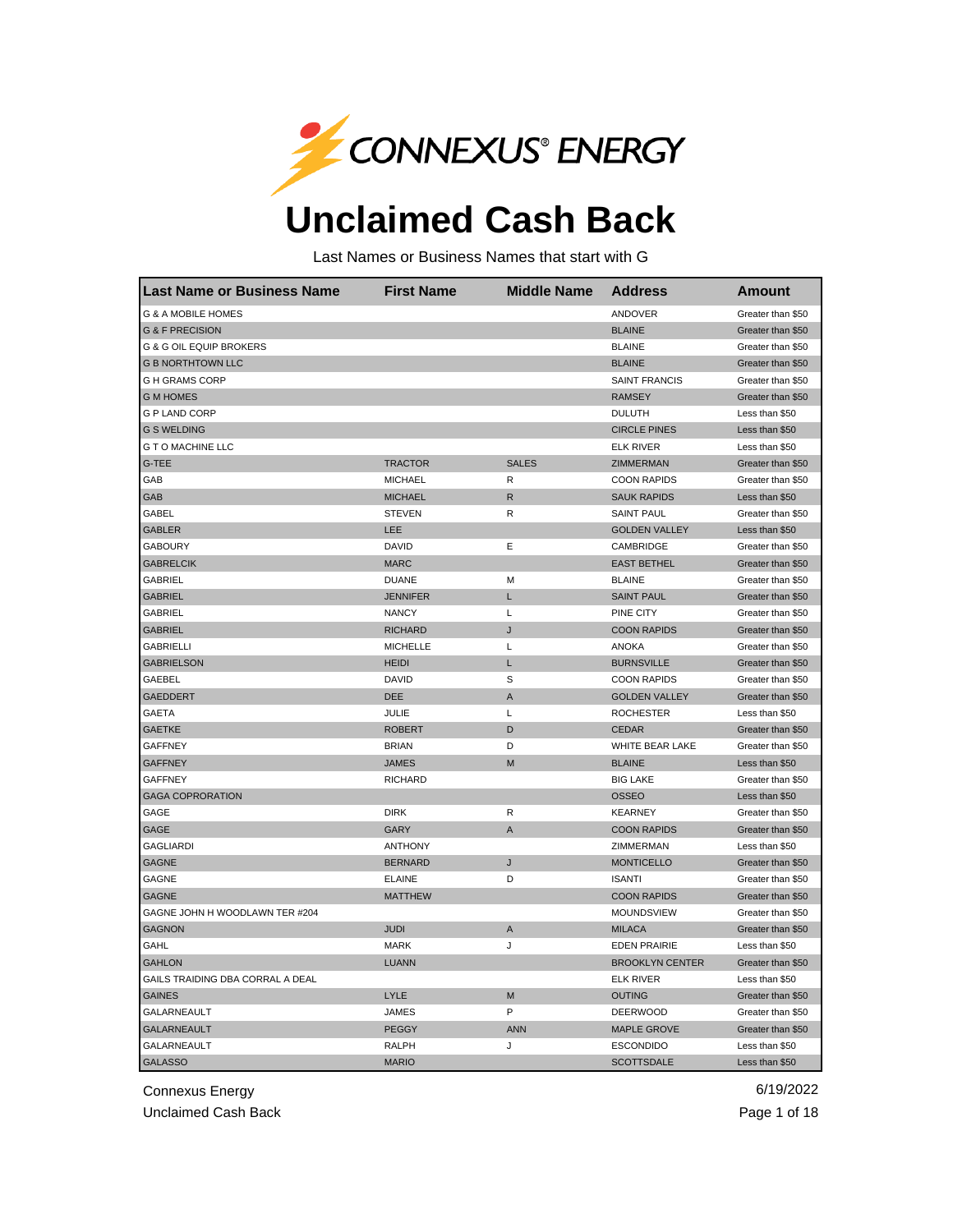

## **Unclaimed Cash Back**

Last Names or Business Names that start with G

| lLast Name or Business Name        | <b>First Name</b> | <b>Middle Name</b> | <b>Address</b>         | <b>Amount</b>     |
|------------------------------------|-------------------|--------------------|------------------------|-------------------|
| <b>G &amp; A MOBILE HOMES</b>      |                   |                    | <b>ANDOVER</b>         | Greater than \$50 |
| <b>G &amp; F PRECISION</b>         |                   |                    | <b>BLAINE</b>          | Greater than \$50 |
| <b>G &amp; G OIL EQUIP BROKERS</b> |                   |                    | <b>BLAINE</b>          | Greater than \$50 |
| <b>G B NORTHTOWN LLC</b>           |                   |                    | <b>BLAINE</b>          | Greater than \$50 |
| <b>GH GRAMS CORP</b>               |                   |                    | <b>SAINT FRANCIS</b>   | Greater than \$50 |
| <b>G M HOMES</b>                   |                   |                    | <b>RAMSEY</b>          | Greater than \$50 |
| <b>G P LAND CORP</b>               |                   |                    | <b>DULUTH</b>          | Less than \$50    |
| <b>G S WELDING</b>                 |                   |                    | <b>CIRCLE PINES</b>    | Less than \$50    |
| <b>G T O MACHINE LLC</b>           |                   |                    | <b>ELK RIVER</b>       | Less than \$50    |
| G-TEE                              | <b>TRACTOR</b>    | <b>SALES</b>       | ZIMMERMAN              | Greater than \$50 |
| GAB                                | <b>MICHAEL</b>    | R                  | <b>COON RAPIDS</b>     | Greater than \$50 |
| GAB                                | <b>MICHAEL</b>    | R                  | <b>SAUK RAPIDS</b>     | Less than \$50    |
| GABEL                              | <b>STEVEN</b>     | R                  | <b>SAINT PAUL</b>      | Greater than \$50 |
| <b>GABLER</b>                      | LEE               |                    | <b>GOLDEN VALLEY</b>   | Less than \$50    |
| <b>GABOURY</b>                     | <b>DAVID</b>      | Ε                  | CAMBRIDGE              | Greater than \$50 |
| <b>GABRELCIK</b>                   | <b>MARC</b>       |                    | <b>EAST BETHEL</b>     | Greater than \$50 |
| GABRIEL                            | <b>DUANE</b>      | М                  | <b>BLAINE</b>          | Greater than \$50 |
| <b>GABRIEL</b>                     | <b>JENNIFER</b>   | L                  | <b>SAINT PAUL</b>      | Greater than \$50 |
| <b>GABRIEL</b>                     | <b>NANCY</b>      | Г                  | PINE CITY              | Greater than \$50 |
| <b>GABRIEL</b>                     | <b>RICHARD</b>    | J                  | <b>COON RAPIDS</b>     | Greater than \$50 |
| <b>GABRIELLI</b>                   | <b>MICHELLE</b>   | L                  | <b>ANOKA</b>           | Greater than \$50 |
| <b>GABRIELSON</b>                  | <b>HEIDI</b>      | Г                  | <b>BURNSVILLE</b>      | Greater than \$50 |
| GAEBEL                             | DAVID             | S                  | <b>COON RAPIDS</b>     | Greater than \$50 |
| <b>GAEDDERT</b>                    | <b>DEE</b>        | A                  | <b>GOLDEN VALLEY</b>   | Greater than \$50 |
| GAETA                              | JULIE             | L                  | <b>ROCHESTER</b>       | Less than \$50    |
| <b>GAETKE</b>                      | <b>ROBERT</b>     | D                  | <b>CEDAR</b>           | Greater than \$50 |
| <b>GAFFNEY</b>                     | <b>BRIAN</b>      | D                  | WHITE BEAR LAKE        | Greater than \$50 |
| <b>GAFFNEY</b>                     | <b>JAMES</b>      | M                  | <b>BLAINE</b>          | Less than \$50    |
| <b>GAFFNEY</b>                     | <b>RICHARD</b>    |                    | <b>BIG LAKE</b>        | Greater than \$50 |
| <b>GAGA COPRORATION</b>            |                   |                    | <b>OSSEO</b>           | Less than \$50    |
| GAGE                               | <b>DIRK</b>       | R                  | <b>KEARNEY</b>         | Greater than \$50 |
| GAGE                               | <b>GARY</b>       | A                  | <b>COON RAPIDS</b>     | Greater than \$50 |
| <b>GAGLIARDI</b>                   | <b>ANTHONY</b>    |                    | ZIMMERMAN              | Less than \$50    |
| <b>GAGNE</b>                       | <b>BERNARD</b>    | J                  | <b>MONTICELLO</b>      | Greater than \$50 |
| <b>GAGNE</b>                       | <b>ELAINE</b>     | D                  | <b>ISANTI</b>          | Greater than \$50 |
| <b>GAGNE</b>                       | <b>MATTHEW</b>    |                    | <b>COON RAPIDS</b>     | Greater than \$50 |
| GAGNE JOHN H WOODLAWN TER #204     |                   |                    | <b>MOUNDSVIEW</b>      | Greater than \$50 |
| <b>GAGNON</b>                      | <b>JUDI</b>       | A                  | <b>MILACA</b>          | Greater than \$50 |
| GAHL                               | <b>MARK</b>       | J                  | <b>EDEN PRAIRIE</b>    | Less than \$50    |
| <b>GAHLON</b>                      | <b>LUANN</b>      |                    | <b>BROOKLYN CENTER</b> | Greater than \$50 |
| GAILS TRAIDING DBA CORRAL A DEAL   |                   |                    | <b>ELK RIVER</b>       | Less than \$50    |
| <b>GAINES</b>                      | LYLE              | M                  | <b>OUTING</b>          | Greater than \$50 |
| GALARNEAULT                        | <b>JAMES</b>      | P                  | <b>DEERWOOD</b>        | Greater than \$50 |
| <b>GALARNEAULT</b>                 | <b>PEGGY</b>      | <b>ANN</b>         | <b>MAPLE GROVE</b>     | Greater than \$50 |
| <b>GALARNEAULT</b>                 | <b>RALPH</b>      | J                  | <b>ESCONDIDO</b>       | Less than \$50    |
| <b>GALASSO</b>                     | <b>MARIO</b>      |                    | <b>SCOTTSDALE</b>      | Less than \$50    |

Connexus Energy 6/19/2022

Unclaimed Cash Back **Page 1 of 18**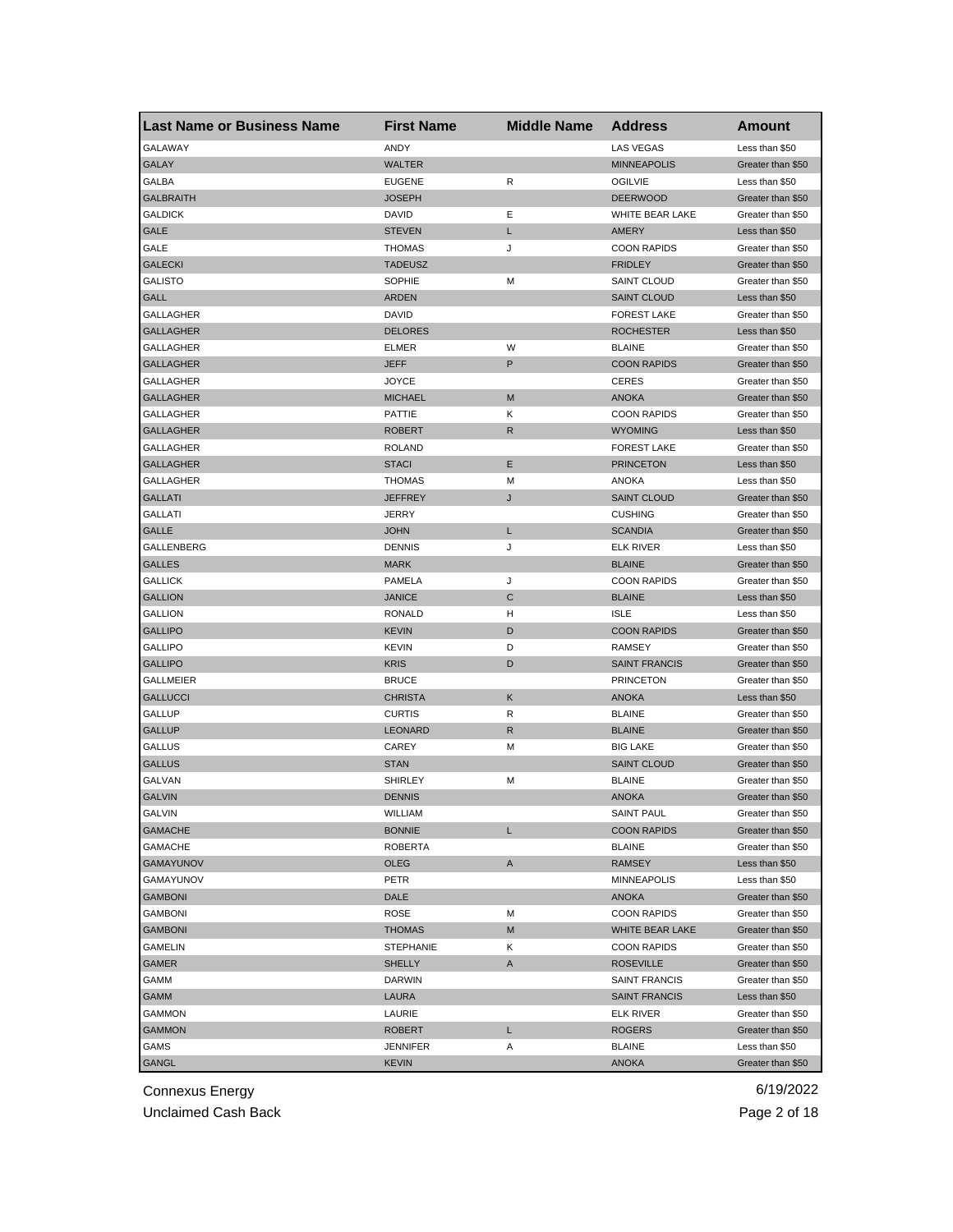| <b>Last Name or Business Name</b> | <b>First Name</b> | <b>Middle Name</b> | <b>Address</b>       | Amount            |
|-----------------------------------|-------------------|--------------------|----------------------|-------------------|
| <b>GALAWAY</b>                    | ANDY              |                    | <b>LAS VEGAS</b>     | Less than \$50    |
| <b>GALAY</b>                      | <b>WALTER</b>     |                    | <b>MINNEAPOLIS</b>   | Greater than \$50 |
| GALBA                             | <b>EUGENE</b>     | R                  | <b>OGILVIE</b>       | Less than \$50    |
| <b>GALBRAITH</b>                  | <b>JOSEPH</b>     |                    | <b>DEERWOOD</b>      | Greater than \$50 |
| <b>GALDICK</b>                    | <b>DAVID</b>      | Ε                  | WHITE BEAR LAKE      | Greater than \$50 |
| <b>GALE</b>                       | <b>STEVEN</b>     | L                  | AMERY                | Less than \$50    |
| GALE                              | <b>THOMAS</b>     | J                  | <b>COON RAPIDS</b>   | Greater than \$50 |
| <b>GALECKI</b>                    | <b>TADEUSZ</b>    |                    | <b>FRIDLEY</b>       | Greater than \$50 |
| <b>GALISTO</b>                    | <b>SOPHIE</b>     | М                  | SAINT CLOUD          | Greater than \$50 |
| GALL                              | <b>ARDEN</b>      |                    | <b>SAINT CLOUD</b>   | Less than \$50    |
| GALLAGHER                         | DAVID             |                    | <b>FOREST LAKE</b>   | Greater than \$50 |
| <b>GALLAGHER</b>                  | <b>DELORES</b>    |                    | <b>ROCHESTER</b>     | Less than \$50    |
| GALLAGHER                         | <b>ELMER</b>      | W                  | <b>BLAINE</b>        | Greater than \$50 |
| <b>GALLAGHER</b>                  | <b>JEFF</b>       | P                  | <b>COON RAPIDS</b>   | Greater than \$50 |
| GALLAGHER                         | <b>JOYCE</b>      |                    | <b>CERES</b>         | Greater than \$50 |
| <b>GALLAGHER</b>                  | <b>MICHAEL</b>    | M                  | <b>ANOKA</b>         | Greater than \$50 |
| GALLAGHER                         | <b>PATTIE</b>     | κ                  | <b>COON RAPIDS</b>   | Greater than \$50 |
| <b>GALLAGHER</b>                  | <b>ROBERT</b>     | R                  | <b>WYOMING</b>       | Less than \$50    |
| GALLAGHER                         | <b>ROLAND</b>     |                    | <b>FOREST LAKE</b>   | Greater than \$50 |
| <b>GALLAGHER</b>                  | <b>STACI</b>      | Ε                  | <b>PRINCETON</b>     | Less than \$50    |
| GALLAGHER                         | <b>THOMAS</b>     | M                  | <b>ANOKA</b>         | Less than \$50    |
| <b>GALLATI</b>                    | <b>JEFFREY</b>    | J                  | <b>SAINT CLOUD</b>   | Greater than \$50 |
| GALLATI                           | <b>JERRY</b>      |                    | <b>CUSHING</b>       | Greater than \$50 |
| <b>GALLE</b>                      | <b>JOHN</b>       | L                  | <b>SCANDIA</b>       | Greater than \$50 |
| GALLENBERG                        | <b>DENNIS</b>     | J                  | <b>ELK RIVER</b>     | Less than \$50    |
| <b>GALLES</b>                     | <b>MARK</b>       |                    | <b>BLAINE</b>        | Greater than \$50 |
| <b>GALLICK</b>                    | PAMELA            | J                  | <b>COON RAPIDS</b>   | Greater than \$50 |
| <b>GALLION</b>                    | <b>JANICE</b>     | С                  | <b>BLAINE</b>        | Less than \$50    |
| <b>GALLION</b>                    | <b>RONALD</b>     | н                  | <b>ISLE</b>          | Less than \$50    |
| <b>GALLIPO</b>                    | KEVIN             | D                  | <b>COON RAPIDS</b>   | Greater than \$50 |
| <b>GALLIPO</b>                    | <b>KEVIN</b>      | D                  | <b>RAMSEY</b>        | Greater than \$50 |
| <b>GALLIPO</b>                    | <b>KRIS</b>       | D                  | <b>SAINT FRANCIS</b> | Greater than \$50 |
| <b>GALLMEIER</b>                  | <b>BRUCE</b>      |                    | <b>PRINCETON</b>     | Greater than \$50 |
| <b>GALLUCCI</b>                   | <b>CHRISTA</b>    | Κ                  | <b>ANOKA</b>         | Less than \$50    |
| <b>GALLUP</b>                     | <b>CURTIS</b>     | R                  | <b>BLAINE</b>        | Greater than \$50 |
| <b>GALLUP</b>                     | <b>LEONARD</b>    | R                  | <b>BLAINE</b>        | Greater than \$50 |
| <b>GALLUS</b>                     | CAREY             |                    | <b>BIG LAKE</b>      | Greater than \$50 |
|                                   |                   | М                  |                      |                   |
| <b>GALLUS</b><br><b>GALVAN</b>    | STAN              |                    | <b>SAINT CLOUD</b>   | Greater than \$50 |
| <b>GALVIN</b>                     | <b>SHIRLEY</b>    | М                  | <b>BLAINE</b>        | Greater than \$50 |
|                                   | <b>DENNIS</b>     |                    | <b>ANOKA</b>         | Greater than \$50 |
| GALVIN                            | WILLIAM           |                    | SAINT PAUL           | Greater than \$50 |
| <b>GAMACHE</b>                    | <b>BONNIE</b>     | L                  | <b>COON RAPIDS</b>   | Greater than \$50 |
| <b>GAMACHE</b>                    | <b>ROBERTA</b>    |                    | <b>BLAINE</b>        | Greater than \$50 |
| <b>GAMAYUNOV</b>                  | OLEG              | A                  | RAMSEY               | Less than \$50    |
| GAMAYUNOV                         | PETR              |                    | MINNEAPOLIS          | Less than \$50    |
| <b>GAMBONI</b>                    | DALE              |                    | ANOKA                | Greater than \$50 |
| <b>GAMBONI</b>                    | ROSE              | М                  | <b>COON RAPIDS</b>   | Greater than \$50 |
| <b>GAMBONI</b>                    | <b>THOMAS</b>     | M                  | WHITE BEAR LAKE      | Greater than \$50 |
| GAMELIN                           | <b>STEPHANIE</b>  | Κ                  | <b>COON RAPIDS</b>   | Greater than \$50 |
| <b>GAMER</b>                      | <b>SHELLY</b>     | A                  | <b>ROSEVILLE</b>     | Greater than \$50 |
| GAMM                              | <b>DARWIN</b>     |                    | SAINT FRANCIS        | Greater than \$50 |
| GAMM                              | LAURA             |                    | <b>SAINT FRANCIS</b> | Less than \$50    |
| GAMMON                            | LAURIE            |                    | ELK RIVER            | Greater than \$50 |
| <b>GAMMON</b>                     | ROBERT            | L                  | <b>ROGERS</b>        | Greater than \$50 |
| GAMS                              | JENNIFER          | Α                  | <b>BLAINE</b>        | Less than \$50    |
| <b>GANGL</b>                      | KEVIN             |                    | <b>ANOKA</b>         | Greater than \$50 |

Unclaimed Cash Back **Page 2 of 18**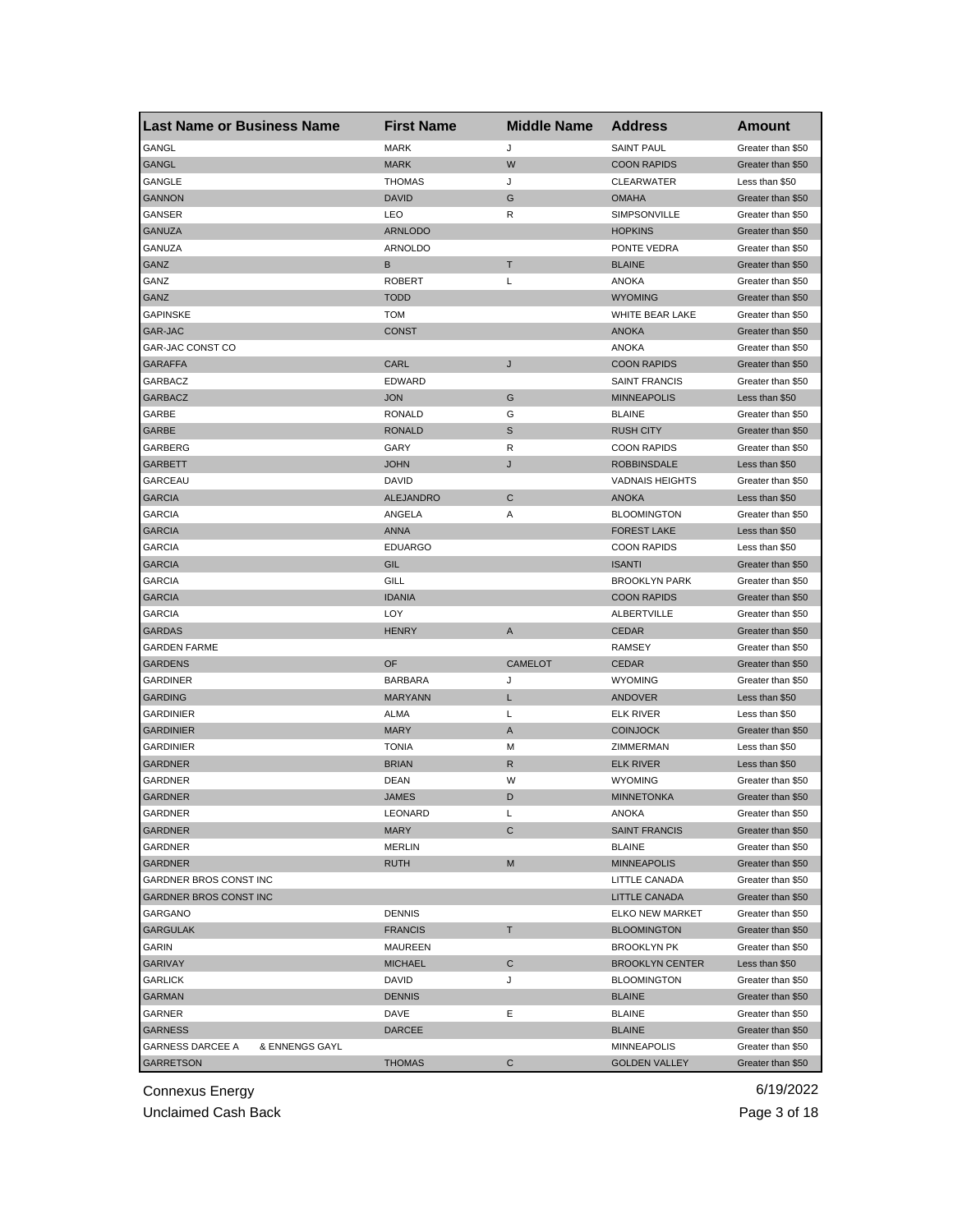| <b>Last Name or Business Name</b>         | <b>First Name</b> | <b>Middle Name</b> | <b>Address</b>         | <b>Amount</b>     |
|-------------------------------------------|-------------------|--------------------|------------------------|-------------------|
| GANGL                                     | <b>MARK</b>       | J                  | <b>SAINT PAUL</b>      | Greater than \$50 |
| <b>GANGL</b>                              | <b>MARK</b>       | W                  | <b>COON RAPIDS</b>     | Greater than \$50 |
| GANGLE                                    | <b>THOMAS</b>     | J                  | <b>CLEARWATER</b>      | Less than \$50    |
| <b>GANNON</b>                             | <b>DAVID</b>      | G                  | <b>OMAHA</b>           | Greater than \$50 |
| GANSER                                    | LEO               | R                  | SIMPSONVILLE           | Greater than \$50 |
| <b>GANUZA</b>                             | <b>ARNLODO</b>    |                    | <b>HOPKINS</b>         | Greater than \$50 |
| GANUZA                                    | <b>ARNOLDO</b>    |                    | PONTE VEDRA            | Greater than \$50 |
| GANZ                                      | В                 | Т                  | <b>BLAINE</b>          | Greater than \$50 |
| GANZ                                      | <b>ROBERT</b>     | Г                  | <b>ANOKA</b>           | Greater than \$50 |
| GANZ                                      | <b>TODD</b>       |                    | <b>WYOMING</b>         | Greater than \$50 |
| <b>GAPINSKE</b>                           | <b>TOM</b>        |                    | WHITE BEAR LAKE        | Greater than \$50 |
| <b>GAR-JAC</b>                            | <b>CONST</b>      |                    | <b>ANOKA</b>           | Greater than \$50 |
| GAR-JAC CONST CO                          |                   |                    | ANOKA                  | Greater than \$50 |
| <b>GARAFFA</b>                            | CARL              | J                  | <b>COON RAPIDS</b>     | Greater than \$50 |
| GARBACZ                                   | <b>EDWARD</b>     |                    | <b>SAINT FRANCIS</b>   | Greater than \$50 |
| <b>GARBACZ</b>                            | <b>JON</b>        | G                  | <b>MINNEAPOLIS</b>     | Less than \$50    |
| GARBE                                     | <b>RONALD</b>     | G                  | <b>BLAINE</b>          | Greater than \$50 |
| GARBE                                     | <b>RONALD</b>     | $\mathbb S$        | <b>RUSH CITY</b>       | Greater than \$50 |
| GARBERG                                   | GARY              | R                  | <b>COON RAPIDS</b>     | Greater than \$50 |
| <b>GARBETT</b>                            | <b>JOHN</b>       | J                  | <b>ROBBINSDALE</b>     | Less than \$50    |
| GARCEAU                                   | DAVID             |                    | <b>VADNAIS HEIGHTS</b> | Greater than \$50 |
| <b>GARCIA</b>                             | <b>ALEJANDRO</b>  | C                  | <b>ANOKA</b>           | Less than \$50    |
| <b>GARCIA</b>                             | ANGELA            | Α                  | <b>BLOOMINGTON</b>     | Greater than \$50 |
| <b>GARCIA</b>                             | <b>ANNA</b>       |                    | <b>FOREST LAKE</b>     | Less than \$50    |
| <b>GARCIA</b>                             | <b>EDUARGO</b>    |                    | <b>COON RAPIDS</b>     | Less than \$50    |
| <b>GARCIA</b>                             | GIL               |                    | <b>ISANTI</b>          | Greater than \$50 |
| <b>GARCIA</b>                             | GILL              |                    | <b>BROOKLYN PARK</b>   | Greater than \$50 |
| <b>GARCIA</b>                             | <b>IDANIA</b>     |                    | <b>COON RAPIDS</b>     | Greater than \$50 |
| <b>GARCIA</b>                             | LOY               |                    | ALBERTVILLE            | Greater than \$50 |
| <b>GARDAS</b>                             | <b>HENRY</b>      | A                  | <b>CEDAR</b>           | Greater than \$50 |
| <b>GARDEN FARME</b>                       |                   |                    | <b>RAMSEY</b>          | Greater than \$50 |
| <b>GARDENS</b>                            | OF                | <b>CAMELOT</b>     | <b>CEDAR</b>           | Greater than \$50 |
| <b>GARDINER</b>                           | <b>BARBARA</b>    | J                  | <b>WYOMING</b>         | Greater than \$50 |
| <b>GARDING</b>                            | <b>MARYANN</b>    | L                  | ANDOVER                | Less than \$50    |
| <b>GARDINIER</b>                          | <b>ALMA</b>       | Г                  | <b>ELK RIVER</b>       | Less than \$50    |
| <b>GARDINIER</b>                          | <b>MARY</b>       | A                  | <b>COINJOCK</b>        | Greater than \$50 |
| <b>GARDINIER</b>                          | <b>TONIA</b>      | M                  | ZIMMERMAN              | Less than \$50    |
| <b>GARDNER</b>                            | <b>BRIAN</b>      | R                  | <b>ELK RIVER</b>       | Less than \$50    |
| GARDNER                                   | DEAN              | W                  | <b>WYOMING</b>         | Greater than \$50 |
| <b>GARDNER</b>                            | <b>JAMES</b>      | D                  | <b>MINNETONKA</b>      | Greater than \$50 |
| GARDNER                                   | LEONARD           | L                  | ANOKA                  | Greater than \$50 |
| GARDNER                                   | <b>MARY</b>       | С                  | <b>SAINT FRANCIS</b>   | Greater than \$50 |
| GARDNER                                   | <b>MERLIN</b>     |                    | <b>BLAINE</b>          | Greater than \$50 |
| GARDNER                                   | <b>RUTH</b>       | M                  | <b>MINNEAPOLIS</b>     | Greater than \$50 |
| GARDNER BROS CONST INC                    |                   |                    | LITTLE CANADA          | Greater than \$50 |
| <b>GARDNER BROS CONST INC</b>             |                   |                    | <b>LITTLE CANADA</b>   | Greater than \$50 |
| GARGANO                                   | <b>DENNIS</b>     |                    | <b>ELKO NEW MARKET</b> | Greater than \$50 |
| <b>GARGULAK</b>                           |                   |                    | <b>BLOOMINGTON</b>     |                   |
|                                           | <b>FRANCIS</b>    | T.                 |                        | Greater than \$50 |
| GARIN                                     | <b>MAUREEN</b>    |                    | <b>BROOKLYN PK</b>     | Greater than \$50 |
| <b>GARIVAY</b>                            | <b>MICHAEL</b>    | C                  | <b>BROOKLYN CENTER</b> | Less than \$50    |
| <b>GARLICK</b>                            | DAVID             | J                  | <b>BLOOMINGTON</b>     | Greater than \$50 |
| <b>GARMAN</b>                             | <b>DENNIS</b>     |                    | <b>BLAINE</b>          | Greater than \$50 |
| GARNER                                    | DAVE              | Ε                  | <b>BLAINE</b>          | Greater than \$50 |
| <b>GARNESS</b>                            | <b>DARCEE</b>     |                    | <b>BLAINE</b>          | Greater than \$50 |
| & ENNENGS GAYL<br><b>GARNESS DARCEE A</b> |                   |                    | <b>MINNEAPOLIS</b>     | Greater than \$50 |
| <b>GARRETSON</b>                          | <b>THOMAS</b>     | C                  | <b>GOLDEN VALLEY</b>   | Greater than \$50 |

Unclaimed Cash Back **Page 3 of 18**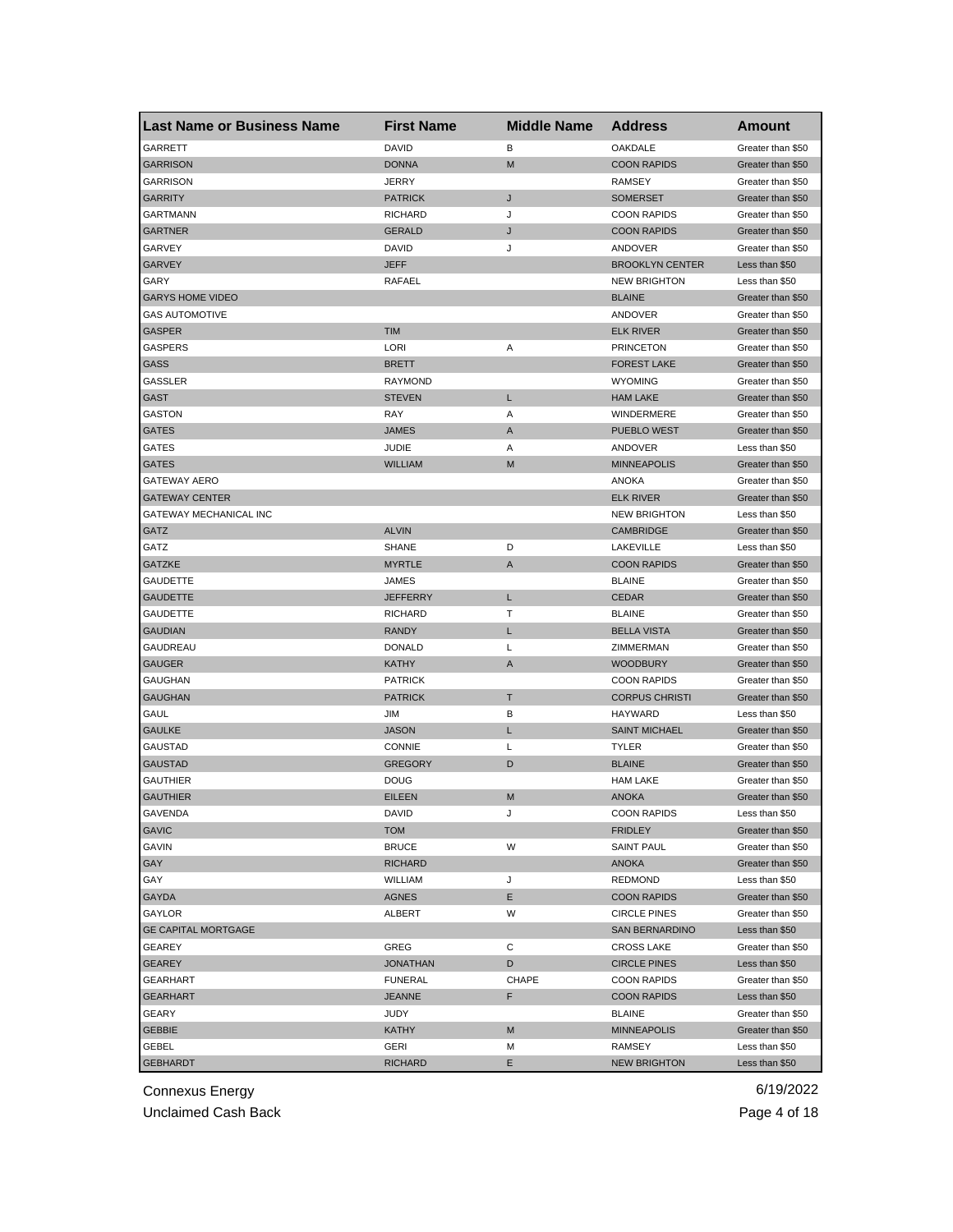| <b>Last Name or Business Name</b> | <b>First Name</b> | <b>Middle Name</b> | <b>Address</b>         | <b>Amount</b>     |
|-----------------------------------|-------------------|--------------------|------------------------|-------------------|
| GARRETT                           | <b>DAVID</b>      | в                  | OAKDALE                | Greater than \$50 |
| <b>GARRISON</b>                   | <b>DONNA</b>      | M                  | <b>COON RAPIDS</b>     | Greater than \$50 |
| <b>GARRISON</b>                   | <b>JERRY</b>      |                    | <b>RAMSEY</b>          | Greater than \$50 |
| <b>GARRITY</b>                    | <b>PATRICK</b>    | J                  | <b>SOMERSET</b>        | Greater than \$50 |
| GARTMANN                          | <b>RICHARD</b>    | J                  | <b>COON RAPIDS</b>     | Greater than \$50 |
| <b>GARTNER</b>                    | <b>GERALD</b>     | J                  | <b>COON RAPIDS</b>     | Greater than \$50 |
| GARVEY                            | DAVID             | J                  | ANDOVER                | Greater than \$50 |
| <b>GARVEY</b>                     | <b>JEFF</b>       |                    | <b>BROOKLYN CENTER</b> | Less than \$50    |
| GARY                              | RAFAEL            |                    | <b>NEW BRIGHTON</b>    | Less than \$50    |
| <b>GARYS HOME VIDEO</b>           |                   |                    | <b>BLAINE</b>          | Greater than \$50 |
| <b>GAS AUTOMOTIVE</b>             |                   |                    | ANDOVER                | Greater than \$50 |
| <b>GASPER</b>                     | <b>TIM</b>        |                    | <b>ELK RIVER</b>       | Greater than \$50 |
| <b>GASPERS</b>                    | LORI              | Α                  | <b>PRINCETON</b>       | Greater than \$50 |
| <b>GASS</b>                       | <b>BRETT</b>      |                    | <b>FOREST LAKE</b>     | Greater than \$50 |
| <b>GASSLER</b>                    | <b>RAYMOND</b>    |                    | <b>WYOMING</b>         | Greater than \$50 |
| GAST                              | <b>STEVEN</b>     | L                  | <b>HAM LAKE</b>        | Greater than \$50 |
| GASTON                            | RAY               | Α                  | WINDERMERE             | Greater than \$50 |
| GATES                             | <b>JAMES</b>      | A                  | PUEBLO WEST            | Greater than \$50 |
| GATES                             | <b>JUDIE</b>      | Α                  | ANDOVER                | Less than \$50    |
| <b>GATES</b>                      | <b>WILLIAM</b>    | M                  | <b>MINNEAPOLIS</b>     | Greater than \$50 |
| <b>GATEWAY AERO</b>               |                   |                    | ANOKA                  | Greater than \$50 |
| <b>GATEWAY CENTER</b>             |                   |                    | <b>ELK RIVER</b>       | Greater than \$50 |
| GATEWAY MECHANICAL INC            |                   |                    | <b>NEW BRIGHTON</b>    | Less than \$50    |
| GATZ                              | <b>ALVIN</b>      |                    | <b>CAMBRIDGE</b>       | Greater than \$50 |
| GATZ                              | <b>SHANE</b>      | D                  | LAKEVILLE              | Less than \$50    |
| <b>GATZKE</b>                     | <b>MYRTLE</b>     | A                  | <b>COON RAPIDS</b>     | Greater than \$50 |
| <b>GAUDETTE</b>                   | JAMES             |                    | <b>BLAINE</b>          | Greater than \$50 |
| <b>GAUDETTE</b>                   | <b>JEFFERRY</b>   | L                  | <b>CEDAR</b>           | Greater than \$50 |
| GAUDETTE                          | RICHARD           | т                  | <b>BLAINE</b>          | Greater than \$50 |
| <b>GAUDIAN</b>                    | <b>RANDY</b>      | L                  | <b>BELLA VISTA</b>     | Greater than \$50 |
| GAUDREAU                          | <b>DONALD</b>     | L                  | ZIMMERMAN              | Greater than \$50 |
| <b>GAUGER</b>                     | <b>KATHY</b>      | A                  | <b>WOODBURY</b>        | Greater than \$50 |
| GAUGHAN                           | <b>PATRICK</b>    |                    | <b>COON RAPIDS</b>     | Greater than \$50 |
| <b>GAUGHAN</b>                    | <b>PATRICK</b>    | Τ                  | <b>CORPUS CHRISTI</b>  | Greater than \$50 |
| GAUL                              | <b>JIM</b>        | в                  | <b>HAYWARD</b>         | Less than \$50    |
| <b>GAULKE</b>                     | <b>JASON</b>      | L                  | <b>SAINT MICHAEL</b>   | Greater than \$50 |
| GAUSTAD                           | <b>CONNIE</b>     | L                  | <b>TYLER</b>           | Greater than \$50 |
| <b>GAUSTAD</b>                    | <b>GREGORY</b>    | D                  | <b>BLAINE</b>          | Greater than \$50 |
| GAUTHIER                          | <b>DOUG</b>       |                    | <b>HAM LAKE</b>        | Greater than \$50 |
| <b>GAUTHIER</b>                   | <b>EILEEN</b>     | M                  | <b>ANOKA</b>           | Greater than \$50 |
| GAVENDA                           | DAVID             |                    | <b>COON RAPIDS</b>     | Less than \$50    |
| <b>GAVIC</b>                      | <b>TOM</b>        |                    | <b>FRIDLEY</b>         | Greater than \$50 |
| GAVIN                             | <b>BRUCE</b>      | W                  | <b>SAINT PAUL</b>      | Greater than \$50 |
| GAY                               | <b>RICHARD</b>    |                    | ANOKA                  | Greater than \$50 |
| GAY                               | WILLIAM           | J                  | <b>REDMOND</b>         | Less than \$50    |
| <b>GAYDA</b>                      | <b>AGNES</b>      | Е                  | <b>COON RAPIDS</b>     | Greater than \$50 |
| GAYLOR                            | ALBERT            | W                  | <b>CIRCLE PINES</b>    | Greater than \$50 |
| <b>GE CAPITAL MORTGAGE</b>        |                   |                    | <b>SAN BERNARDINO</b>  | Less than \$50    |
| GEAREY                            | GREG              | С                  | <b>CROSS LAKE</b>      | Greater than \$50 |
| <b>GEAREY</b>                     | <b>JONATHAN</b>   | D                  | <b>CIRCLE PINES</b>    | Less than \$50    |
| GEARHART                          | <b>FUNERAL</b>    | CHAPE              | <b>COON RAPIDS</b>     | Greater than \$50 |
| <b>GEARHART</b>                   | <b>JEANNE</b>     | F                  | <b>COON RAPIDS</b>     | Less than \$50    |
| GEARY                             | JUDY              |                    | <b>BLAINE</b>          | Greater than \$50 |
| <b>GEBBIE</b>                     | KATHY             | M                  | <b>MINNEAPOLIS</b>     | Greater than \$50 |
| GEBEL                             | GERI              | М                  | RAMSEY                 | Less than \$50    |
| <b>GEBHARDT</b>                   | <b>RICHARD</b>    | Е                  | <b>NEW BRIGHTON</b>    | Less than \$50    |
|                                   |                   |                    |                        |                   |

Unclaimed Cash Back **Page 4 of 18**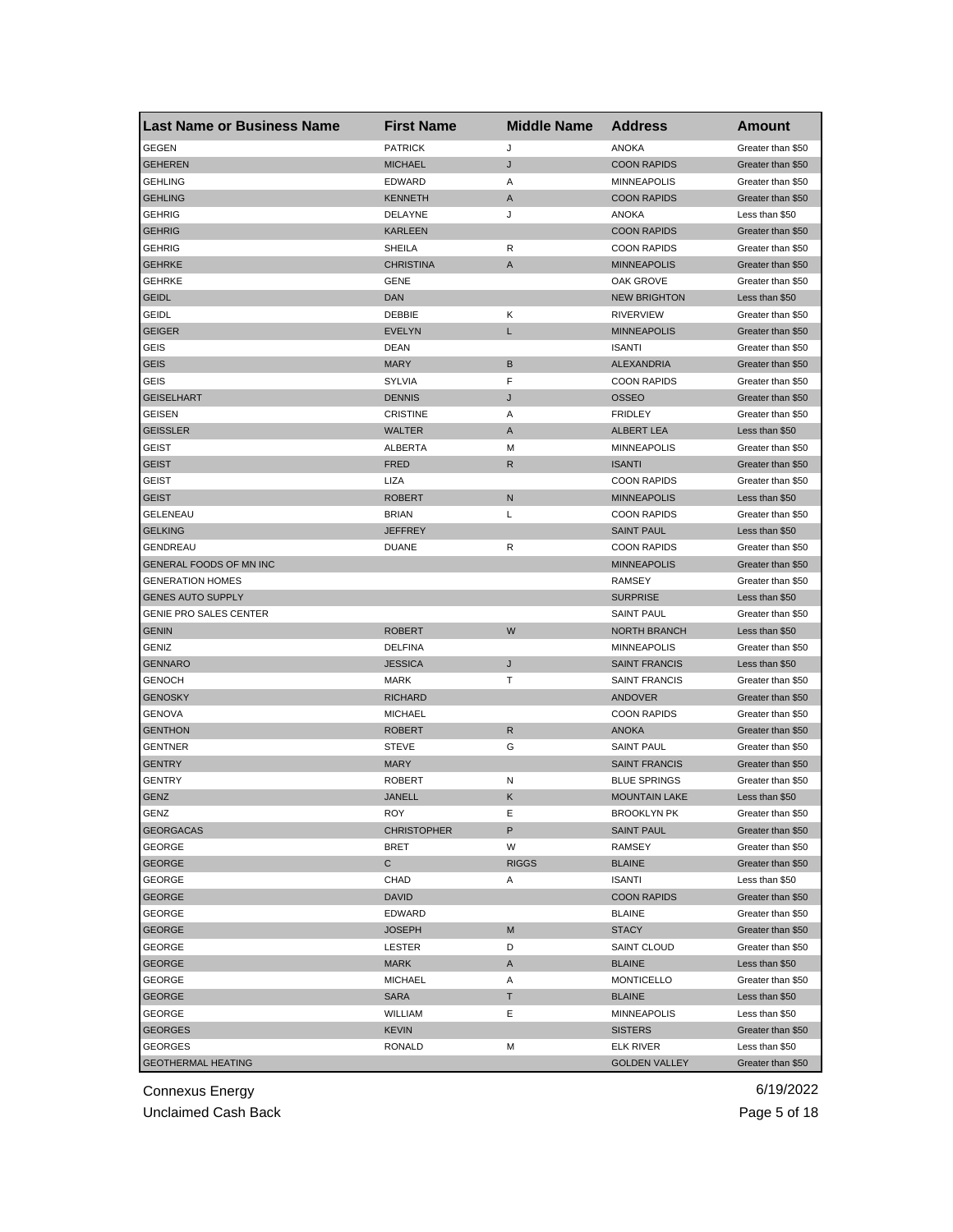| <b>GEGEN</b><br><b>PATRICK</b><br><b>ANOKA</b><br>J<br>Greater than \$50<br>J<br><b>GEHEREN</b><br><b>MICHAEL</b><br><b>COON RAPIDS</b><br>Greater than \$50<br><b>GEHLING</b><br><b>MINNEAPOLIS</b><br>Greater than \$50<br>EDWARD<br>Α<br><b>GEHLING</b><br>A<br><b>COON RAPIDS</b><br><b>KENNETH</b><br>Greater than \$50<br><b>GEHRIG</b><br>DELAYNE<br>J<br><b>ANOKA</b><br>Less than \$50<br><b>GEHRIG</b><br><b>KARLEEN</b><br><b>COON RAPIDS</b><br>Greater than \$50<br><b>GEHRIG</b><br>SHEILA<br>R<br><b>COON RAPIDS</b><br>Greater than \$50<br><b>GEHRKE</b><br><b>CHRISTINA</b><br><b>MINNEAPOLIS</b><br>A<br>Greater than \$50<br><b>GEHRKE</b><br><b>GENE</b><br>OAK GROVE<br>Greater than \$50<br><b>GEIDL</b><br><b>DAN</b><br><b>NEW BRIGHTON</b><br>Less than \$50<br><b>GEIDL</b><br>DEBBIE<br>Κ<br><b>RIVERVIEW</b><br>Greater than \$50<br><b>GEIGER</b><br><b>EVELYN</b><br>L<br><b>MINNEAPOLIS</b><br>Greater than \$50<br>GEIS<br><b>DEAN</b><br><b>ISANTI</b><br>Greater than \$50<br>B<br>ALEXANDRIA<br><b>GEIS</b><br><b>MARY</b><br>Greater than \$50<br>F<br>GEIS<br><b>SYLVIA</b><br><b>COON RAPIDS</b><br>Greater than \$50<br><b>GEISELHART</b><br><b>DENNIS</b><br>J<br><b>OSSEO</b><br>Greater than \$50<br>GEISEN<br><b>CRISTINE</b><br>Α<br><b>FRIDLEY</b><br>Greater than \$50<br><b>GEISSLER</b><br><b>WALTER</b><br>A<br><b>ALBERT LEA</b><br>Less than \$50<br><b>MINNEAPOLIS</b><br><b>GEIST</b><br>ALBERTA<br>М<br>Greater than \$50<br><b>GEIST</b><br><b>FRED</b><br>R<br><b>ISANTI</b><br>Greater than \$50<br>GEIST<br>LIZA<br><b>COON RAPIDS</b><br>Greater than \$50<br>GEIST<br><b>ROBERT</b><br>N<br><b>MINNEAPOLIS</b><br>Less than \$50<br>GELENEAU<br><b>BRIAN</b><br>Г<br><b>COON RAPIDS</b><br>Greater than \$50<br><b>GELKING</b><br><b>JEFFREY</b><br><b>SAINT PAUL</b><br>Less than \$50<br>GENDREAU<br><b>DUANE</b><br>R<br><b>COON RAPIDS</b><br>Greater than \$50<br>GENERAL FOODS OF MN INC<br><b>MINNEAPOLIS</b><br>Greater than \$50<br><b>GENERATION HOMES</b><br>RAMSEY<br>Greater than \$50<br><b>GENES AUTO SUPPLY</b><br><b>SURPRISE</b><br>Less than \$50<br><b>GENIE PRO SALES CENTER</b><br><b>SAINT PAUL</b><br>Greater than \$50<br>W<br><b>GENIN</b><br><b>ROBERT</b><br><b>NORTH BRANCH</b><br>Less than \$50<br>GENIZ<br><b>DELFINA</b><br><b>MINNEAPOLIS</b><br>Greater than \$50<br>J<br><b>GENNARO</b><br><b>JESSICA</b><br><b>SAINT FRANCIS</b><br>Less than \$50<br><b>GENOCH</b><br><b>MARK</b><br>т<br><b>SAINT FRANCIS</b><br>Greater than \$50<br><b>GENOSKY</b><br><b>RICHARD</b><br>ANDOVER<br>Greater than \$50<br><b>GENOVA</b><br><b>MICHAEL</b><br><b>COON RAPIDS</b><br>Greater than \$50<br>$\mathsf{R}$<br><b>GENTHON</b><br><b>ROBERT</b><br><b>ANOKA</b><br>Greater than \$50<br><b>GENTNER</b><br><b>STEVE</b><br>G<br><b>SAINT PAUL</b><br>Greater than \$50<br><b>GENTRY</b><br><b>MARY</b><br><b>SAINT FRANCIS</b><br>Greater than \$50<br><b>GENTRY</b><br><b>ROBERT</b><br><b>BLUE SPRINGS</b><br>N<br>Greater than \$50<br><b>GENZ</b><br><b>JANELL</b><br>Κ<br><b>MOUNTAIN LAKE</b><br>Less than \$50<br>GENZ<br><b>ROY</b><br>Е<br><b>BROOKLYN PK</b><br>Greater than \$50<br><b>GEORGACAS</b><br>P<br><b>SAINT PAUL</b><br><b>CHRISTOPHER</b><br>Greater than \$50<br><b>GEORGE</b><br><b>BRET</b><br>W<br><b>RAMSEY</b><br>Greater than \$50<br><b>GEORGE</b><br>C<br><b>RIGGS</b><br><b>BLAINE</b><br>Greater than \$50<br>GEORGE<br>CHAD<br><b>ISANTI</b><br>Less than \$50<br>Α<br><b>GEORGE</b><br><b>DAVID</b><br><b>COON RAPIDS</b><br>Greater than \$50<br><b>GEORGE</b><br>EDWARD<br><b>BLAINE</b><br>Greater than \$50<br><b>GEORGE</b><br>M<br><b>STACY</b><br><b>JOSEPH</b><br>Greater than \$50<br><b>GEORGE</b><br>D<br><b>SAINT CLOUD</b><br>Greater than \$50<br>LESTER<br><b>GEORGE</b><br><b>MARK</b><br>A<br><b>BLAINE</b><br>Less than \$50<br>GEORGE<br><b>MICHAEL</b><br>Α<br><b>MONTICELLO</b><br>Greater than \$50<br><b>GEORGE</b><br><b>SARA</b><br>т<br><b>BLAINE</b><br>Less than \$50<br>GEORGE<br>WILLIAM<br>Е<br>MINNEAPOLIS<br>Less than \$50<br><b>GEORGES</b><br><b>KEVIN</b><br><b>SISTERS</b><br>Greater than \$50<br>GEORGES<br><b>RONALD</b><br>М<br><b>ELK RIVER</b><br>Less than \$50<br><b>GEOTHERMAL HEATING</b><br><b>GOLDEN VALLEY</b><br>Greater than \$50 | <b>Last Name or Business Name</b> | <b>First Name</b> | <b>Middle Name</b> | <b>Address</b> | Amount |
|----------------------------------------------------------------------------------------------------------------------------------------------------------------------------------------------------------------------------------------------------------------------------------------------------------------------------------------------------------------------------------------------------------------------------------------------------------------------------------------------------------------------------------------------------------------------------------------------------------------------------------------------------------------------------------------------------------------------------------------------------------------------------------------------------------------------------------------------------------------------------------------------------------------------------------------------------------------------------------------------------------------------------------------------------------------------------------------------------------------------------------------------------------------------------------------------------------------------------------------------------------------------------------------------------------------------------------------------------------------------------------------------------------------------------------------------------------------------------------------------------------------------------------------------------------------------------------------------------------------------------------------------------------------------------------------------------------------------------------------------------------------------------------------------------------------------------------------------------------------------------------------------------------------------------------------------------------------------------------------------------------------------------------------------------------------------------------------------------------------------------------------------------------------------------------------------------------------------------------------------------------------------------------------------------------------------------------------------------------------------------------------------------------------------------------------------------------------------------------------------------------------------------------------------------------------------------------------------------------------------------------------------------------------------------------------------------------------------------------------------------------------------------------------------------------------------------------------------------------------------------------------------------------------------------------------------------------------------------------------------------------------------------------------------------------------------------------------------------------------------------------------------------------------------------------------------------------------------------------------------------------------------------------------------------------------------------------------------------------------------------------------------------------------------------------------------------------------------------------------------------------------------------------------------------------------------------------------------------------------------------------------------------------------------------------------------------------------------------------------------------------------------------------------------------------------------------------------------------------------------------------------------------------------------------------------------------------------------------------------------------------------------------------------------------------------------------------------------------------------------------------------------------------------------------------------------------------------------------------------------------------------------------------------------------------------------|-----------------------------------|-------------------|--------------------|----------------|--------|
|                                                                                                                                                                                                                                                                                                                                                                                                                                                                                                                                                                                                                                                                                                                                                                                                                                                                                                                                                                                                                                                                                                                                                                                                                                                                                                                                                                                                                                                                                                                                                                                                                                                                                                                                                                                                                                                                                                                                                                                                                                                                                                                                                                                                                                                                                                                                                                                                                                                                                                                                                                                                                                                                                                                                                                                                                                                                                                                                                                                                                                                                                                                                                                                                                                                                                                                                                                                                                                                                                                                                                                                                                                                                                                                                                                                                                                                                                                                                                                                                                                                                                                                                                                                                                                                                                                                      |                                   |                   |                    |                |        |
|                                                                                                                                                                                                                                                                                                                                                                                                                                                                                                                                                                                                                                                                                                                                                                                                                                                                                                                                                                                                                                                                                                                                                                                                                                                                                                                                                                                                                                                                                                                                                                                                                                                                                                                                                                                                                                                                                                                                                                                                                                                                                                                                                                                                                                                                                                                                                                                                                                                                                                                                                                                                                                                                                                                                                                                                                                                                                                                                                                                                                                                                                                                                                                                                                                                                                                                                                                                                                                                                                                                                                                                                                                                                                                                                                                                                                                                                                                                                                                                                                                                                                                                                                                                                                                                                                                                      |                                   |                   |                    |                |        |
|                                                                                                                                                                                                                                                                                                                                                                                                                                                                                                                                                                                                                                                                                                                                                                                                                                                                                                                                                                                                                                                                                                                                                                                                                                                                                                                                                                                                                                                                                                                                                                                                                                                                                                                                                                                                                                                                                                                                                                                                                                                                                                                                                                                                                                                                                                                                                                                                                                                                                                                                                                                                                                                                                                                                                                                                                                                                                                                                                                                                                                                                                                                                                                                                                                                                                                                                                                                                                                                                                                                                                                                                                                                                                                                                                                                                                                                                                                                                                                                                                                                                                                                                                                                                                                                                                                                      |                                   |                   |                    |                |        |
|                                                                                                                                                                                                                                                                                                                                                                                                                                                                                                                                                                                                                                                                                                                                                                                                                                                                                                                                                                                                                                                                                                                                                                                                                                                                                                                                                                                                                                                                                                                                                                                                                                                                                                                                                                                                                                                                                                                                                                                                                                                                                                                                                                                                                                                                                                                                                                                                                                                                                                                                                                                                                                                                                                                                                                                                                                                                                                                                                                                                                                                                                                                                                                                                                                                                                                                                                                                                                                                                                                                                                                                                                                                                                                                                                                                                                                                                                                                                                                                                                                                                                                                                                                                                                                                                                                                      |                                   |                   |                    |                |        |
|                                                                                                                                                                                                                                                                                                                                                                                                                                                                                                                                                                                                                                                                                                                                                                                                                                                                                                                                                                                                                                                                                                                                                                                                                                                                                                                                                                                                                                                                                                                                                                                                                                                                                                                                                                                                                                                                                                                                                                                                                                                                                                                                                                                                                                                                                                                                                                                                                                                                                                                                                                                                                                                                                                                                                                                                                                                                                                                                                                                                                                                                                                                                                                                                                                                                                                                                                                                                                                                                                                                                                                                                                                                                                                                                                                                                                                                                                                                                                                                                                                                                                                                                                                                                                                                                                                                      |                                   |                   |                    |                |        |
|                                                                                                                                                                                                                                                                                                                                                                                                                                                                                                                                                                                                                                                                                                                                                                                                                                                                                                                                                                                                                                                                                                                                                                                                                                                                                                                                                                                                                                                                                                                                                                                                                                                                                                                                                                                                                                                                                                                                                                                                                                                                                                                                                                                                                                                                                                                                                                                                                                                                                                                                                                                                                                                                                                                                                                                                                                                                                                                                                                                                                                                                                                                                                                                                                                                                                                                                                                                                                                                                                                                                                                                                                                                                                                                                                                                                                                                                                                                                                                                                                                                                                                                                                                                                                                                                                                                      |                                   |                   |                    |                |        |
|                                                                                                                                                                                                                                                                                                                                                                                                                                                                                                                                                                                                                                                                                                                                                                                                                                                                                                                                                                                                                                                                                                                                                                                                                                                                                                                                                                                                                                                                                                                                                                                                                                                                                                                                                                                                                                                                                                                                                                                                                                                                                                                                                                                                                                                                                                                                                                                                                                                                                                                                                                                                                                                                                                                                                                                                                                                                                                                                                                                                                                                                                                                                                                                                                                                                                                                                                                                                                                                                                                                                                                                                                                                                                                                                                                                                                                                                                                                                                                                                                                                                                                                                                                                                                                                                                                                      |                                   |                   |                    |                |        |
|                                                                                                                                                                                                                                                                                                                                                                                                                                                                                                                                                                                                                                                                                                                                                                                                                                                                                                                                                                                                                                                                                                                                                                                                                                                                                                                                                                                                                                                                                                                                                                                                                                                                                                                                                                                                                                                                                                                                                                                                                                                                                                                                                                                                                                                                                                                                                                                                                                                                                                                                                                                                                                                                                                                                                                                                                                                                                                                                                                                                                                                                                                                                                                                                                                                                                                                                                                                                                                                                                                                                                                                                                                                                                                                                                                                                                                                                                                                                                                                                                                                                                                                                                                                                                                                                                                                      |                                   |                   |                    |                |        |
|                                                                                                                                                                                                                                                                                                                                                                                                                                                                                                                                                                                                                                                                                                                                                                                                                                                                                                                                                                                                                                                                                                                                                                                                                                                                                                                                                                                                                                                                                                                                                                                                                                                                                                                                                                                                                                                                                                                                                                                                                                                                                                                                                                                                                                                                                                                                                                                                                                                                                                                                                                                                                                                                                                                                                                                                                                                                                                                                                                                                                                                                                                                                                                                                                                                                                                                                                                                                                                                                                                                                                                                                                                                                                                                                                                                                                                                                                                                                                                                                                                                                                                                                                                                                                                                                                                                      |                                   |                   |                    |                |        |
|                                                                                                                                                                                                                                                                                                                                                                                                                                                                                                                                                                                                                                                                                                                                                                                                                                                                                                                                                                                                                                                                                                                                                                                                                                                                                                                                                                                                                                                                                                                                                                                                                                                                                                                                                                                                                                                                                                                                                                                                                                                                                                                                                                                                                                                                                                                                                                                                                                                                                                                                                                                                                                                                                                                                                                                                                                                                                                                                                                                                                                                                                                                                                                                                                                                                                                                                                                                                                                                                                                                                                                                                                                                                                                                                                                                                                                                                                                                                                                                                                                                                                                                                                                                                                                                                                                                      |                                   |                   |                    |                |        |
|                                                                                                                                                                                                                                                                                                                                                                                                                                                                                                                                                                                                                                                                                                                                                                                                                                                                                                                                                                                                                                                                                                                                                                                                                                                                                                                                                                                                                                                                                                                                                                                                                                                                                                                                                                                                                                                                                                                                                                                                                                                                                                                                                                                                                                                                                                                                                                                                                                                                                                                                                                                                                                                                                                                                                                                                                                                                                                                                                                                                                                                                                                                                                                                                                                                                                                                                                                                                                                                                                                                                                                                                                                                                                                                                                                                                                                                                                                                                                                                                                                                                                                                                                                                                                                                                                                                      |                                   |                   |                    |                |        |
|                                                                                                                                                                                                                                                                                                                                                                                                                                                                                                                                                                                                                                                                                                                                                                                                                                                                                                                                                                                                                                                                                                                                                                                                                                                                                                                                                                                                                                                                                                                                                                                                                                                                                                                                                                                                                                                                                                                                                                                                                                                                                                                                                                                                                                                                                                                                                                                                                                                                                                                                                                                                                                                                                                                                                                                                                                                                                                                                                                                                                                                                                                                                                                                                                                                                                                                                                                                                                                                                                                                                                                                                                                                                                                                                                                                                                                                                                                                                                                                                                                                                                                                                                                                                                                                                                                                      |                                   |                   |                    |                |        |
|                                                                                                                                                                                                                                                                                                                                                                                                                                                                                                                                                                                                                                                                                                                                                                                                                                                                                                                                                                                                                                                                                                                                                                                                                                                                                                                                                                                                                                                                                                                                                                                                                                                                                                                                                                                                                                                                                                                                                                                                                                                                                                                                                                                                                                                                                                                                                                                                                                                                                                                                                                                                                                                                                                                                                                                                                                                                                                                                                                                                                                                                                                                                                                                                                                                                                                                                                                                                                                                                                                                                                                                                                                                                                                                                                                                                                                                                                                                                                                                                                                                                                                                                                                                                                                                                                                                      |                                   |                   |                    |                |        |
|                                                                                                                                                                                                                                                                                                                                                                                                                                                                                                                                                                                                                                                                                                                                                                                                                                                                                                                                                                                                                                                                                                                                                                                                                                                                                                                                                                                                                                                                                                                                                                                                                                                                                                                                                                                                                                                                                                                                                                                                                                                                                                                                                                                                                                                                                                                                                                                                                                                                                                                                                                                                                                                                                                                                                                                                                                                                                                                                                                                                                                                                                                                                                                                                                                                                                                                                                                                                                                                                                                                                                                                                                                                                                                                                                                                                                                                                                                                                                                                                                                                                                                                                                                                                                                                                                                                      |                                   |                   |                    |                |        |
|                                                                                                                                                                                                                                                                                                                                                                                                                                                                                                                                                                                                                                                                                                                                                                                                                                                                                                                                                                                                                                                                                                                                                                                                                                                                                                                                                                                                                                                                                                                                                                                                                                                                                                                                                                                                                                                                                                                                                                                                                                                                                                                                                                                                                                                                                                                                                                                                                                                                                                                                                                                                                                                                                                                                                                                                                                                                                                                                                                                                                                                                                                                                                                                                                                                                                                                                                                                                                                                                                                                                                                                                                                                                                                                                                                                                                                                                                                                                                                                                                                                                                                                                                                                                                                                                                                                      |                                   |                   |                    |                |        |
|                                                                                                                                                                                                                                                                                                                                                                                                                                                                                                                                                                                                                                                                                                                                                                                                                                                                                                                                                                                                                                                                                                                                                                                                                                                                                                                                                                                                                                                                                                                                                                                                                                                                                                                                                                                                                                                                                                                                                                                                                                                                                                                                                                                                                                                                                                                                                                                                                                                                                                                                                                                                                                                                                                                                                                                                                                                                                                                                                                                                                                                                                                                                                                                                                                                                                                                                                                                                                                                                                                                                                                                                                                                                                                                                                                                                                                                                                                                                                                                                                                                                                                                                                                                                                                                                                                                      |                                   |                   |                    |                |        |
|                                                                                                                                                                                                                                                                                                                                                                                                                                                                                                                                                                                                                                                                                                                                                                                                                                                                                                                                                                                                                                                                                                                                                                                                                                                                                                                                                                                                                                                                                                                                                                                                                                                                                                                                                                                                                                                                                                                                                                                                                                                                                                                                                                                                                                                                                                                                                                                                                                                                                                                                                                                                                                                                                                                                                                                                                                                                                                                                                                                                                                                                                                                                                                                                                                                                                                                                                                                                                                                                                                                                                                                                                                                                                                                                                                                                                                                                                                                                                                                                                                                                                                                                                                                                                                                                                                                      |                                   |                   |                    |                |        |
|                                                                                                                                                                                                                                                                                                                                                                                                                                                                                                                                                                                                                                                                                                                                                                                                                                                                                                                                                                                                                                                                                                                                                                                                                                                                                                                                                                                                                                                                                                                                                                                                                                                                                                                                                                                                                                                                                                                                                                                                                                                                                                                                                                                                                                                                                                                                                                                                                                                                                                                                                                                                                                                                                                                                                                                                                                                                                                                                                                                                                                                                                                                                                                                                                                                                                                                                                                                                                                                                                                                                                                                                                                                                                                                                                                                                                                                                                                                                                                                                                                                                                                                                                                                                                                                                                                                      |                                   |                   |                    |                |        |
|                                                                                                                                                                                                                                                                                                                                                                                                                                                                                                                                                                                                                                                                                                                                                                                                                                                                                                                                                                                                                                                                                                                                                                                                                                                                                                                                                                                                                                                                                                                                                                                                                                                                                                                                                                                                                                                                                                                                                                                                                                                                                                                                                                                                                                                                                                                                                                                                                                                                                                                                                                                                                                                                                                                                                                                                                                                                                                                                                                                                                                                                                                                                                                                                                                                                                                                                                                                                                                                                                                                                                                                                                                                                                                                                                                                                                                                                                                                                                                                                                                                                                                                                                                                                                                                                                                                      |                                   |                   |                    |                |        |
|                                                                                                                                                                                                                                                                                                                                                                                                                                                                                                                                                                                                                                                                                                                                                                                                                                                                                                                                                                                                                                                                                                                                                                                                                                                                                                                                                                                                                                                                                                                                                                                                                                                                                                                                                                                                                                                                                                                                                                                                                                                                                                                                                                                                                                                                                                                                                                                                                                                                                                                                                                                                                                                                                                                                                                                                                                                                                                                                                                                                                                                                                                                                                                                                                                                                                                                                                                                                                                                                                                                                                                                                                                                                                                                                                                                                                                                                                                                                                                                                                                                                                                                                                                                                                                                                                                                      |                                   |                   |                    |                |        |
|                                                                                                                                                                                                                                                                                                                                                                                                                                                                                                                                                                                                                                                                                                                                                                                                                                                                                                                                                                                                                                                                                                                                                                                                                                                                                                                                                                                                                                                                                                                                                                                                                                                                                                                                                                                                                                                                                                                                                                                                                                                                                                                                                                                                                                                                                                                                                                                                                                                                                                                                                                                                                                                                                                                                                                                                                                                                                                                                                                                                                                                                                                                                                                                                                                                                                                                                                                                                                                                                                                                                                                                                                                                                                                                                                                                                                                                                                                                                                                                                                                                                                                                                                                                                                                                                                                                      |                                   |                   |                    |                |        |
|                                                                                                                                                                                                                                                                                                                                                                                                                                                                                                                                                                                                                                                                                                                                                                                                                                                                                                                                                                                                                                                                                                                                                                                                                                                                                                                                                                                                                                                                                                                                                                                                                                                                                                                                                                                                                                                                                                                                                                                                                                                                                                                                                                                                                                                                                                                                                                                                                                                                                                                                                                                                                                                                                                                                                                                                                                                                                                                                                                                                                                                                                                                                                                                                                                                                                                                                                                                                                                                                                                                                                                                                                                                                                                                                                                                                                                                                                                                                                                                                                                                                                                                                                                                                                                                                                                                      |                                   |                   |                    |                |        |
|                                                                                                                                                                                                                                                                                                                                                                                                                                                                                                                                                                                                                                                                                                                                                                                                                                                                                                                                                                                                                                                                                                                                                                                                                                                                                                                                                                                                                                                                                                                                                                                                                                                                                                                                                                                                                                                                                                                                                                                                                                                                                                                                                                                                                                                                                                                                                                                                                                                                                                                                                                                                                                                                                                                                                                                                                                                                                                                                                                                                                                                                                                                                                                                                                                                                                                                                                                                                                                                                                                                                                                                                                                                                                                                                                                                                                                                                                                                                                                                                                                                                                                                                                                                                                                                                                                                      |                                   |                   |                    |                |        |
|                                                                                                                                                                                                                                                                                                                                                                                                                                                                                                                                                                                                                                                                                                                                                                                                                                                                                                                                                                                                                                                                                                                                                                                                                                                                                                                                                                                                                                                                                                                                                                                                                                                                                                                                                                                                                                                                                                                                                                                                                                                                                                                                                                                                                                                                                                                                                                                                                                                                                                                                                                                                                                                                                                                                                                                                                                                                                                                                                                                                                                                                                                                                                                                                                                                                                                                                                                                                                                                                                                                                                                                                                                                                                                                                                                                                                                                                                                                                                                                                                                                                                                                                                                                                                                                                                                                      |                                   |                   |                    |                |        |
|                                                                                                                                                                                                                                                                                                                                                                                                                                                                                                                                                                                                                                                                                                                                                                                                                                                                                                                                                                                                                                                                                                                                                                                                                                                                                                                                                                                                                                                                                                                                                                                                                                                                                                                                                                                                                                                                                                                                                                                                                                                                                                                                                                                                                                                                                                                                                                                                                                                                                                                                                                                                                                                                                                                                                                                                                                                                                                                                                                                                                                                                                                                                                                                                                                                                                                                                                                                                                                                                                                                                                                                                                                                                                                                                                                                                                                                                                                                                                                                                                                                                                                                                                                                                                                                                                                                      |                                   |                   |                    |                |        |
|                                                                                                                                                                                                                                                                                                                                                                                                                                                                                                                                                                                                                                                                                                                                                                                                                                                                                                                                                                                                                                                                                                                                                                                                                                                                                                                                                                                                                                                                                                                                                                                                                                                                                                                                                                                                                                                                                                                                                                                                                                                                                                                                                                                                                                                                                                                                                                                                                                                                                                                                                                                                                                                                                                                                                                                                                                                                                                                                                                                                                                                                                                                                                                                                                                                                                                                                                                                                                                                                                                                                                                                                                                                                                                                                                                                                                                                                                                                                                                                                                                                                                                                                                                                                                                                                                                                      |                                   |                   |                    |                |        |
|                                                                                                                                                                                                                                                                                                                                                                                                                                                                                                                                                                                                                                                                                                                                                                                                                                                                                                                                                                                                                                                                                                                                                                                                                                                                                                                                                                                                                                                                                                                                                                                                                                                                                                                                                                                                                                                                                                                                                                                                                                                                                                                                                                                                                                                                                                                                                                                                                                                                                                                                                                                                                                                                                                                                                                                                                                                                                                                                                                                                                                                                                                                                                                                                                                                                                                                                                                                                                                                                                                                                                                                                                                                                                                                                                                                                                                                                                                                                                                                                                                                                                                                                                                                                                                                                                                                      |                                   |                   |                    |                |        |
|                                                                                                                                                                                                                                                                                                                                                                                                                                                                                                                                                                                                                                                                                                                                                                                                                                                                                                                                                                                                                                                                                                                                                                                                                                                                                                                                                                                                                                                                                                                                                                                                                                                                                                                                                                                                                                                                                                                                                                                                                                                                                                                                                                                                                                                                                                                                                                                                                                                                                                                                                                                                                                                                                                                                                                                                                                                                                                                                                                                                                                                                                                                                                                                                                                                                                                                                                                                                                                                                                                                                                                                                                                                                                                                                                                                                                                                                                                                                                                                                                                                                                                                                                                                                                                                                                                                      |                                   |                   |                    |                |        |
|                                                                                                                                                                                                                                                                                                                                                                                                                                                                                                                                                                                                                                                                                                                                                                                                                                                                                                                                                                                                                                                                                                                                                                                                                                                                                                                                                                                                                                                                                                                                                                                                                                                                                                                                                                                                                                                                                                                                                                                                                                                                                                                                                                                                                                                                                                                                                                                                                                                                                                                                                                                                                                                                                                                                                                                                                                                                                                                                                                                                                                                                                                                                                                                                                                                                                                                                                                                                                                                                                                                                                                                                                                                                                                                                                                                                                                                                                                                                                                                                                                                                                                                                                                                                                                                                                                                      |                                   |                   |                    |                |        |
|                                                                                                                                                                                                                                                                                                                                                                                                                                                                                                                                                                                                                                                                                                                                                                                                                                                                                                                                                                                                                                                                                                                                                                                                                                                                                                                                                                                                                                                                                                                                                                                                                                                                                                                                                                                                                                                                                                                                                                                                                                                                                                                                                                                                                                                                                                                                                                                                                                                                                                                                                                                                                                                                                                                                                                                                                                                                                                                                                                                                                                                                                                                                                                                                                                                                                                                                                                                                                                                                                                                                                                                                                                                                                                                                                                                                                                                                                                                                                                                                                                                                                                                                                                                                                                                                                                                      |                                   |                   |                    |                |        |
|                                                                                                                                                                                                                                                                                                                                                                                                                                                                                                                                                                                                                                                                                                                                                                                                                                                                                                                                                                                                                                                                                                                                                                                                                                                                                                                                                                                                                                                                                                                                                                                                                                                                                                                                                                                                                                                                                                                                                                                                                                                                                                                                                                                                                                                                                                                                                                                                                                                                                                                                                                                                                                                                                                                                                                                                                                                                                                                                                                                                                                                                                                                                                                                                                                                                                                                                                                                                                                                                                                                                                                                                                                                                                                                                                                                                                                                                                                                                                                                                                                                                                                                                                                                                                                                                                                                      |                                   |                   |                    |                |        |
|                                                                                                                                                                                                                                                                                                                                                                                                                                                                                                                                                                                                                                                                                                                                                                                                                                                                                                                                                                                                                                                                                                                                                                                                                                                                                                                                                                                                                                                                                                                                                                                                                                                                                                                                                                                                                                                                                                                                                                                                                                                                                                                                                                                                                                                                                                                                                                                                                                                                                                                                                                                                                                                                                                                                                                                                                                                                                                                                                                                                                                                                                                                                                                                                                                                                                                                                                                                                                                                                                                                                                                                                                                                                                                                                                                                                                                                                                                                                                                                                                                                                                                                                                                                                                                                                                                                      |                                   |                   |                    |                |        |
|                                                                                                                                                                                                                                                                                                                                                                                                                                                                                                                                                                                                                                                                                                                                                                                                                                                                                                                                                                                                                                                                                                                                                                                                                                                                                                                                                                                                                                                                                                                                                                                                                                                                                                                                                                                                                                                                                                                                                                                                                                                                                                                                                                                                                                                                                                                                                                                                                                                                                                                                                                                                                                                                                                                                                                                                                                                                                                                                                                                                                                                                                                                                                                                                                                                                                                                                                                                                                                                                                                                                                                                                                                                                                                                                                                                                                                                                                                                                                                                                                                                                                                                                                                                                                                                                                                                      |                                   |                   |                    |                |        |
|                                                                                                                                                                                                                                                                                                                                                                                                                                                                                                                                                                                                                                                                                                                                                                                                                                                                                                                                                                                                                                                                                                                                                                                                                                                                                                                                                                                                                                                                                                                                                                                                                                                                                                                                                                                                                                                                                                                                                                                                                                                                                                                                                                                                                                                                                                                                                                                                                                                                                                                                                                                                                                                                                                                                                                                                                                                                                                                                                                                                                                                                                                                                                                                                                                                                                                                                                                                                                                                                                                                                                                                                                                                                                                                                                                                                                                                                                                                                                                                                                                                                                                                                                                                                                                                                                                                      |                                   |                   |                    |                |        |
|                                                                                                                                                                                                                                                                                                                                                                                                                                                                                                                                                                                                                                                                                                                                                                                                                                                                                                                                                                                                                                                                                                                                                                                                                                                                                                                                                                                                                                                                                                                                                                                                                                                                                                                                                                                                                                                                                                                                                                                                                                                                                                                                                                                                                                                                                                                                                                                                                                                                                                                                                                                                                                                                                                                                                                                                                                                                                                                                                                                                                                                                                                                                                                                                                                                                                                                                                                                                                                                                                                                                                                                                                                                                                                                                                                                                                                                                                                                                                                                                                                                                                                                                                                                                                                                                                                                      |                                   |                   |                    |                |        |
|                                                                                                                                                                                                                                                                                                                                                                                                                                                                                                                                                                                                                                                                                                                                                                                                                                                                                                                                                                                                                                                                                                                                                                                                                                                                                                                                                                                                                                                                                                                                                                                                                                                                                                                                                                                                                                                                                                                                                                                                                                                                                                                                                                                                                                                                                                                                                                                                                                                                                                                                                                                                                                                                                                                                                                                                                                                                                                                                                                                                                                                                                                                                                                                                                                                                                                                                                                                                                                                                                                                                                                                                                                                                                                                                                                                                                                                                                                                                                                                                                                                                                                                                                                                                                                                                                                                      |                                   |                   |                    |                |        |
|                                                                                                                                                                                                                                                                                                                                                                                                                                                                                                                                                                                                                                                                                                                                                                                                                                                                                                                                                                                                                                                                                                                                                                                                                                                                                                                                                                                                                                                                                                                                                                                                                                                                                                                                                                                                                                                                                                                                                                                                                                                                                                                                                                                                                                                                                                                                                                                                                                                                                                                                                                                                                                                                                                                                                                                                                                                                                                                                                                                                                                                                                                                                                                                                                                                                                                                                                                                                                                                                                                                                                                                                                                                                                                                                                                                                                                                                                                                                                                                                                                                                                                                                                                                                                                                                                                                      |                                   |                   |                    |                |        |
|                                                                                                                                                                                                                                                                                                                                                                                                                                                                                                                                                                                                                                                                                                                                                                                                                                                                                                                                                                                                                                                                                                                                                                                                                                                                                                                                                                                                                                                                                                                                                                                                                                                                                                                                                                                                                                                                                                                                                                                                                                                                                                                                                                                                                                                                                                                                                                                                                                                                                                                                                                                                                                                                                                                                                                                                                                                                                                                                                                                                                                                                                                                                                                                                                                                                                                                                                                                                                                                                                                                                                                                                                                                                                                                                                                                                                                                                                                                                                                                                                                                                                                                                                                                                                                                                                                                      |                                   |                   |                    |                |        |
|                                                                                                                                                                                                                                                                                                                                                                                                                                                                                                                                                                                                                                                                                                                                                                                                                                                                                                                                                                                                                                                                                                                                                                                                                                                                                                                                                                                                                                                                                                                                                                                                                                                                                                                                                                                                                                                                                                                                                                                                                                                                                                                                                                                                                                                                                                                                                                                                                                                                                                                                                                                                                                                                                                                                                                                                                                                                                                                                                                                                                                                                                                                                                                                                                                                                                                                                                                                                                                                                                                                                                                                                                                                                                                                                                                                                                                                                                                                                                                                                                                                                                                                                                                                                                                                                                                                      |                                   |                   |                    |                |        |
|                                                                                                                                                                                                                                                                                                                                                                                                                                                                                                                                                                                                                                                                                                                                                                                                                                                                                                                                                                                                                                                                                                                                                                                                                                                                                                                                                                                                                                                                                                                                                                                                                                                                                                                                                                                                                                                                                                                                                                                                                                                                                                                                                                                                                                                                                                                                                                                                                                                                                                                                                                                                                                                                                                                                                                                                                                                                                                                                                                                                                                                                                                                                                                                                                                                                                                                                                                                                                                                                                                                                                                                                                                                                                                                                                                                                                                                                                                                                                                                                                                                                                                                                                                                                                                                                                                                      |                                   |                   |                    |                |        |
|                                                                                                                                                                                                                                                                                                                                                                                                                                                                                                                                                                                                                                                                                                                                                                                                                                                                                                                                                                                                                                                                                                                                                                                                                                                                                                                                                                                                                                                                                                                                                                                                                                                                                                                                                                                                                                                                                                                                                                                                                                                                                                                                                                                                                                                                                                                                                                                                                                                                                                                                                                                                                                                                                                                                                                                                                                                                                                                                                                                                                                                                                                                                                                                                                                                                                                                                                                                                                                                                                                                                                                                                                                                                                                                                                                                                                                                                                                                                                                                                                                                                                                                                                                                                                                                                                                                      |                                   |                   |                    |                |        |
|                                                                                                                                                                                                                                                                                                                                                                                                                                                                                                                                                                                                                                                                                                                                                                                                                                                                                                                                                                                                                                                                                                                                                                                                                                                                                                                                                                                                                                                                                                                                                                                                                                                                                                                                                                                                                                                                                                                                                                                                                                                                                                                                                                                                                                                                                                                                                                                                                                                                                                                                                                                                                                                                                                                                                                                                                                                                                                                                                                                                                                                                                                                                                                                                                                                                                                                                                                                                                                                                                                                                                                                                                                                                                                                                                                                                                                                                                                                                                                                                                                                                                                                                                                                                                                                                                                                      |                                   |                   |                    |                |        |
|                                                                                                                                                                                                                                                                                                                                                                                                                                                                                                                                                                                                                                                                                                                                                                                                                                                                                                                                                                                                                                                                                                                                                                                                                                                                                                                                                                                                                                                                                                                                                                                                                                                                                                                                                                                                                                                                                                                                                                                                                                                                                                                                                                                                                                                                                                                                                                                                                                                                                                                                                                                                                                                                                                                                                                                                                                                                                                                                                                                                                                                                                                                                                                                                                                                                                                                                                                                                                                                                                                                                                                                                                                                                                                                                                                                                                                                                                                                                                                                                                                                                                                                                                                                                                                                                                                                      |                                   |                   |                    |                |        |
|                                                                                                                                                                                                                                                                                                                                                                                                                                                                                                                                                                                                                                                                                                                                                                                                                                                                                                                                                                                                                                                                                                                                                                                                                                                                                                                                                                                                                                                                                                                                                                                                                                                                                                                                                                                                                                                                                                                                                                                                                                                                                                                                                                                                                                                                                                                                                                                                                                                                                                                                                                                                                                                                                                                                                                                                                                                                                                                                                                                                                                                                                                                                                                                                                                                                                                                                                                                                                                                                                                                                                                                                                                                                                                                                                                                                                                                                                                                                                                                                                                                                                                                                                                                                                                                                                                                      |                                   |                   |                    |                |        |
|                                                                                                                                                                                                                                                                                                                                                                                                                                                                                                                                                                                                                                                                                                                                                                                                                                                                                                                                                                                                                                                                                                                                                                                                                                                                                                                                                                                                                                                                                                                                                                                                                                                                                                                                                                                                                                                                                                                                                                                                                                                                                                                                                                                                                                                                                                                                                                                                                                                                                                                                                                                                                                                                                                                                                                                                                                                                                                                                                                                                                                                                                                                                                                                                                                                                                                                                                                                                                                                                                                                                                                                                                                                                                                                                                                                                                                                                                                                                                                                                                                                                                                                                                                                                                                                                                                                      |                                   |                   |                    |                |        |
|                                                                                                                                                                                                                                                                                                                                                                                                                                                                                                                                                                                                                                                                                                                                                                                                                                                                                                                                                                                                                                                                                                                                                                                                                                                                                                                                                                                                                                                                                                                                                                                                                                                                                                                                                                                                                                                                                                                                                                                                                                                                                                                                                                                                                                                                                                                                                                                                                                                                                                                                                                                                                                                                                                                                                                                                                                                                                                                                                                                                                                                                                                                                                                                                                                                                                                                                                                                                                                                                                                                                                                                                                                                                                                                                                                                                                                                                                                                                                                                                                                                                                                                                                                                                                                                                                                                      |                                   |                   |                    |                |        |
|                                                                                                                                                                                                                                                                                                                                                                                                                                                                                                                                                                                                                                                                                                                                                                                                                                                                                                                                                                                                                                                                                                                                                                                                                                                                                                                                                                                                                                                                                                                                                                                                                                                                                                                                                                                                                                                                                                                                                                                                                                                                                                                                                                                                                                                                                                                                                                                                                                                                                                                                                                                                                                                                                                                                                                                                                                                                                                                                                                                                                                                                                                                                                                                                                                                                                                                                                                                                                                                                                                                                                                                                                                                                                                                                                                                                                                                                                                                                                                                                                                                                                                                                                                                                                                                                                                                      |                                   |                   |                    |                |        |
|                                                                                                                                                                                                                                                                                                                                                                                                                                                                                                                                                                                                                                                                                                                                                                                                                                                                                                                                                                                                                                                                                                                                                                                                                                                                                                                                                                                                                                                                                                                                                                                                                                                                                                                                                                                                                                                                                                                                                                                                                                                                                                                                                                                                                                                                                                                                                                                                                                                                                                                                                                                                                                                                                                                                                                                                                                                                                                                                                                                                                                                                                                                                                                                                                                                                                                                                                                                                                                                                                                                                                                                                                                                                                                                                                                                                                                                                                                                                                                                                                                                                                                                                                                                                                                                                                                                      |                                   |                   |                    |                |        |
|                                                                                                                                                                                                                                                                                                                                                                                                                                                                                                                                                                                                                                                                                                                                                                                                                                                                                                                                                                                                                                                                                                                                                                                                                                                                                                                                                                                                                                                                                                                                                                                                                                                                                                                                                                                                                                                                                                                                                                                                                                                                                                                                                                                                                                                                                                                                                                                                                                                                                                                                                                                                                                                                                                                                                                                                                                                                                                                                                                                                                                                                                                                                                                                                                                                                                                                                                                                                                                                                                                                                                                                                                                                                                                                                                                                                                                                                                                                                                                                                                                                                                                                                                                                                                                                                                                                      |                                   |                   |                    |                |        |
|                                                                                                                                                                                                                                                                                                                                                                                                                                                                                                                                                                                                                                                                                                                                                                                                                                                                                                                                                                                                                                                                                                                                                                                                                                                                                                                                                                                                                                                                                                                                                                                                                                                                                                                                                                                                                                                                                                                                                                                                                                                                                                                                                                                                                                                                                                                                                                                                                                                                                                                                                                                                                                                                                                                                                                                                                                                                                                                                                                                                                                                                                                                                                                                                                                                                                                                                                                                                                                                                                                                                                                                                                                                                                                                                                                                                                                                                                                                                                                                                                                                                                                                                                                                                                                                                                                                      |                                   |                   |                    |                |        |
|                                                                                                                                                                                                                                                                                                                                                                                                                                                                                                                                                                                                                                                                                                                                                                                                                                                                                                                                                                                                                                                                                                                                                                                                                                                                                                                                                                                                                                                                                                                                                                                                                                                                                                                                                                                                                                                                                                                                                                                                                                                                                                                                                                                                                                                                                                                                                                                                                                                                                                                                                                                                                                                                                                                                                                                                                                                                                                                                                                                                                                                                                                                                                                                                                                                                                                                                                                                                                                                                                                                                                                                                                                                                                                                                                                                                                                                                                                                                                                                                                                                                                                                                                                                                                                                                                                                      |                                   |                   |                    |                |        |
|                                                                                                                                                                                                                                                                                                                                                                                                                                                                                                                                                                                                                                                                                                                                                                                                                                                                                                                                                                                                                                                                                                                                                                                                                                                                                                                                                                                                                                                                                                                                                                                                                                                                                                                                                                                                                                                                                                                                                                                                                                                                                                                                                                                                                                                                                                                                                                                                                                                                                                                                                                                                                                                                                                                                                                                                                                                                                                                                                                                                                                                                                                                                                                                                                                                                                                                                                                                                                                                                                                                                                                                                                                                                                                                                                                                                                                                                                                                                                                                                                                                                                                                                                                                                                                                                                                                      |                                   |                   |                    |                |        |
|                                                                                                                                                                                                                                                                                                                                                                                                                                                                                                                                                                                                                                                                                                                                                                                                                                                                                                                                                                                                                                                                                                                                                                                                                                                                                                                                                                                                                                                                                                                                                                                                                                                                                                                                                                                                                                                                                                                                                                                                                                                                                                                                                                                                                                                                                                                                                                                                                                                                                                                                                                                                                                                                                                                                                                                                                                                                                                                                                                                                                                                                                                                                                                                                                                                                                                                                                                                                                                                                                                                                                                                                                                                                                                                                                                                                                                                                                                                                                                                                                                                                                                                                                                                                                                                                                                                      |                                   |                   |                    |                |        |
|                                                                                                                                                                                                                                                                                                                                                                                                                                                                                                                                                                                                                                                                                                                                                                                                                                                                                                                                                                                                                                                                                                                                                                                                                                                                                                                                                                                                                                                                                                                                                                                                                                                                                                                                                                                                                                                                                                                                                                                                                                                                                                                                                                                                                                                                                                                                                                                                                                                                                                                                                                                                                                                                                                                                                                                                                                                                                                                                                                                                                                                                                                                                                                                                                                                                                                                                                                                                                                                                                                                                                                                                                                                                                                                                                                                                                                                                                                                                                                                                                                                                                                                                                                                                                                                                                                                      |                                   |                   |                    |                |        |
|                                                                                                                                                                                                                                                                                                                                                                                                                                                                                                                                                                                                                                                                                                                                                                                                                                                                                                                                                                                                                                                                                                                                                                                                                                                                                                                                                                                                                                                                                                                                                                                                                                                                                                                                                                                                                                                                                                                                                                                                                                                                                                                                                                                                                                                                                                                                                                                                                                                                                                                                                                                                                                                                                                                                                                                                                                                                                                                                                                                                                                                                                                                                                                                                                                                                                                                                                                                                                                                                                                                                                                                                                                                                                                                                                                                                                                                                                                                                                                                                                                                                                                                                                                                                                                                                                                                      |                                   |                   |                    |                |        |
|                                                                                                                                                                                                                                                                                                                                                                                                                                                                                                                                                                                                                                                                                                                                                                                                                                                                                                                                                                                                                                                                                                                                                                                                                                                                                                                                                                                                                                                                                                                                                                                                                                                                                                                                                                                                                                                                                                                                                                                                                                                                                                                                                                                                                                                                                                                                                                                                                                                                                                                                                                                                                                                                                                                                                                                                                                                                                                                                                                                                                                                                                                                                                                                                                                                                                                                                                                                                                                                                                                                                                                                                                                                                                                                                                                                                                                                                                                                                                                                                                                                                                                                                                                                                                                                                                                                      |                                   |                   |                    |                |        |

Unclaimed Cash Back **Page 5 of 18**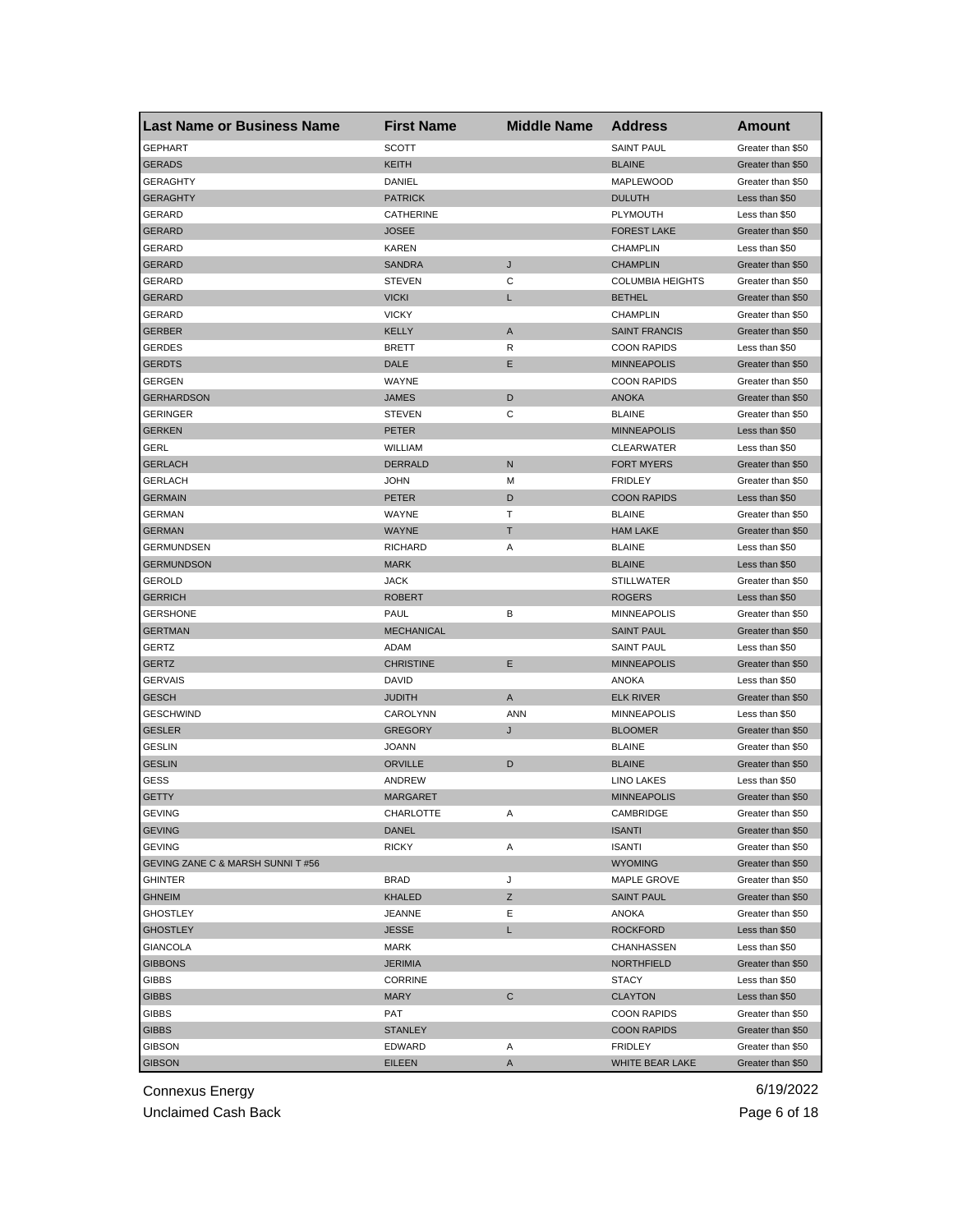| <b>Last Name or Business Name</b> | <b>First Name</b> | <b>Middle Name</b> | <b>Address</b>          | <b>Amount</b>     |
|-----------------------------------|-------------------|--------------------|-------------------------|-------------------|
| <b>GEPHART</b>                    | <b>SCOTT</b>      |                    | <b>SAINT PAUL</b>       | Greater than \$50 |
| <b>GERADS</b>                     | KEITH             |                    | <b>BLAINE</b>           | Greater than \$50 |
| <b>GERAGHTY</b>                   | DANIEL            |                    | MAPLEWOOD               | Greater than \$50 |
| <b>GERAGHTY</b>                   | <b>PATRICK</b>    |                    | <b>DULUTH</b>           | Less than \$50    |
| GERARD                            | CATHERINE         |                    | <b>PLYMOUTH</b>         | Less than \$50    |
| <b>GERARD</b>                     | <b>JOSEE</b>      |                    | <b>FOREST LAKE</b>      | Greater than \$50 |
| GERARD                            | <b>KAREN</b>      |                    | <b>CHAMPLIN</b>         | Less than \$50    |
| <b>GERARD</b>                     | <b>SANDRA</b>     | J                  | <b>CHAMPLIN</b>         | Greater than \$50 |
| GERARD                            | <b>STEVEN</b>     | С                  | <b>COLUMBIA HEIGHTS</b> | Greater than \$50 |
| <b>GERARD</b>                     | <b>VICKI</b>      | L                  | <b>BETHEL</b>           | Greater than \$50 |
| GERARD                            | <b>VICKY</b>      |                    | <b>CHAMPLIN</b>         | Greater than \$50 |
| <b>GERBER</b>                     | <b>KELLY</b>      | A                  | <b>SAINT FRANCIS</b>    | Greater than \$50 |
| GERDES                            | <b>BRETT</b>      | R                  | <b>COON RAPIDS</b>      | Less than \$50    |
| <b>GERDTS</b>                     | DALE              | Е                  | <b>MINNEAPOLIS</b>      | Greater than \$50 |
| <b>GERGEN</b>                     | WAYNE             |                    | <b>COON RAPIDS</b>      | Greater than \$50 |
| <b>GERHARDSON</b>                 | JAMES             | D                  | <b>ANOKA</b>            | Greater than \$50 |
| <b>GERINGER</b>                   | <b>STEVEN</b>     | С                  | <b>BLAINE</b>           | Greater than \$50 |
| <b>GERKEN</b>                     | PETER             |                    | <b>MINNEAPOLIS</b>      | Less than \$50    |
| GERL                              | WILLIAM           |                    | <b>CLEARWATER</b>       | Less than \$50    |
| <b>GERLACH</b>                    | <b>DERRALD</b>    | N                  | <b>FORT MYERS</b>       | Greater than \$50 |
| <b>GERLACH</b>                    | <b>JOHN</b>       | М                  | <b>FRIDLEY</b>          | Greater than \$50 |
| <b>GERMAIN</b>                    | <b>PETER</b>      | D                  | <b>COON RAPIDS</b>      | Less than \$50    |
| <b>GERMAN</b>                     | WAYNE             | Т                  | <b>BLAINE</b>           | Greater than \$50 |
| <b>GERMAN</b>                     | <b>WAYNE</b>      | т                  | <b>HAM LAKE</b>         | Greater than \$50 |
| <b>GERMUNDSEN</b>                 | <b>RICHARD</b>    | Α                  | <b>BLAINE</b>           | Less than \$50    |
| <b>GERMUNDSON</b>                 | <b>MARK</b>       |                    | <b>BLAINE</b>           | Less than \$50    |
| GEROLD                            | <b>JACK</b>       |                    | <b>STILLWATER</b>       | Greater than \$50 |
| <b>GERRICH</b>                    | <b>ROBERT</b>     |                    | <b>ROGERS</b>           | Less than \$50    |
| <b>GERSHONE</b>                   | PAUL              | В                  | <b>MINNEAPOLIS</b>      | Greater than \$50 |
| <b>GERTMAN</b>                    | <b>MECHANICAL</b> |                    | <b>SAINT PAUL</b>       | Greater than \$50 |
| <b>GERTZ</b>                      | ADAM              |                    | <b>SAINT PAUL</b>       | Less than \$50    |
| <b>GERTZ</b>                      | <b>CHRISTINE</b>  | Ε                  | <b>MINNEAPOLIS</b>      | Greater than \$50 |
| <b>GERVAIS</b>                    | <b>DAVID</b>      |                    | ANOKA                   | Less than \$50    |
| <b>GESCH</b>                      | <b>JUDITH</b>     | A                  | <b>ELK RIVER</b>        | Greater than \$50 |
| <b>GESCHWIND</b>                  | CAROLYNN          | ANN                | <b>MINNEAPOLIS</b>      | Less than \$50    |
| <b>GESLER</b>                     | GREGORY           | J                  | <b>BLOOMER</b>          | Greater than \$50 |
| <b>GESLIN</b>                     | <b>JOANN</b>      |                    | <b>BLAINE</b>           | Greater than \$50 |
| <b>GESLIN</b>                     | <b>ORVILLE</b>    | D                  | <b>BLAINE</b>           | Greater than \$50 |
| GESS                              | ANDREW            |                    | <b>LINO LAKES</b>       | Less than \$50    |
| <b>GETTY</b>                      | MARGARET          |                    | <b>MINNEAPOLIS</b>      | Greater than \$50 |
| GEVING                            | CHARLOTTE         | Α                  | CAMBRIDGE               | Greater than \$50 |
| <b>GEVING</b>                     | DANEL             |                    | <b>ISANTI</b>           | Greater than \$50 |
| <b>GEVING</b>                     | <b>RICKY</b>      | Α                  | <b>ISANTI</b>           | Greater than \$50 |
| GEVING ZANE C & MARSH SUNNI T #56 |                   |                    | <b>WYOMING</b>          | Greater than \$50 |
| <b>GHINTER</b>                    | <b>BRAD</b>       | J                  | <b>MAPLE GROVE</b>      | Greater than \$50 |
| <b>GHNEIM</b>                     | <b>KHALED</b>     | Ζ                  | <b>SAINT PAUL</b>       | Greater than \$50 |
| <b>GHOSTLEY</b>                   | <b>JEANNE</b>     | Е                  | ANOKA                   | Greater than \$50 |
| <b>GHOSTLEY</b>                   | <b>JESSE</b>      | L.                 | <b>ROCKFORD</b>         | Less than \$50    |
| GIANCOLA                          | MARK              |                    | CHANHASSEN              | Less than \$50    |
| <b>GIBBONS</b>                    | <b>JERIMIA</b>    |                    | <b>NORTHFIELD</b>       | Greater than \$50 |
| GIBBS                             | <b>CORRINE</b>    |                    | STACY                   | Less than \$50    |
| <b>GIBBS</b>                      | <b>MARY</b>       | С                  | <b>CLAYTON</b>          | Less than \$50    |
| GIBBS                             | PAT               |                    | <b>COON RAPIDS</b>      | Greater than \$50 |
| <b>GIBBS</b>                      | STANLEY           |                    | <b>COON RAPIDS</b>      | Greater than \$50 |
| <b>GIBSON</b>                     | EDWARD            | Α                  | <b>FRIDLEY</b>          | Greater than \$50 |
| <b>GIBSON</b>                     | <b>EILEEN</b>     | A                  | WHITE BEAR LAKE         | Greater than \$50 |
|                                   |                   |                    |                         |                   |

Unclaimed Cash Back **Page 6 of 18**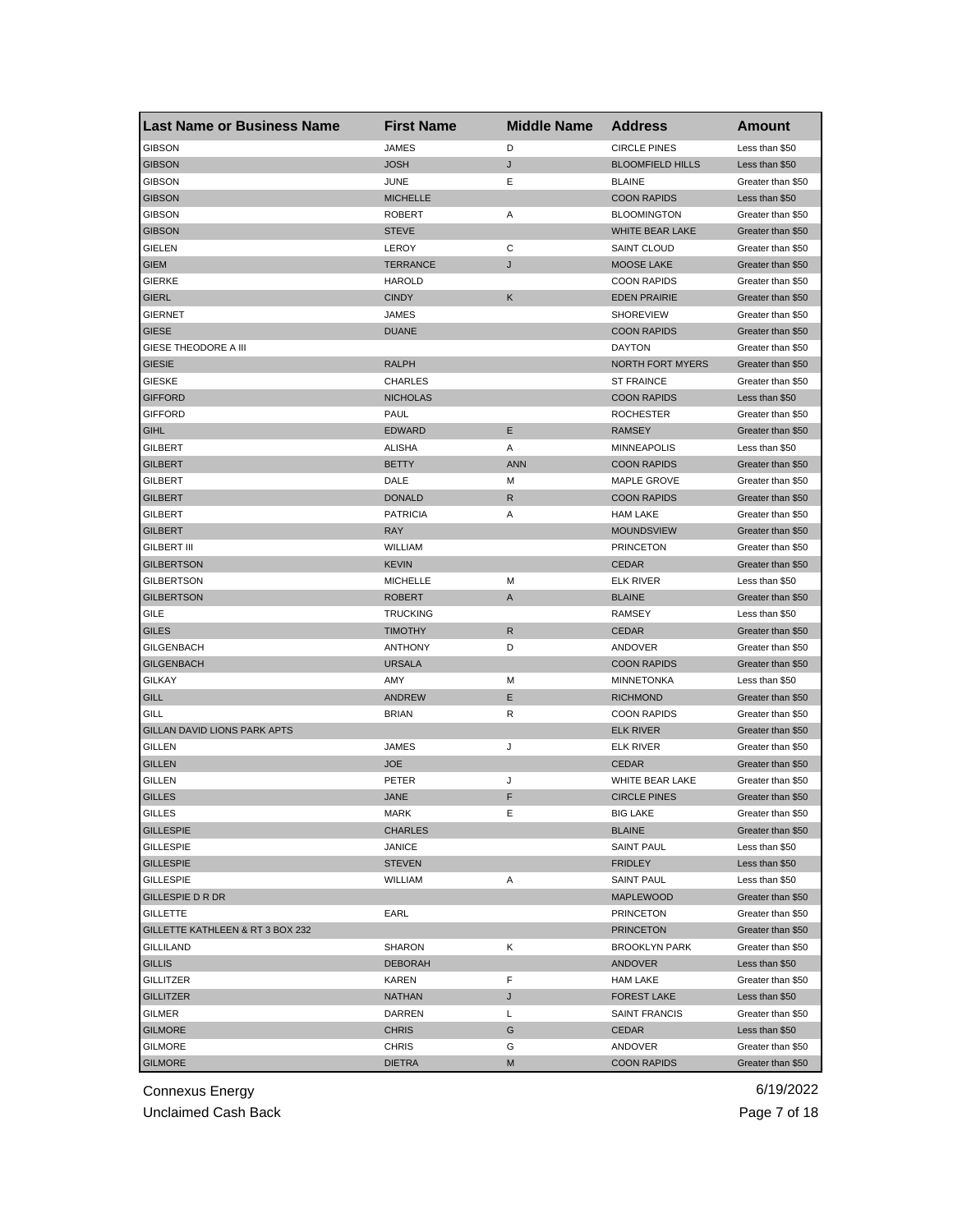| <b>Last Name or Business Name</b> | <b>First Name</b> | <b>Middle Name</b> | <b>Address</b>            | Amount            |
|-----------------------------------|-------------------|--------------------|---------------------------|-------------------|
| <b>GIBSON</b>                     | <b>JAMES</b>      | D                  | <b>CIRCLE PINES</b>       | Less than \$50    |
| <b>GIBSON</b>                     | JOSH              | J                  | <b>BLOOMFIELD HILLS</b>   | Less than \$50    |
| <b>GIBSON</b>                     | <b>JUNE</b>       | Ε                  | <b>BLAINE</b>             | Greater than \$50 |
| <b>GIBSON</b>                     | <b>MICHELLE</b>   |                    | <b>COON RAPIDS</b>        | Less than \$50    |
| <b>GIBSON</b>                     | <b>ROBERT</b>     | Α                  | <b>BLOOMINGTON</b>        | Greater than \$50 |
| <b>GIBSON</b>                     | <b>STEVE</b>      |                    | WHITE BEAR LAKE           | Greater than \$50 |
| GIELEN                            | LEROY             | С                  | SAINT CLOUD               | Greater than \$50 |
| <b>GIEM</b>                       | TERRANCE          | J                  | <b>MOOSE LAKE</b>         | Greater than \$50 |
| <b>GIERKE</b>                     | <b>HAROLD</b>     |                    | <b>COON RAPIDS</b>        | Greater than \$50 |
| <b>GIERL</b>                      | <b>CINDY</b>      | Κ                  | <b>EDEN PRAIRIE</b>       | Greater than \$50 |
| <b>GIERNET</b>                    | JAMES             |                    | <b>SHOREVIEW</b>          | Greater than \$50 |
| <b>GIESE</b>                      | <b>DUANE</b>      |                    | <b>COON RAPIDS</b>        | Greater than \$50 |
| GIESE THEODORE A III              |                   |                    | <b>DAYTON</b>             | Greater than \$50 |
| <b>GIESIE</b>                     | <b>RALPH</b>      |                    | <b>NORTH FORT MYERS</b>   | Greater than \$50 |
| <b>GIESKE</b>                     | <b>CHARLES</b>    |                    | <b>ST FRAINCE</b>         | Greater than \$50 |
| <b>GIFFORD</b>                    | <b>NICHOLAS</b>   |                    | <b>COON RAPIDS</b>        | Less than \$50    |
| <b>GIFFORD</b>                    | PAUL              |                    | <b>ROCHESTER</b>          | Greater than \$50 |
| <b>GIHL</b>                       | <b>EDWARD</b>     | E                  | <b>RAMSEY</b>             | Greater than \$50 |
| GILBERT                           | <b>ALISHA</b>     | Α                  | <b>MINNEAPOLIS</b>        | Less than \$50    |
| <b>GILBERT</b>                    | <b>BETTY</b>      | <b>ANN</b>         | <b>COON RAPIDS</b>        | Greater than \$50 |
| GILBERT                           | DALE              | M                  | <b>MAPLE GROVE</b>        | Greater than \$50 |
| <b>GILBERT</b>                    | <b>DONALD</b>     | R                  | <b>COON RAPIDS</b>        | Greater than \$50 |
| <b>GILBERT</b>                    | <b>PATRICIA</b>   | Α                  | <b>HAM LAKE</b>           | Greater than \$50 |
| <b>GILBERT</b>                    | <b>RAY</b>        |                    | <b>MOUNDSVIEW</b>         | Greater than \$50 |
| <b>GILBERT III</b>                | WILLIAM           |                    | <b>PRINCETON</b>          | Greater than \$50 |
| <b>GILBERTSON</b>                 | <b>KEVIN</b>      |                    | <b>CEDAR</b>              | Greater than \$50 |
| GILBERTSON                        | <b>MICHELLE</b>   | м                  | <b>ELK RIVER</b>          | Less than \$50    |
| <b>GILBERTSON</b>                 | ROBERT            | A                  | <b>BLAINE</b>             | Greater than \$50 |
| GILE                              | <b>TRUCKING</b>   |                    | <b>RAMSEY</b>             | Less than \$50    |
| <b>GILES</b>                      | <b>TIMOTHY</b>    | R                  | <b>CEDAR</b>              | Greater than \$50 |
| <b>GILGENBACH</b>                 | <b>ANTHONY</b>    | D                  | ANDOVER                   | Greater than \$50 |
| <b>GILGENBACH</b>                 | <b>URSALA</b>     |                    | <b>COON RAPIDS</b>        | Greater than \$50 |
| <b>GILKAY</b>                     | AMY               | М                  | <b>MINNETONKA</b>         | Less than \$50    |
| <b>GILL</b>                       | <b>ANDREW</b>     | Е                  | <b>RICHMOND</b>           | Greater than \$50 |
| GILL                              | <b>BRIAN</b>      | R                  | <b>COON RAPIDS</b>        | Greater than \$50 |
| GILLAN DAVID LIONS PARK APTS      |                   |                    | <b>ELK RIVER</b>          | Greater than \$50 |
|                                   | JAMES             |                    |                           | Greater than \$50 |
| GILLEN                            |                   | J                  | <b>ELK RIVER</b><br>CEDAR |                   |
| <b>GILLEN</b>                     | <b>JOE</b>        |                    | WHITE BEAR LAKE           | Greater than \$50 |
| <b>GILLEN</b>                     | PETER             | J                  |                           | Greater than \$50 |
| <b>GILLES</b>                     | JANE              | F                  | <b>CIRCLE PINES</b>       | Greater than \$50 |
| GILLES                            | MARK              | E                  | BIG LAKE                  | Greater than \$50 |
| <b>GILLESPIE</b>                  | CHARLES           |                    | <b>BLAINE</b>             | Greater than \$50 |
| <b>GILLESPIE</b>                  | JANICE            |                    | <b>SAINT PAUL</b>         | Less than \$50    |
| <b>GILLESPIE</b>                  | STEVEN            |                    | <b>FRIDLEY</b>            | Less than \$50    |
| <b>GILLESPIE</b>                  | WILLIAM           | Α                  | <b>SAINT PAUL</b>         | Less than \$50    |
| <b>GILLESPIE D R DR</b>           |                   |                    | <b>MAPLEWOOD</b>          | Greater than \$50 |
| <b>GILLETTE</b>                   | EARL              |                    | <b>PRINCETON</b>          | Greater than \$50 |
| GILLETTE KATHLEEN & RT 3 BOX 232  |                   |                    | <b>PRINCETON</b>          | Greater than \$50 |
| <b>GILLILAND</b>                  | SHARON            | Κ                  | <b>BROOKLYN PARK</b>      | Greater than \$50 |
| <b>GILLIS</b>                     | <b>DEBORAH</b>    |                    | <b>ANDOVER</b>            | Less than \$50    |
| <b>GILLITZER</b>                  | KAREN             | F                  | <b>HAM LAKE</b>           | Greater than \$50 |
| <b>GILLITZER</b>                  | <b>NATHAN</b>     | J                  | <b>FOREST LAKE</b>        | Less than \$50    |
| GILMER                            | DARREN            | L                  | <b>SAINT FRANCIS</b>      | Greater than \$50 |
| <b>GILMORE</b>                    | <b>CHRIS</b>      | G                  | <b>CEDAR</b>              | Less than \$50    |
| <b>GILMORE</b>                    | <b>CHRIS</b>      | G                  | ANDOVER                   | Greater than \$50 |
| <b>GILMORE</b>                    | <b>DIETRA</b>     | M                  | <b>COON RAPIDS</b>        | Greater than \$50 |

Unclaimed Cash Back **Page 7 of 18**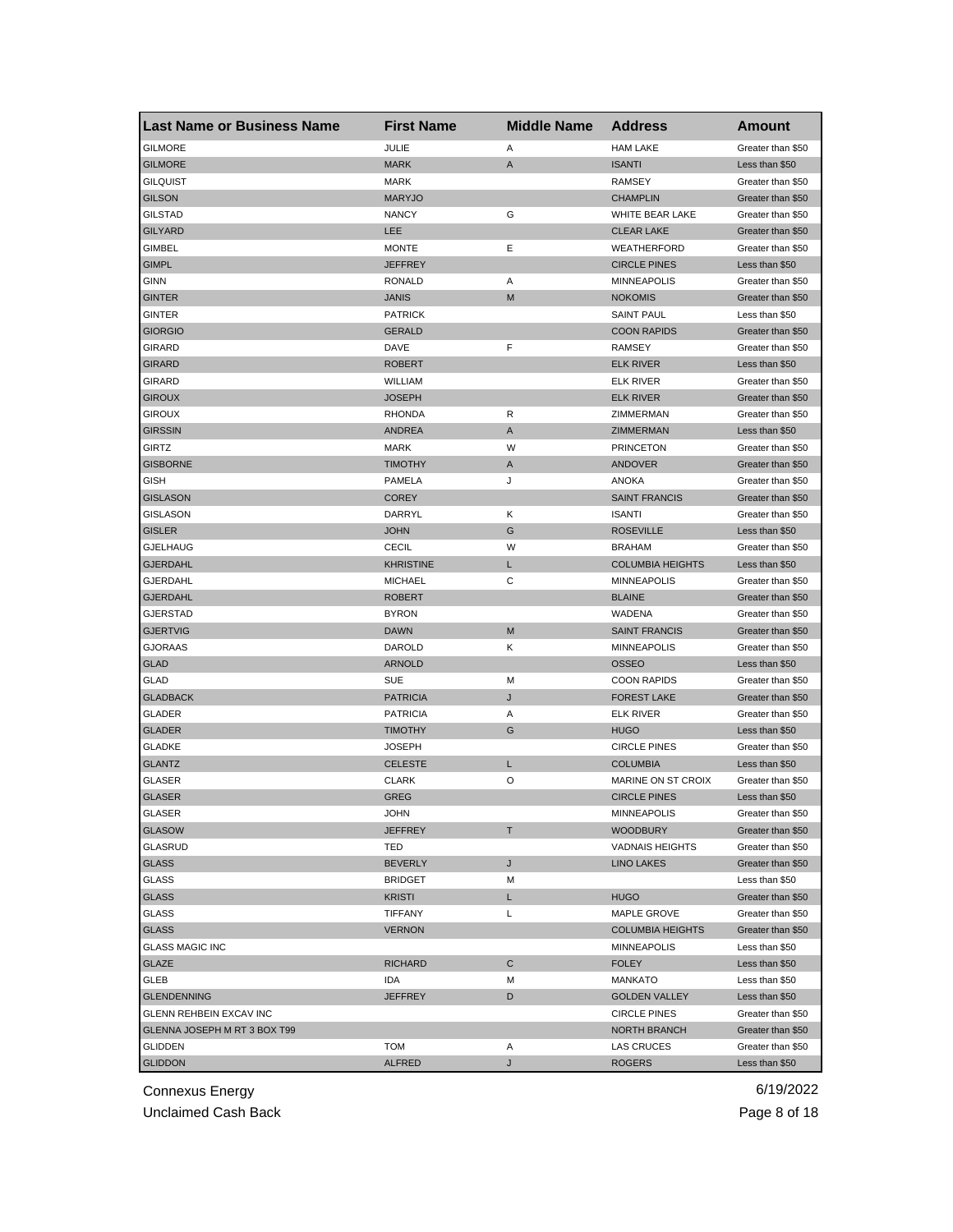| <b>Last Name or Business Name</b> | <b>First Name</b> | <b>Middle Name</b> | <b>Address</b>          | <b>Amount</b>                          |
|-----------------------------------|-------------------|--------------------|-------------------------|----------------------------------------|
| <b>GILMORE</b>                    | JULIE             | Α                  | <b>HAM LAKE</b>         | Greater than \$50                      |
| <b>GILMORE</b>                    | <b>MARK</b>       | A                  | <b>ISANTI</b>           | Less than \$50                         |
| <b>GILQUIST</b>                   | <b>MARK</b>       |                    | <b>RAMSEY</b>           | Greater than \$50                      |
| <b>GILSON</b>                     | <b>MARYJO</b>     |                    | <b>CHAMPLIN</b>         | Greater than \$50                      |
| <b>GILSTAD</b>                    | <b>NANCY</b>      | G                  | WHITE BEAR LAKE         | Greater than \$50                      |
| <b>GILYARD</b>                    | LEE               |                    | <b>CLEAR LAKE</b>       | Greater than \$50                      |
| GIMBEL                            | <b>MONTE</b>      | Е                  | WEATHERFORD             | Greater than \$50                      |
| <b>GIMPL</b>                      | JEFFREY           |                    | <b>CIRCLE PINES</b>     | Less than \$50                         |
| <b>GINN</b>                       | <b>RONALD</b>     | Α                  | <b>MINNEAPOLIS</b>      | Greater than \$50                      |
| <b>GINTER</b>                     | JANIS             | M                  | <b>NOKOMIS</b>          | Greater than \$50                      |
| GINTER                            | <b>PATRICK</b>    |                    | <b>SAINT PAUL</b>       | Less than \$50                         |
| <b>GIORGIO</b>                    | GERALD            |                    | <b>COON RAPIDS</b>      | Greater than \$50                      |
| GIRARD                            | DAVE              | F                  | RAMSEY                  | Greater than \$50                      |
| <b>GIRARD</b>                     | <b>ROBERT</b>     |                    | <b>ELK RIVER</b>        | Less than \$50                         |
| <b>GIRARD</b>                     | WILLIAM           |                    | <b>ELK RIVER</b>        | Greater than \$50                      |
| <b>GIROUX</b>                     | JOSEPH            |                    | <b>ELK RIVER</b>        | Greater than \$50                      |
| <b>GIROUX</b>                     | <b>RHONDA</b>     | R                  | ZIMMERMAN               | Greater than \$50                      |
| <b>GIRSSIN</b>                    | <b>ANDREA</b>     | A                  | ZIMMERMAN               | Less than \$50                         |
| GIRTZ                             | <b>MARK</b>       | W                  | <b>PRINCETON</b>        | Greater than \$50                      |
| <b>GISBORNE</b>                   | <b>TIMOTHY</b>    | A                  | ANDOVER                 | Greater than \$50                      |
| GISH                              | PAMELA            | J                  | ANOKA                   | Greater than \$50                      |
| <b>GISLASON</b>                   | <b>COREY</b>      |                    | <b>SAINT FRANCIS</b>    | Greater than \$50                      |
| <b>GISLASON</b>                   | DARRYL            | Κ                  | <b>ISANTI</b>           | Greater than \$50                      |
| <b>GISLER</b>                     | <b>JOHN</b>       | G                  | <b>ROSEVILLE</b>        | Less than \$50                         |
| <b>GJELHAUG</b>                   | <b>CECIL</b>      | W                  | <b>BRAHAM</b>           | Greater than \$50                      |
| <b>GJERDAHL</b>                   | KHRISTINE         | L                  | <b>COLUMBIA HEIGHTS</b> | Less than \$50                         |
| GJERDAHL                          | <b>MICHAEL</b>    | С                  | <b>MINNEAPOLIS</b>      | Greater than \$50                      |
| <b>GJERDAHL</b>                   | ROBERT            |                    | <b>BLAINE</b>           | Greater than \$50                      |
| GJERSTAD                          | <b>BYRON</b>      |                    | WADENA                  | Greater than \$50                      |
| <b>GJERTVIG</b>                   | <b>DAWN</b>       | M                  | <b>SAINT FRANCIS</b>    | Greater than \$50                      |
| <b>GJORAAS</b>                    | DAROLD            | Κ                  | <b>MINNEAPOLIS</b>      | Greater than \$50                      |
| <b>GLAD</b>                       | <b>ARNOLD</b>     |                    | <b>OSSEO</b>            | Less than \$50                         |
| GLAD                              | <b>SUE</b>        | M                  | <b>COON RAPIDS</b>      | Greater than \$50                      |
| <b>GLADBACK</b>                   | <b>PATRICIA</b>   | J                  | <b>FOREST LAKE</b>      | Greater than \$50                      |
| GLADER                            | <b>PATRICIA</b>   | Α                  | <b>ELK RIVER</b>        | Greater than \$50                      |
| <b>GLADER</b>                     | <b>TIMOTHY</b>    | G                  | <b>HUGO</b>             | Less than \$50                         |
| <b>GLADKE</b>                     | JOSEPH            |                    | <b>CIRCLE PINES</b>     | Greater than \$50                      |
| <b>GLANTZ</b>                     | <b>CELESTE</b>    | L                  | <b>COLUMBIA</b>         | Less than \$50                         |
| <b>GLASER</b>                     | <b>CLARK</b>      | O                  | MARINE ON ST CROIX      | Greater than \$50                      |
| <b>GLASER</b>                     | GREG              |                    | <b>CIRCLE PINES</b>     | Less than \$50                         |
|                                   | JOHN              |                    | <b>MINNEAPOLIS</b>      |                                        |
| GLASER<br><b>GLASOW</b>           | JEFFREY           | т                  | <b>WOODBURY</b>         | Greater than \$50<br>Greater than \$50 |
| <b>GLASRUD</b>                    | TED               |                    | <b>VADNAIS HEIGHTS</b>  | Greater than \$50                      |
| <b>GLASS</b>                      | <b>BEVERLY</b>    | J                  | <b>LINO LAKES</b>       | Greater than \$50                      |
| GLASS                             | <b>BRIDGET</b>    | М                  |                         | Less than \$50                         |
| <b>GLASS</b>                      | KRISTI            | L.                 | <b>HUGO</b>             | Greater than \$50                      |
|                                   |                   |                    |                         |                                        |
| <b>GLASS</b>                      | TIFFANY           | Г                  | MAPLE GROVE             | Greater than \$50                      |
| <b>GLASS</b>                      | <b>VERNON</b>     |                    | <b>COLUMBIA HEIGHTS</b> | Greater than \$50                      |
| <b>GLASS MAGIC INC</b>            |                   |                    | <b>MINNEAPOLIS</b>      | Less than \$50                         |
| GLAZE                             | RICHARD           | C                  | <b>FOLEY</b>            | Less than \$50                         |
| <b>GLEB</b>                       | IDA               | М                  | <b>MANKATO</b>          | Less than \$50                         |
| <b>GLENDENNING</b>                | <b>JEFFREY</b>    | D                  | <b>GOLDEN VALLEY</b>    | Less than \$50                         |
| GLENN REHBEIN EXCAV INC           |                   |                    | <b>CIRCLE PINES</b>     | Greater than \$50                      |
| GLENNA JOSEPH M RT 3 BOX T99      |                   |                    | NORTH BRANCH            | Greater than \$50                      |
| <b>GLIDDEN</b>                    | TOM               | Α                  | <b>LAS CRUCES</b>       | Greater than \$50                      |
| <b>GLIDDON</b>                    | <b>ALFRED</b>     | J                  | <b>ROGERS</b>           | Less than \$50                         |

Unclaimed Cash Back **Page 8 of 18**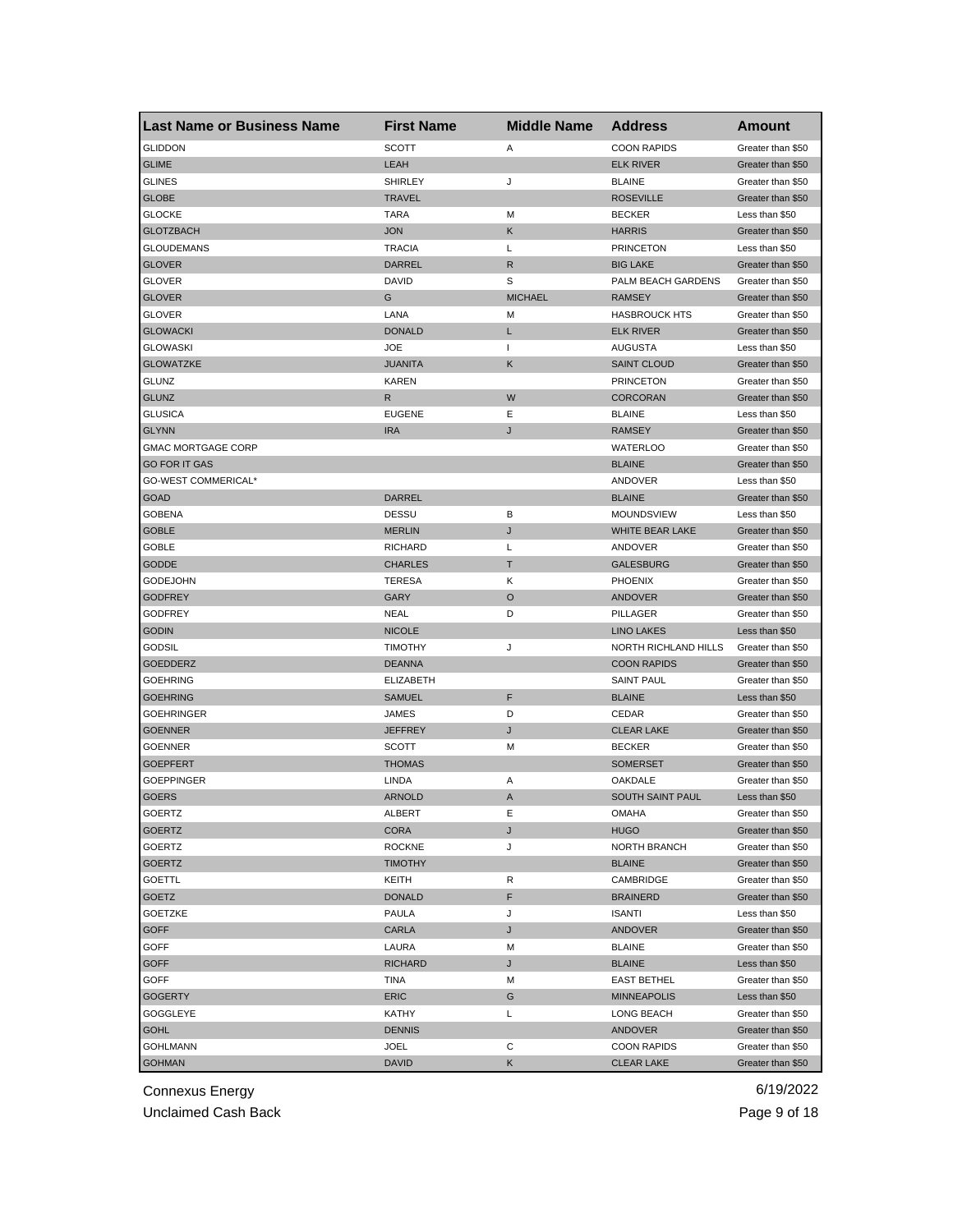| <b>Last Name or Business Name</b> | <b>First Name</b> | <b>Middle Name</b> | <b>Address</b>       | <b>Amount</b>     |
|-----------------------------------|-------------------|--------------------|----------------------|-------------------|
| <b>GLIDDON</b>                    | <b>SCOTT</b>      | Α                  | <b>COON RAPIDS</b>   | Greater than \$50 |
| <b>GLIME</b>                      | <b>LEAH</b>       |                    | <b>ELK RIVER</b>     | Greater than \$50 |
| <b>GLINES</b>                     | <b>SHIRLEY</b>    | J                  | <b>BLAINE</b>        | Greater than \$50 |
| <b>GLOBE</b>                      | <b>TRAVEL</b>     |                    | <b>ROSEVILLE</b>     | Greater than \$50 |
| <b>GLOCKE</b>                     | <b>TARA</b>       | М                  | <b>BECKER</b>        | Less than \$50    |
| <b>GLOTZBACH</b>                  | <b>JON</b>        | Κ                  | <b>HARRIS</b>        | Greater than \$50 |
| <b>GLOUDEMANS</b>                 | <b>TRACIA</b>     | L                  | <b>PRINCETON</b>     | Less than \$50    |
| <b>GLOVER</b>                     | DARREL            | R                  | <b>BIG LAKE</b>      | Greater than \$50 |
| GLOVER                            | <b>DAVID</b>      | S                  | PALM BEACH GARDENS   | Greater than \$50 |
| <b>GLOVER</b>                     | G                 | <b>MICHAEL</b>     | <b>RAMSEY</b>        | Greater than \$50 |
| GLOVER                            | LANA              | М                  | <b>HASBROUCK HTS</b> | Greater than \$50 |
| <b>GLOWACKI</b>                   | <b>DONALD</b>     | L                  | <b>ELK RIVER</b>     | Greater than \$50 |
| <b>GLOWASKI</b>                   | <b>JOE</b>        | 1                  | AUGUSTA              | Less than \$50    |
| <b>GLOWATZKE</b>                  | <b>JUANITA</b>    | Κ                  | <b>SAINT CLOUD</b>   | Greater than \$50 |
| <b>GLUNZ</b>                      | <b>KAREN</b>      |                    | <b>PRINCETON</b>     | Greater than \$50 |
| <b>GLUNZ</b>                      | R                 | W                  | <b>CORCORAN</b>      | Greater than \$50 |
| <b>GLUSICA</b>                    | <b>EUGENE</b>     | Ε                  | <b>BLAINE</b>        | Less than \$50    |
| <b>GLYNN</b>                      | <b>IRA</b>        | J                  | <b>RAMSEY</b>        | Greater than \$50 |
| <b>GMAC MORTGAGE CORP</b>         |                   |                    | <b>WATERLOO</b>      | Greater than \$50 |
| <b>GO FOR IT GAS</b>              |                   |                    | <b>BLAINE</b>        | Greater than \$50 |
| GO-WEST COMMERICAL*               |                   |                    | ANDOVER              | Less than \$50    |
| <b>GOAD</b>                       | DARREL            |                    | <b>BLAINE</b>        | Greater than \$50 |
| <b>GOBENA</b>                     | <b>DESSU</b>      | в                  | MOUNDSVIEW           | Less than \$50    |
| <b>GOBLE</b>                      | <b>MERLIN</b>     | J                  | WHITE BEAR LAKE      | Greater than \$50 |
| GOBLE                             | <b>RICHARD</b>    | L                  | ANDOVER              | Greater than \$50 |
| <b>GODDE</b>                      | <b>CHARLES</b>    | Т                  | <b>GALESBURG</b>     | Greater than \$50 |
| <b>GODEJOHN</b>                   | <b>TERESA</b>     | Κ                  | <b>PHOENIX</b>       | Greater than \$50 |
| <b>GODFREY</b>                    | GARY              | $\circ$            | ANDOVER              | Greater than \$50 |
| <b>GODFREY</b>                    | <b>NEAL</b>       | D                  | PILLAGER             | Greater than \$50 |
| <b>GODIN</b>                      | <b>NICOLE</b>     |                    | <b>LINO LAKES</b>    | Less than \$50    |
| GODSIL                            | <b>TIMOTHY</b>    | J                  | NORTH RICHLAND HILLS | Greater than \$50 |
| <b>GOEDDERZ</b>                   | <b>DEANNA</b>     |                    | <b>COON RAPIDS</b>   | Greater than \$50 |
| <b>GOEHRING</b>                   | <b>ELIZABETH</b>  |                    | <b>SAINT PAUL</b>    | Greater than \$50 |
| <b>GOEHRING</b>                   | <b>SAMUEL</b>     | F                  | <b>BLAINE</b>        | Less than \$50    |
| <b>GOEHRINGER</b>                 | JAMES             | D                  | CEDAR                | Greater than \$50 |
| <b>GOENNER</b>                    | <b>JEFFREY</b>    | J                  | <b>CLEAR LAKE</b>    | Greater than \$50 |
| <b>GOENNER</b>                    | SCOTT             | м                  | <b>BECKER</b>        | Greater than \$50 |
| <b>GOEPFERT</b>                   | <b>THOMAS</b>     |                    | <b>SOMERSET</b>      | Greater than \$50 |
| GOEPPINGER                        | LINDA             | Α                  | OAKDALE              | Greater than \$50 |
| <b>GOERS</b>                      | <b>ARNOLD</b>     | A                  | SOUTH SAINT PAUL     | Less than \$50    |
| GOERIZ                            | ALBER I           | E                  | <b>OMAHA</b>         | Greater than \$50 |
| <b>GOERTZ</b>                     | <b>CORA</b>       | J                  | <b>HUGO</b>          | Greater than \$50 |
| GOERTZ                            | <b>ROCKNE</b>     | J                  | NORTH BRANCH         | Greater than \$50 |
| <b>GOERTZ</b>                     | <b>TIMOTHY</b>    |                    | <b>BLAINE</b>        | Greater than \$50 |
| GOETTL                            | KEITH             | R                  | CAMBRIDGE            | Greater than \$50 |
| GOETZ                             | <b>DONALD</b>     | F                  | <b>BRAINERD</b>      | Greater than \$50 |
| <b>GOETZKE</b>                    | PAULA             | J                  | <b>ISANTI</b>        | Less than \$50    |
| <b>GOFF</b>                       | CARLA             | J                  | <b>ANDOVER</b>       | Greater than \$50 |
| <b>GOFF</b>                       | LAURA             | M                  | <b>BLAINE</b>        | Greater than \$50 |
| <b>GOFF</b>                       | <b>RICHARD</b>    | J                  | <b>BLAINE</b>        | Less than \$50    |
| GOFF                              | TINA              | M                  | <b>EAST BETHEL</b>   | Greater than \$50 |
| <b>GOGERTY</b>                    | <b>ERIC</b>       | G                  | <b>MINNEAPOLIS</b>   | Less than \$50    |
| GOGGLEYE                          | KATHY             | Г                  | LONG BEACH           | Greater than \$50 |
| <b>GOHL</b>                       | <b>DENNIS</b>     |                    | <b>ANDOVER</b>       | Greater than \$50 |
| <b>GOHLMANN</b>                   | JOEL              | С                  | <b>COON RAPIDS</b>   | Greater than \$50 |
| <b>GOHMAN</b>                     | <b>DAVID</b>      |                    |                      | Greater than \$50 |
|                                   |                   | Κ                  | <b>CLEAR LAKE</b>    |                   |

Unclaimed Cash Back **Page 9 of 18**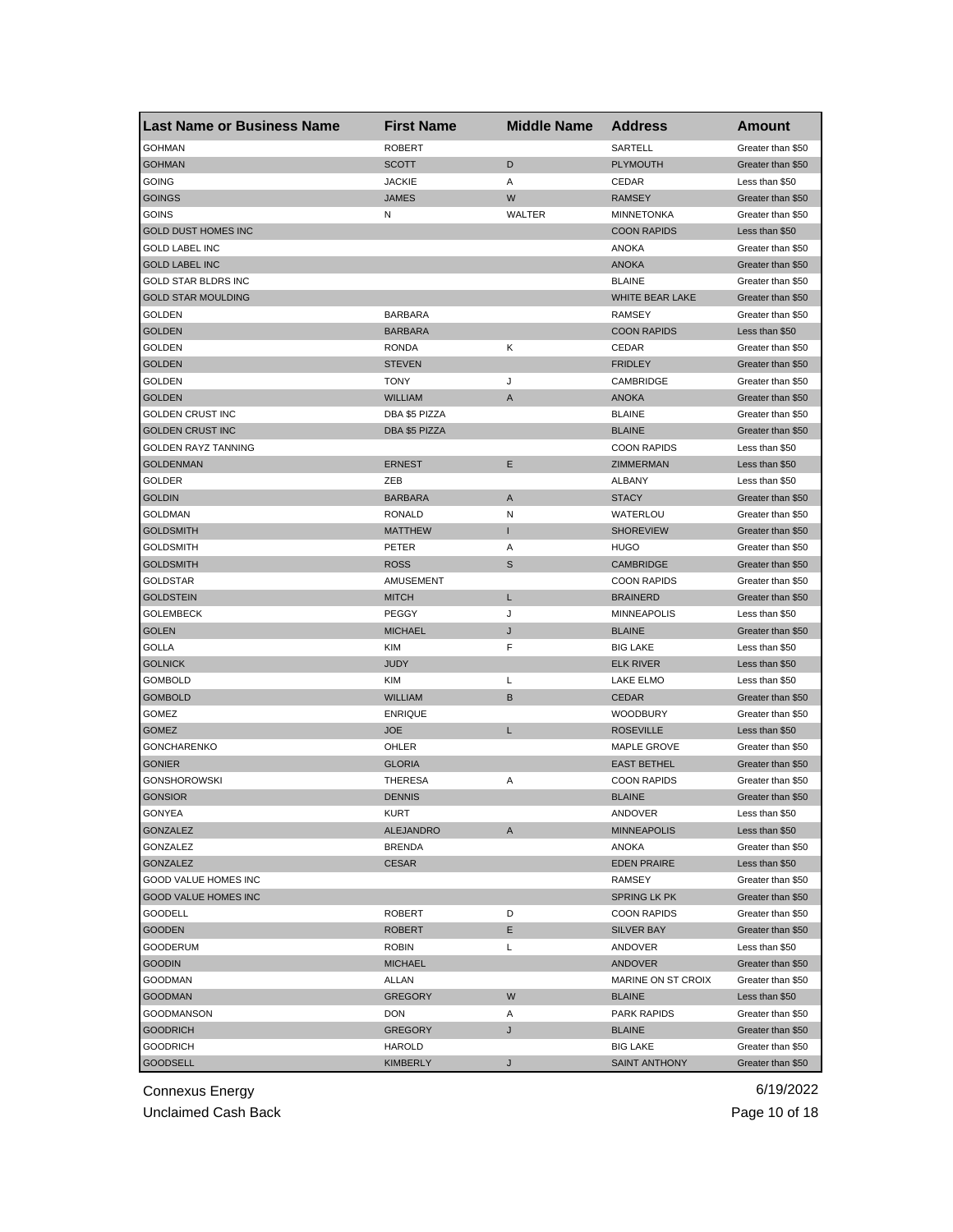| <b>Last Name or Business Name</b> | <b>First Name</b> | <b>Middle Name</b> | <b>Address</b>       | <b>Amount</b>     |
|-----------------------------------|-------------------|--------------------|----------------------|-------------------|
| <b>GOHMAN</b>                     | <b>ROBERT</b>     |                    | SARTELL              | Greater than \$50 |
| <b>GOHMAN</b>                     | <b>SCOTT</b>      | D                  | <b>PLYMOUTH</b>      | Greater than \$50 |
| GOING                             | <b>JACKIE</b>     | Α                  | CEDAR                | Less than \$50    |
| <b>GOINGS</b>                     | <b>JAMES</b>      | W                  | <b>RAMSEY</b>        | Greater than \$50 |
| GOINS                             | N                 | WALTER             | <b>MINNETONKA</b>    | Greater than \$50 |
| <b>GOLD DUST HOMES INC</b>        |                   |                    | <b>COON RAPIDS</b>   | Less than \$50    |
| <b>GOLD LABEL INC</b>             |                   |                    | <b>ANOKA</b>         | Greater than \$50 |
| <b>GOLD LABEL INC</b>             |                   |                    | <b>ANOKA</b>         | Greater than \$50 |
| <b>GOLD STAR BLDRS INC</b>        |                   |                    | <b>BLAINE</b>        | Greater than \$50 |
| <b>GOLD STAR MOULDING</b>         |                   |                    | WHITE BEAR LAKE      | Greater than \$50 |
| <b>GOLDEN</b>                     | <b>BARBARA</b>    |                    | <b>RAMSEY</b>        | Greater than \$50 |
| <b>GOLDEN</b>                     | <b>BARBARA</b>    |                    | <b>COON RAPIDS</b>   | Less than \$50    |
| GOLDEN                            | <b>RONDA</b>      | Κ                  | CEDAR                | Greater than \$50 |
| <b>GOLDEN</b>                     | <b>STEVEN</b>     |                    | <b>FRIDLEY</b>       | Greater than \$50 |
| GOLDEN                            | <b>TONY</b>       | J                  | CAMBRIDGE            | Greater than \$50 |
| <b>GOLDEN</b>                     | <b>WILLIAM</b>    | A                  | <b>ANOKA</b>         | Greater than \$50 |
| <b>GOLDEN CRUST INC</b>           | DBA \$5 PIZZA     |                    | <b>BLAINE</b>        | Greater than \$50 |
| <b>GOLDEN CRUST INC</b>           | DBA \$5 PIZZA     |                    | <b>BLAINE</b>        | Greater than \$50 |
| GOLDEN RAYZ TANNING               |                   |                    | <b>COON RAPIDS</b>   | Less than \$50    |
| <b>GOLDENMAN</b>                  | <b>ERNEST</b>     | Ε                  | ZIMMERMAN            | Less than \$50    |
| GOLDER                            | ZEB               |                    | ALBANY               | Less than \$50    |
| <b>GOLDIN</b>                     | <b>BARBARA</b>    | Α                  | <b>STACY</b>         | Greater than \$50 |
| GOLDMAN                           | <b>RONALD</b>     | Ν                  | WATERLOU             | Greater than \$50 |
| <b>GOLDSMITH</b>                  | <b>MATTHEW</b>    | п                  | <b>SHOREVIEW</b>     | Greater than \$50 |
| <b>GOLDSMITH</b>                  | PETER             | Α                  | <b>HUGO</b>          | Greater than \$50 |
| <b>GOLDSMITH</b>                  | <b>ROSS</b>       | S                  | <b>CAMBRIDGE</b>     | Greater than \$50 |
| GOLDSTAR                          | AMUSEMENT         |                    | <b>COON RAPIDS</b>   | Greater than \$50 |
| GOLDSTEIN                         | <b>MITCH</b>      | L                  | <b>BRAINERD</b>      | Greater than \$50 |
| GOLEMBECK                         | PEGGY             | J                  | <b>MINNEAPOLIS</b>   | Less than \$50    |
| <b>GOLEN</b>                      | <b>MICHAEL</b>    | J                  | <b>BLAINE</b>        | Greater than \$50 |
|                                   |                   |                    |                      |                   |
| <b>GOLLA</b>                      | <b>KIM</b>        | F                  | <b>BIG LAKE</b>      | Less than \$50    |
| <b>GOLNICK</b>                    | <b>JUDY</b>       |                    | <b>ELK RIVER</b>     | Less than \$50    |
| <b>GOMBOLD</b>                    | KIM               | L                  | LAKE ELMO            | Less than \$50    |
| <b>GOMBOLD</b>                    | <b>WILLIAM</b>    | B                  | <b>CEDAR</b>         | Greater than \$50 |
| GOMEZ                             | <b>ENRIQUE</b>    |                    | <b>WOODBURY</b>      | Greater than \$50 |
| <b>GOMEZ</b>                      | <b>JOE</b>        | L                  | <b>ROSEVILLE</b>     | Less than \$50    |
| <b>GONCHARENKO</b>                | OHLER             |                    | MAPLE GROVE          | Greater than \$50 |
| <b>GONIER</b>                     | <b>GLORIA</b>     |                    | <b>EAST BETHEL</b>   | Greater than \$50 |
| <b>GONSHOROWSKI</b>               | <b>THERESA</b>    | Α                  | <b>COON RAPIDS</b>   | Greater than \$50 |
| <b>GONSIOR</b>                    | <b>DENNIS</b>     |                    | <b>BLAINE</b>        | Greater than \$50 |
| GONYEA                            | KURT              |                    | ANDOVER              | Less than \$50    |
| GONZALEZ                          | ALEJANDRO         | A                  | <b>MINNEAPOLIS</b>   | Less than \$50    |
| GONZALEZ                          | <b>BRENDA</b>     |                    | ANOKA                | Greater than \$50 |
| <b>GONZALEZ</b>                   | <b>CESAR</b>      |                    | <b>EDEN PRAIRE</b>   | Less than \$50    |
| GOOD VALUE HOMES INC              |                   |                    | RAMSEY               | Greater than \$50 |
| <b>GOOD VALUE HOMES INC</b>       |                   |                    | <b>SPRING LK PK</b>  | Greater than \$50 |
| <b>GOODELL</b>                    | <b>ROBERT</b>     | D                  | <b>COON RAPIDS</b>   | Greater than \$50 |
| <b>GOODEN</b>                     | <b>ROBERT</b>     | Е                  | <b>SILVER BAY</b>    | Greater than \$50 |
| <b>GOODERUM</b>                   | <b>ROBIN</b>      | L                  | ANDOVER              | Less than \$50    |
| <b>GOODIN</b>                     | <b>MICHAEL</b>    |                    | <b>ANDOVER</b>       | Greater than \$50 |
| GOODMAN                           | ALLAN             |                    | MARINE ON ST CROIX   | Greater than \$50 |
| <b>GOODMAN</b>                    | <b>GREGORY</b>    | W                  | <b>BLAINE</b>        | Less than \$50    |
| <b>GOODMANSON</b>                 | <b>DON</b>        | A                  | <b>PARK RAPIDS</b>   | Greater than \$50 |
| <b>GOODRICH</b>                   | <b>GREGORY</b>    | J                  | <b>BLAINE</b>        | Greater than \$50 |
| <b>GOODRICH</b>                   | HAROLD            |                    | <b>BIG LAKE</b>      | Greater than \$50 |
| <b>GOODSELL</b>                   | <b>KIMBERLY</b>   | J                  | <b>SAINT ANTHONY</b> | Greater than \$50 |

Unclaimed Cash Back **Page 10 of 18**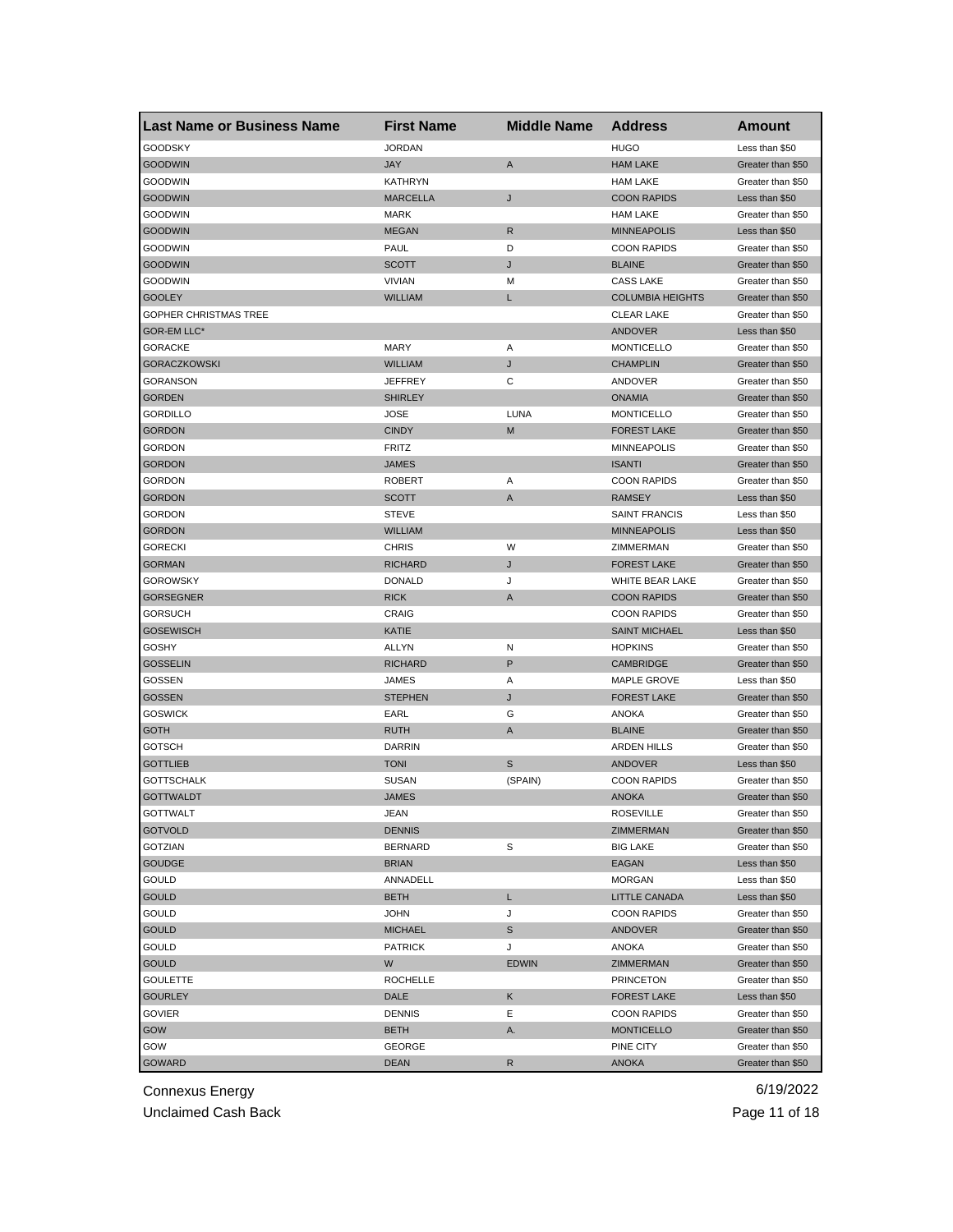| <b>Last Name or Business Name</b> | <b>First Name</b>     | <b>Middle Name</b> | <b>Address</b>          | <b>Amount</b>     |
|-----------------------------------|-----------------------|--------------------|-------------------------|-------------------|
| <b>GOODSKY</b>                    | <b>JORDAN</b>         |                    | <b>HUGO</b>             | Less than \$50    |
| <b>GOODWIN</b>                    | JAY                   | A                  | <b>HAM LAKE</b>         | Greater than \$50 |
| <b>GOODWIN</b>                    | <b>KATHRYN</b>        |                    | <b>HAM LAKE</b>         | Greater than \$50 |
| <b>GOODWIN</b>                    | <b>MARCELLA</b>       | J                  | <b>COON RAPIDS</b>      | Less than \$50    |
| GOODWIN                           | <b>MARK</b>           |                    | <b>HAM LAKE</b>         | Greater than \$50 |
| <b>GOODWIN</b>                    | <b>MEGAN</b>          | R                  | <b>MINNEAPOLIS</b>      | Less than \$50    |
| <b>GOODWIN</b>                    | PAUL                  | D                  | <b>COON RAPIDS</b>      | Greater than \$50 |
| <b>GOODWIN</b>                    | <b>SCOTT</b>          | J                  | <b>BLAINE</b>           | Greater than \$50 |
| <b>GOODWIN</b>                    | <b>VIVIAN</b>         | М                  | <b>CASS LAKE</b>        | Greater than \$50 |
| <b>GOOLEY</b>                     | <b>WILLIAM</b>        | L                  | <b>COLUMBIA HEIGHTS</b> | Greater than \$50 |
| <b>GOPHER CHRISTMAS TREE</b>      |                       |                    | <b>CLEAR LAKE</b>       | Greater than \$50 |
| GOR-EM LLC*                       |                       |                    | <b>ANDOVER</b>          | Less than \$50    |
| <b>GORACKE</b>                    | MARY                  | Α                  | <b>MONTICELLO</b>       | Greater than \$50 |
| <b>GORACZKOWSKI</b>               | WILLIAM               | J                  | <b>CHAMPLIN</b>         | Greater than \$50 |
| <b>GORANSON</b>                   | JEFFREY               | С                  | ANDOVER                 | Greater than \$50 |
| <b>GORDEN</b>                     | <b>SHIRLEY</b>        |                    | <b>ONAMIA</b>           | Greater than \$50 |
| <b>GORDILLO</b>                   | JOSE                  | <b>LUNA</b>        | <b>MONTICELLO</b>       | Greater than \$50 |
| <b>GORDON</b>                     | <b>CINDY</b>          | M                  | <b>FOREST LAKE</b>      | Greater than \$50 |
| <b>GORDON</b>                     | <b>FRITZ</b>          |                    | <b>MINNEAPOLIS</b>      | Greater than \$50 |
| <b>GORDON</b>                     | JAMES                 |                    | <b>ISANTI</b>           | Greater than \$50 |
| GORDON                            | ROBERT                | Α                  | <b>COON RAPIDS</b>      | Greater than \$50 |
| <b>GORDON</b>                     | <b>SCOTT</b>          | A                  | <b>RAMSEY</b>           | Less than \$50    |
| GORDON                            | <b>STEVE</b>          |                    | <b>SAINT FRANCIS</b>    | Less than \$50    |
| <b>GORDON</b>                     | <b>WILLIAM</b>        |                    | <b>MINNEAPOLIS</b>      | Less than \$50    |
| <b>GORECKI</b>                    | <b>CHRIS</b>          | W                  | ZIMMERMAN               | Greater than \$50 |
| <b>GORMAN</b>                     | RICHARD               | J                  | <b>FOREST LAKE</b>      | Greater than \$50 |
| <b>GOROWSKY</b>                   | <b>DONALD</b>         | J                  | WHITE BEAR LAKE         | Greater than \$50 |
| <b>GORSEGNER</b>                  | <b>RICK</b>           | A                  | <b>COON RAPIDS</b>      | Greater than \$50 |
| GORSUCH                           | CRAIG                 |                    | <b>COON RAPIDS</b>      | Greater than \$50 |
| <b>GOSEWISCH</b>                  | KATIE                 |                    | <b>SAINT MICHAEL</b>    | Less than \$50    |
| GOSHY                             | <b>ALLYN</b>          | Ν                  | <b>HOPKINS</b>          | Greater than \$50 |
| <b>GOSSELIN</b>                   | <b>RICHARD</b>        | P                  | <b>CAMBRIDGE</b>        | Greater than \$50 |
| GOSSEN                            | JAMES                 | Α                  | MAPLE GROVE             | Less than \$50    |
| <b>GOSSEN</b>                     | <b>STEPHEN</b>        | J                  | <b>FOREST LAKE</b>      | Greater than \$50 |
| <b>GOSWICK</b>                    | EARL                  | G                  | <b>ANOKA</b>            | Greater than \$50 |
| <b>GOTH</b>                       | <b>RUTH</b>           | A                  | <b>BLAINE</b>           | Greater than \$50 |
| GOTSCH                            | <b>DARRIN</b>         |                    | <b>ARDEN HILLS</b>      | Greater than \$50 |
| <b>GOTTLIEB</b>                   | <b>TONI</b>           | $\mathbb S$        | <b>ANDOVER</b>          | Less than \$50    |
| GOTTSCHALK                        | <b>SUSAN</b>          | (SPAIN)            | <b>COON RAPIDS</b>      | Greater than \$50 |
| <b>GOTTWALDT</b>                  | <b>JAMES</b>          |                    | <b>ANOKA</b>            | Greater than \$50 |
| GOTTWALT                          | JEAN                  |                    | ROSEVILLE               | Greater than \$50 |
| <b>GOTVOLD</b>                    | <b>DENNIS</b>         |                    | ZIMMERMAN               | Greater than \$50 |
| GOTZIAN                           | <b>BERNARD</b>        | s                  | <b>BIG LAKE</b>         | Greater than \$50 |
| <b>GOUDGE</b>                     | <b>BRIAN</b>          |                    | EAGAN                   | Less than \$50    |
| GOULD                             | ANNADELL              |                    | <b>MORGAN</b>           | Less than \$50    |
| <b>GOULD</b>                      | BETH                  | L                  | <b>LITTLE CANADA</b>    | Less than \$50    |
| GOULD                             | <b>JOHN</b>           | J                  | <b>COON RAPIDS</b>      | Greater than \$50 |
| <b>GOULD</b>                      | <b>MICHAEL</b>        | $\mathbb S$        | <b>ANDOVER</b>          | Greater than \$50 |
| GOULD                             | <b>PATRICK</b>        | J                  | <b>ANOKA</b>            | Greater than \$50 |
| <b>GOULD</b>                      | W                     | <b>EDWIN</b>       | ZIMMERMAN               | Greater than \$50 |
| <b>GOULETTE</b>                   | ROCHELLE              |                    | <b>PRINCETON</b>        | Greater than \$50 |
| <b>GOURLEY</b>                    | DALE                  | Κ                  | <b>FOREST LAKE</b>      | Less than \$50    |
| <b>GOVIER</b>                     | <b>DENNIS</b>         | Е                  | <b>COON RAPIDS</b>      | Greater than \$50 |
| GOW                               |                       |                    |                         | Greater than \$50 |
| GOW                               | BETH                  | Α.                 | <b>MONTICELLO</b>       | Greater than \$50 |
| <b>GOWARD</b>                     | GEORGE<br><b>DEAN</b> |                    | PINE CITY               |                   |
|                                   |                       | R                  | <b>ANOKA</b>            | Greater than \$50 |

Unclaimed Cash Back **Page 11 of 18**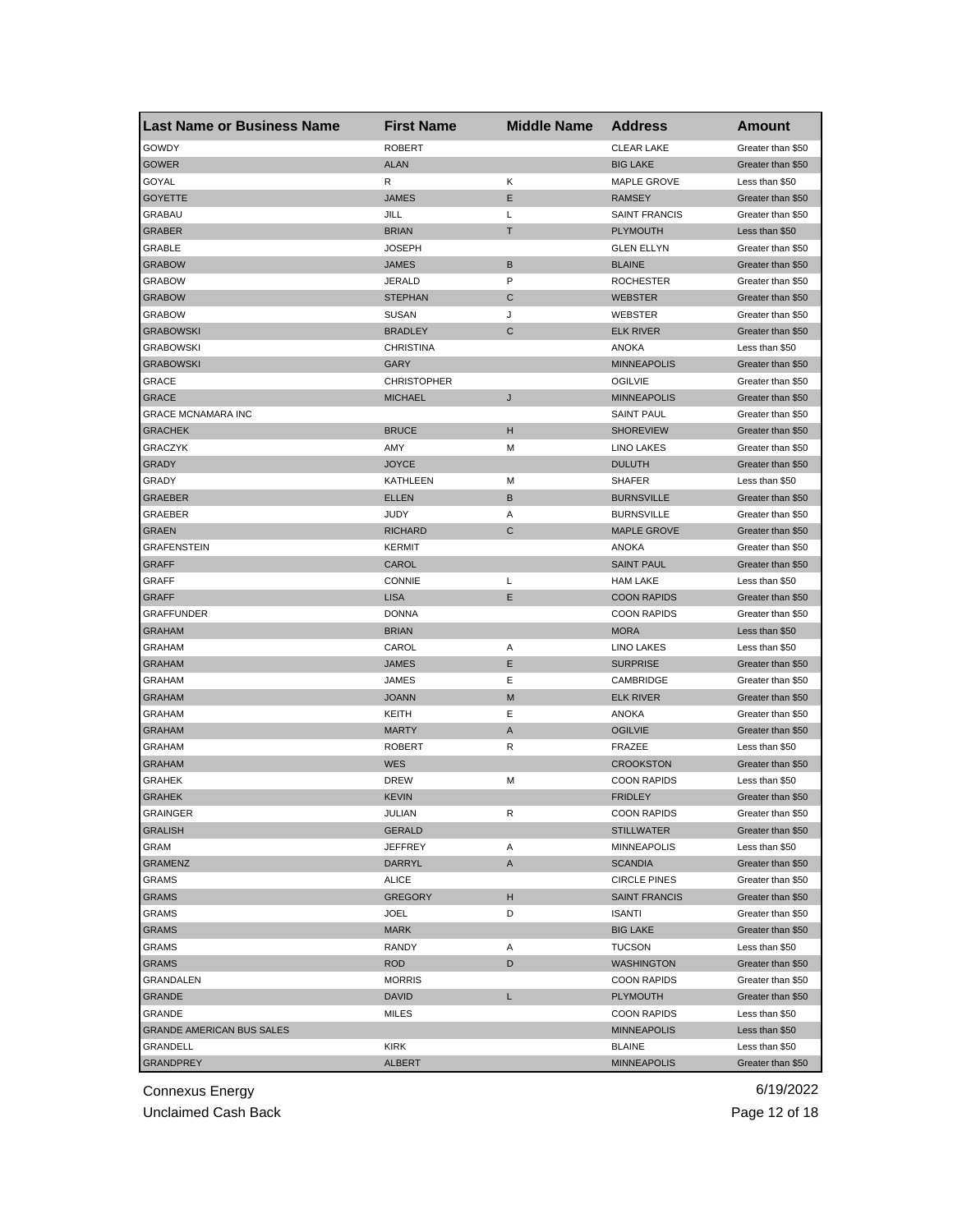| <b>Last Name or Business Name</b> | <b>First Name</b>  | <b>Middle Name</b> | <b>Address</b>       | Amount            |
|-----------------------------------|--------------------|--------------------|----------------------|-------------------|
| GOWDY                             | <b>ROBERT</b>      |                    | <b>CLEAR LAKE</b>    | Greater than \$50 |
| <b>GOWER</b>                      | <b>ALAN</b>        |                    | <b>BIG LAKE</b>      | Greater than \$50 |
| GOYAL                             | R                  | Κ                  | MAPLE GROVE          | Less than \$50    |
| <b>GOYETTE</b>                    | <b>JAMES</b>       | Ε                  | <b>RAMSEY</b>        | Greater than \$50 |
| GRABAU                            | JILL               | L                  | <b>SAINT FRANCIS</b> | Greater than \$50 |
| <b>GRABER</b>                     | <b>BRIAN</b>       | т                  | <b>PLYMOUTH</b>      | Less than \$50    |
| GRABLE                            | <b>JOSEPH</b>      |                    | <b>GLEN ELLYN</b>    | Greater than \$50 |
| <b>GRABOW</b>                     | <b>JAMES</b>       | B                  | <b>BLAINE</b>        | Greater than \$50 |
| <b>GRABOW</b>                     | <b>JERALD</b>      | P                  | <b>ROCHESTER</b>     | Greater than \$50 |
| <b>GRABOW</b>                     | <b>STEPHAN</b>     | C                  | <b>WEBSTER</b>       | Greater than \$50 |
| <b>GRABOW</b>                     | <b>SUSAN</b>       | J                  | WEBSTER              | Greater than \$50 |
| <b>GRABOWSKI</b>                  | <b>BRADLEY</b>     | C                  | <b>ELK RIVER</b>     | Greater than \$50 |
| <b>GRABOWSKI</b>                  | <b>CHRISTINA</b>   |                    | ANOKA                | Less than \$50    |
| <b>GRABOWSKI</b>                  | GARY               |                    | <b>MINNEAPOLIS</b>   | Greater than \$50 |
| GRACE                             | <b>CHRISTOPHER</b> |                    | <b>OGILVIE</b>       | Greater than \$50 |
| <b>GRACE</b>                      | <b>MICHAEL</b>     | J                  | <b>MINNEAPOLIS</b>   | Greater than \$50 |
| <b>GRACE MCNAMARA INC</b>         |                    |                    | <b>SAINT PAUL</b>    | Greater than \$50 |
| <b>GRACHEK</b>                    | <b>BRUCE</b>       | н                  | <b>SHOREVIEW</b>     | Greater than \$50 |
| GRACZYK                           | AMY                | М                  | <b>LINO LAKES</b>    | Greater than \$50 |
| GRADY                             | <b>JOYCE</b>       |                    | <b>DULUTH</b>        | Greater than \$50 |
| GRADY                             | <b>KATHLEEN</b>    | M                  | <b>SHAFER</b>        | Less than \$50    |
| <b>GRAEBER</b>                    | <b>ELLEN</b>       | B                  | <b>BURNSVILLE</b>    | Greater than \$50 |
| GRAEBER                           | <b>JUDY</b>        | Α                  | <b>BURNSVILLE</b>    | Greater than \$50 |
| <b>GRAEN</b>                      | <b>RICHARD</b>     | C                  | <b>MAPLE GROVE</b>   | Greater than \$50 |
| <b>GRAFENSTEIN</b>                | <b>KERMIT</b>      |                    | <b>ANOKA</b>         | Greater than \$50 |
| <b>GRAFF</b>                      | CAROL              |                    | <b>SAINT PAUL</b>    | Greater than \$50 |
| GRAFF                             | <b>CONNIE</b>      | L                  | <b>HAM LAKE</b>      | Less than \$50    |
| <b>GRAFF</b>                      | <b>LISA</b>        | Ε                  | <b>COON RAPIDS</b>   | Greater than \$50 |
| <b>GRAFFUNDER</b>                 | <b>DONNA</b>       |                    | <b>COON RAPIDS</b>   | Greater than \$50 |
| <b>GRAHAM</b>                     | <b>BRIAN</b>       |                    | <b>MORA</b>          | Less than \$50    |
| <b>GRAHAM</b>                     | CAROL              | Α                  | LINO LAKES           | Less than \$50    |
| <b>GRAHAM</b>                     | <b>JAMES</b>       | Ε                  | <b>SURPRISE</b>      | Greater than \$50 |
| <b>GRAHAM</b>                     | JAMES              | Ε                  | CAMBRIDGE            | Greater than \$50 |
| <b>GRAHAM</b>                     | <b>JOANN</b>       | M                  | <b>ELK RIVER</b>     | Greater than \$50 |
| <b>GRAHAM</b>                     | KEITH              | Ε                  | <b>ANOKA</b>         | Greater than \$50 |
| <b>GRAHAM</b>                     | <b>MARTY</b>       | Α                  | <b>OGILVIE</b>       | Greater than \$50 |
| GRAHAM                            | <b>ROBERT</b>      | R                  | FRAZEE               | Less than \$50    |
| <b>GRAHAM</b>                     | <b>WES</b>         |                    | <b>CROOKSTON</b>     | Greater than \$50 |
| GRAHEK                            | <b>DREW</b>        | M                  | <b>COON RAPIDS</b>   | Less than \$50    |
| <b>GRAHEK</b>                     | <b>KEVIN</b>       |                    | <b>FRIDLEY</b>       | Greater than \$50 |
| GRAINGER                          | JULIAN             | R                  | <b>COON RAPIDS</b>   | Greater than \$50 |
| <b>GRALISH</b>                    | <b>GERALD</b>      |                    | <b>STILLWATER</b>    | Greater than \$50 |
| GRAM                              | <b>JEFFREY</b>     | Α                  | MINNEAPOLIS          | Less than \$50    |
| <b>GRAMENZ</b>                    | <b>DARRYL</b>      | A                  | <b>SCANDIA</b>       | Greater than \$50 |
| <b>GRAMS</b>                      | ALICE              |                    | <b>CIRCLE PINES</b>  | Greater than \$50 |
| <b>GRAMS</b>                      | <b>GREGORY</b>     | н                  | <b>SAINT FRANCIS</b> | Greater than \$50 |
| <b>GRAMS</b>                      | JOEL               | D                  | <b>ISANTI</b>        | Greater than \$50 |
| <b>GRAMS</b>                      | <b>MARK</b>        |                    | <b>BIG LAKE</b>      | Greater than \$50 |
| <b>GRAMS</b>                      | RANDY              |                    | <b>TUCSON</b>        | Less than \$50    |
|                                   |                    | Α                  |                      |                   |
| <b>GRAMS</b>                      | <b>ROD</b>         | D                  | <b>WASHINGTON</b>    | Greater than \$50 |
| GRANDALEN                         | <b>MORRIS</b>      |                    | <b>COON RAPIDS</b>   | Greater than \$50 |
| GRANDE                            | <b>DAVID</b>       | L                  | PLYMOUTH             | Greater than \$50 |
| GRANDE                            | MILES              |                    | <b>COON RAPIDS</b>   | Less than \$50    |
| <b>GRANDE AMERICAN BUS SALES</b>  |                    |                    | <b>MINNEAPOLIS</b>   | Less than \$50    |
| GRANDELL                          | KIRK               |                    | <b>BLAINE</b>        | Less than \$50    |
| <b>GRANDPREY</b>                  | <b>ALBERT</b>      |                    | <b>MINNEAPOLIS</b>   | Greater than \$50 |

Unclaimed Cash Back **Page 12 of 18**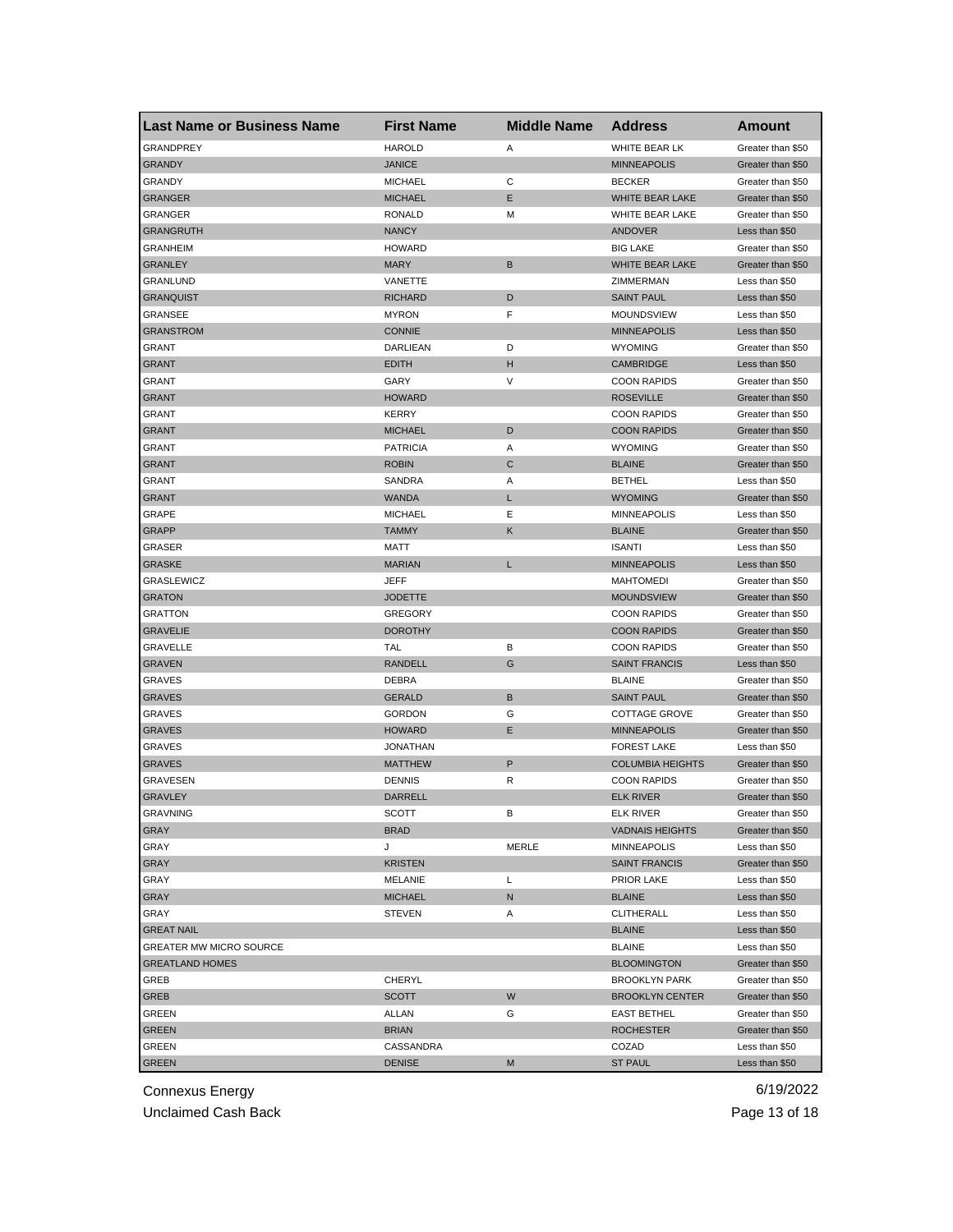| <b>Last Name or Business Name</b> | <b>First Name</b> | <b>Middle Name</b> | <b>Address</b>          | <b>Amount</b>     |
|-----------------------------------|-------------------|--------------------|-------------------------|-------------------|
| <b>GRANDPREY</b>                  | <b>HAROLD</b>     | Α                  | WHITE BEAR LK           | Greater than \$50 |
| <b>GRANDY</b>                     | <b>JANICE</b>     |                    | <b>MINNEAPOLIS</b>      | Greater than \$50 |
| GRANDY                            | <b>MICHAEL</b>    | С                  | <b>BECKER</b>           | Greater than \$50 |
| <b>GRANGER</b>                    | <b>MICHAEL</b>    | Ε                  | WHITE BEAR LAKE         | Greater than \$50 |
| GRANGER                           | <b>RONALD</b>     | M                  | WHITE BEAR LAKE         | Greater than \$50 |
| <b>GRANGRUTH</b>                  | <b>NANCY</b>      |                    | ANDOVER                 | Less than \$50    |
| GRANHEIM                          | <b>HOWARD</b>     |                    | <b>BIG LAKE</b>         | Greater than \$50 |
| <b>GRANLEY</b>                    | <b>MARY</b>       | B                  | WHITE BEAR LAKE         | Greater than \$50 |
| GRANLUND                          | VANETTE           |                    | ZIMMERMAN               | Less than \$50    |
| <b>GRANQUIST</b>                  | <b>RICHARD</b>    | D                  | <b>SAINT PAUL</b>       | Less than \$50    |
| GRANSEE                           | <b>MYRON</b>      | F                  | MOUNDSVIEW              | Less than \$50    |
| <b>GRANSTROM</b>                  | <b>CONNIE</b>     |                    | <b>MINNEAPOLIS</b>      | Less than \$50    |
| GRANT                             | DARLIEAN          | D                  | <b>WYOMING</b>          | Greater than \$50 |
| <b>GRANT</b>                      | <b>EDITH</b>      | н                  | <b>CAMBRIDGE</b>        | Less than \$50    |
| GRANT                             | GARY              | V                  | <b>COON RAPIDS</b>      | Greater than \$50 |
| <b>GRANT</b>                      | <b>HOWARD</b>     |                    | <b>ROSEVILLE</b>        | Greater than \$50 |
| GRANT                             | <b>KERRY</b>      |                    | <b>COON RAPIDS</b>      | Greater than \$50 |
| <b>GRANT</b>                      | <b>MICHAEL</b>    | D                  | <b>COON RAPIDS</b>      | Greater than \$50 |
| <b>GRANT</b>                      | <b>PATRICIA</b>   | Α                  | <b>WYOMING</b>          | Greater than \$50 |
| <b>GRANT</b>                      | <b>ROBIN</b>      | C                  | <b>BLAINE</b>           | Greater than \$50 |
| GRANT                             | SANDRA            | Α                  | <b>BETHEL</b>           | Less than \$50    |
| GRANT                             | <b>WANDA</b>      | L                  | <b>WYOMING</b>          | Greater than \$50 |
| GRAPE                             | <b>MICHAEL</b>    | Ε                  | <b>MINNEAPOLIS</b>      | Less than \$50    |
| <b>GRAPP</b>                      | <b>TAMMY</b>      | Κ                  | <b>BLAINE</b>           | Greater than \$50 |
| GRASER                            | MATT              |                    | <b>ISANTI</b>           | Less than \$50    |
| <b>GRASKE</b>                     | <b>MARIAN</b>     | L                  | <b>MINNEAPOLIS</b>      | Less than \$50    |
| GRASLEWICZ                        | <b>JEFF</b>       |                    | <b>MAHTOMEDI</b>        | Greater than \$50 |
| <b>GRATON</b>                     | JODETTE           |                    | <b>MOUNDSVIEW</b>       | Greater than \$50 |
| GRATTON                           | <b>GREGORY</b>    |                    | <b>COON RAPIDS</b>      |                   |
|                                   |                   |                    | <b>COON RAPIDS</b>      | Greater than \$50 |
| <b>GRAVELIE</b>                   | <b>DOROTHY</b>    |                    |                         | Greater than \$50 |
| GRAVELLE                          | TAL               | В<br>G             | <b>COON RAPIDS</b>      | Greater than \$50 |
| <b>GRAVEN</b>                     | RANDELL           |                    | <b>SAINT FRANCIS</b>    | Less than \$50    |
| GRAVES                            | <b>DEBRA</b>      |                    | <b>BLAINE</b>           | Greater than \$50 |
| <b>GRAVES</b>                     | <b>GERALD</b>     | В                  | <b>SAINT PAUL</b>       | Greater than \$50 |
| GRAVES                            | <b>GORDON</b>     | G                  | <b>COTTAGE GROVE</b>    | Greater than \$50 |
| <b>GRAVES</b>                     | <b>HOWARD</b>     | Ε                  | <b>MINNEAPOLIS</b>      | Greater than \$50 |
| GRAVES                            | <b>JONATHAN</b>   |                    | <b>FOREST LAKE</b>      | Less than \$50    |
| <b>GRAVES</b>                     | <b>MATTHEW</b>    | P                  | <b>COLUMBIA HEIGHTS</b> | Greater than \$50 |
| GRAVESEN                          | <b>DENNIS</b>     | R                  | <b>COON RAPIDS</b>      | Greater than \$50 |
| <b>GRAVLEY</b>                    | <b>DARRELL</b>    |                    | <b>ELK RIVER</b>        | Greater than \$50 |
| <b>GRAVNING</b>                   | SCOTT             | в                  | ELK RIVER               | Greater than \$50 |
| GRAY                              | <b>BRAD</b>       |                    | <b>VADNAIS HEIGHTS</b>  | Greater than \$50 |
| GRAY                              | J                 | <b>MERLE</b>       | <b>MINNEAPOLIS</b>      | Less than \$50    |
| GRAY                              | <b>KRISTEN</b>    |                    | <b>SAINT FRANCIS</b>    | Greater than \$50 |
| GRAY                              | MELANIE           | L                  | PRIOR LAKE              | Less than \$50    |
| GRAY                              | <b>MICHAEL</b>    | N                  | <b>BLAINE</b>           | Less than \$50    |
| GRAY                              | <b>STEVEN</b>     | Α                  | <b>CLITHERALL</b>       | Less than \$50    |
| <b>GREAT NAIL</b>                 |                   |                    | <b>BLAINE</b>           | Less than \$50    |
| <b>GREATER MW MICRO SOURCE</b>    |                   |                    | <b>BLAINE</b>           | Less than \$50    |
| <b>GREATLAND HOMES</b>            |                   |                    | <b>BLOOMINGTON</b>      | Greater than \$50 |
| GREB                              | CHERYL            |                    | <b>BROOKLYN PARK</b>    | Greater than \$50 |
| GREB                              | <b>SCOTT</b>      | W                  | <b>BROOKLYN CENTER</b>  | Greater than \$50 |
| GREEN                             | ALLAN             | G                  | <b>EAST BETHEL</b>      | Greater than \$50 |
| <b>GREEN</b>                      | <b>BRIAN</b>      |                    | <b>ROCHESTER</b>        | Greater than \$50 |
| GREEN                             | CASSANDRA         |                    | COZAD                   | Less than \$50    |
| <b>GREEN</b>                      | <b>DENISE</b>     | M                  | <b>ST PAUL</b>          | Less than \$50    |

Unclaimed Cash Back **Page 13 of 18**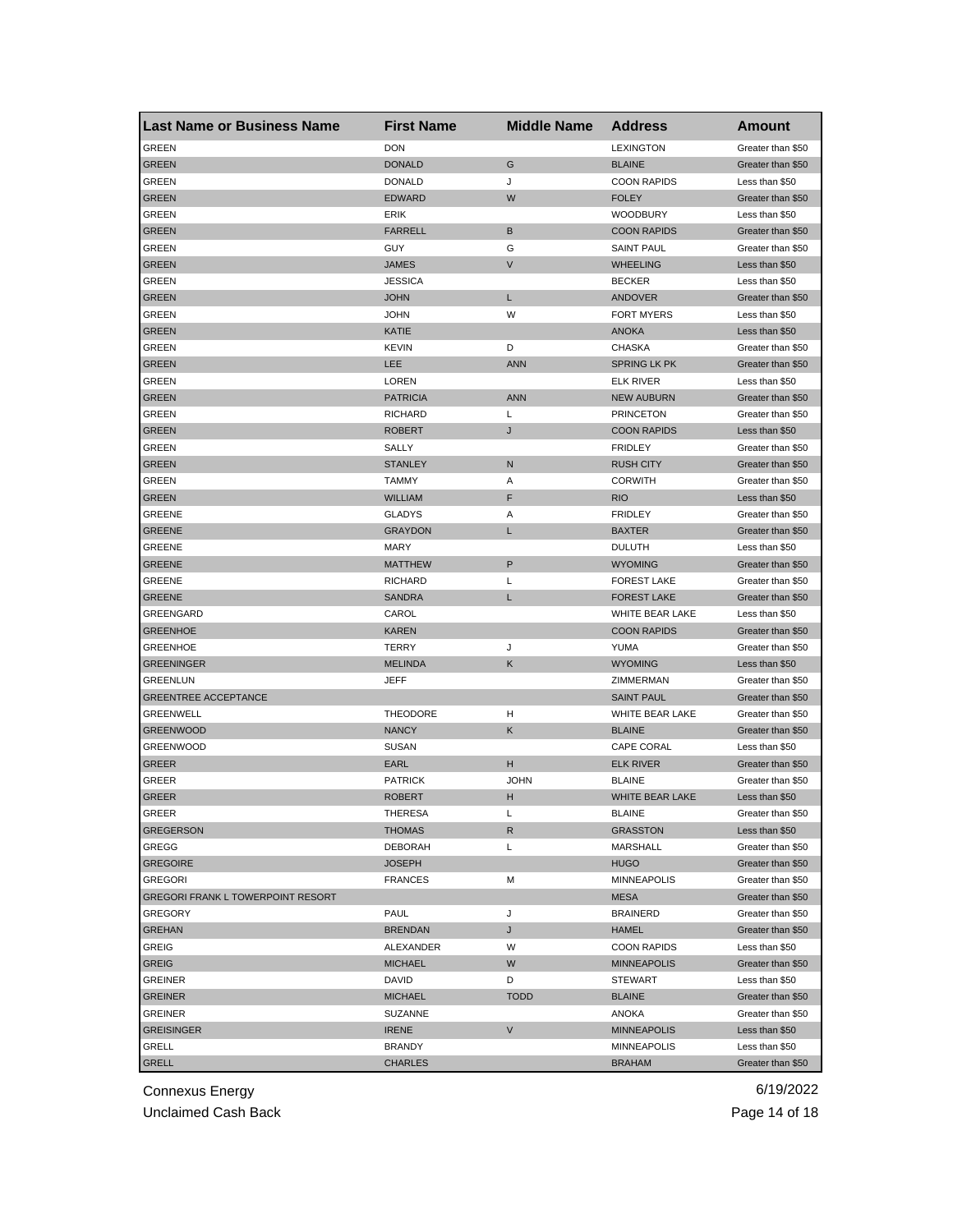| <b>Last Name or Business Name</b>        | <b>First Name</b> | <b>Middle Name</b> | <b>Address</b>      | Amount            |
|------------------------------------------|-------------------|--------------------|---------------------|-------------------|
| <b>GREEN</b>                             | <b>DON</b>        |                    | LEXINGTON           | Greater than \$50 |
| <b>GREEN</b>                             | <b>DONALD</b>     | G                  | <b>BLAINE</b>       | Greater than \$50 |
| GREEN                                    | <b>DONALD</b>     | J                  | <b>COON RAPIDS</b>  | Less than \$50    |
| <b>GREEN</b>                             | <b>EDWARD</b>     | W                  | <b>FOLEY</b>        | Greater than \$50 |
| GREEN                                    | ERIK              |                    | <b>WOODBURY</b>     | Less than \$50    |
| GREEN                                    | <b>FARRELL</b>    | B                  | <b>COON RAPIDS</b>  | Greater than \$50 |
| GREEN                                    | GUY               | G                  | <b>SAINT PAUL</b>   | Greater than \$50 |
| GREEN                                    | <b>JAMES</b>      | V                  | <b>WHEELING</b>     | Less than \$50    |
| GREEN                                    | <b>JESSICA</b>    |                    | <b>BECKER</b>       | Less than \$50    |
| <b>GREEN</b>                             | <b>JOHN</b>       | L                  | <b>ANDOVER</b>      | Greater than \$50 |
| GREEN                                    | <b>JOHN</b>       | W                  | <b>FORT MYERS</b>   | Less than \$50    |
| GREEN                                    | KATIE             |                    | <b>ANOKA</b>        | Less than \$50    |
| GREEN                                    | <b>KEVIN</b>      | D                  | <b>CHASKA</b>       | Greater than \$50 |
| <b>GREEN</b>                             | LEE               | <b>ANN</b>         | <b>SPRING LK PK</b> | Greater than \$50 |
| GREEN                                    | LOREN             |                    | <b>ELK RIVER</b>    | Less than \$50    |
| GREEN                                    | <b>PATRICIA</b>   | <b>ANN</b>         | <b>NEW AUBURN</b>   | Greater than \$50 |
| GREEN                                    | <b>RICHARD</b>    | L                  | <b>PRINCETON</b>    | Greater than \$50 |
| GREEN                                    | <b>ROBERT</b>     | J                  | <b>COON RAPIDS</b>  | Less than \$50    |
| <b>GREEN</b>                             | SALLY             |                    | <b>FRIDLEY</b>      | Greater than \$50 |
| <b>GREEN</b>                             | <b>STANLEY</b>    | N                  | <b>RUSH CITY</b>    | Greater than \$50 |
| GREEN                                    | <b>TAMMY</b>      | Α                  | <b>CORWITH</b>      | Greater than \$50 |
| GREEN                                    | <b>WILLIAM</b>    | F                  | <b>RIO</b>          | Less than \$50    |
| GREENE                                   | <b>GLADYS</b>     | Α                  | <b>FRIDLEY</b>      | Greater than \$50 |
| <b>GREENE</b>                            | <b>GRAYDON</b>    | L                  | <b>BAXTER</b>       | Greater than \$50 |
| GREENE                                   | <b>MARY</b>       |                    | <b>DULUTH</b>       | Less than \$50    |
| <b>GREENE</b>                            | <b>MATTHEW</b>    | P                  | <b>WYOMING</b>      | Greater than \$50 |
| <b>GREENE</b>                            | <b>RICHARD</b>    | Г                  | <b>FOREST LAKE</b>  | Greater than \$50 |
| <b>GREENE</b>                            | <b>SANDRA</b>     | L                  | <b>FOREST LAKE</b>  | Greater than \$50 |
| GREENGARD                                | CAROL             |                    | WHITE BEAR LAKE     | Less than \$50    |
| <b>GREENHOE</b>                          | KAREN             |                    | <b>COON RAPIDS</b>  | Greater than \$50 |
| <b>GREENHOE</b>                          | TERRY             | J                  | YUMA                | Greater than \$50 |
| <b>GREENINGER</b>                        | <b>MELINDA</b>    | Κ                  | <b>WYOMING</b>      | Less than \$50    |
| GREENLUN                                 | JEFF              |                    | ZIMMERMAN           | Greater than \$50 |
| <b>GREENTREE ACCEPTANCE</b>              |                   |                    | <b>SAINT PAUL</b>   | Greater than \$50 |
| GREENWELL                                | <b>THEODORE</b>   | н                  | WHITE BEAR LAKE     | Greater than \$50 |
| <b>GREENWOOD</b>                         | <b>NANCY</b>      | Κ                  | <b>BLAINE</b>       | Greater than \$50 |
| <b>GREENWOOD</b>                         | <b>SUSAN</b>      |                    | CAPE CORAL          | Less than \$50    |
| GREER                                    | EARL              | н                  | <b>ELK RIVER</b>    | Greater than \$50 |
| GREER                                    | <b>PATRICK</b>    | <b>JOHN</b>        | <b>BLAINE</b>       | Greater than \$50 |
| <b>GREER</b>                             | <b>ROBERT</b>     | н                  | WHITE BEAR LAKE     | Less than \$50    |
| GREER                                    | THERESA           | L                  | <b>BLAINE</b>       | Greater than \$50 |
| <b>GREGERSON</b>                         | <b>THOMAS</b>     | R                  | <b>GRASSTON</b>     | Less than \$50    |
| GREGG                                    | <b>DEBORAH</b>    | L                  | MARSHALL            | Greater than \$50 |
| <b>GREGOIRE</b>                          | <b>JOSEPH</b>     |                    | <b>HUGO</b>         | Greater than \$50 |
| <b>GREGORI</b>                           | <b>FRANCES</b>    | М                  | <b>MINNEAPOLIS</b>  | Greater than \$50 |
| <b>GREGORI FRANK L TOWERPOINT RESORT</b> |                   |                    | <b>MESA</b>         | Greater than \$50 |
| <b>GREGORY</b>                           | PAUL              | J                  | <b>BRAINERD</b>     | Greater than \$50 |
| <b>GREHAN</b>                            | <b>BRENDAN</b>    | J                  | <b>HAMEL</b>        | Greater than \$50 |
| <b>GREIG</b>                             | ALEXANDER         | W                  | <b>COON RAPIDS</b>  | Less than \$50    |
| <b>GREIG</b>                             | <b>MICHAEL</b>    | W                  | <b>MINNEAPOLIS</b>  | Greater than \$50 |
| <b>GREINER</b>                           | DAVID             | D                  | STEWART             | Less than \$50    |
| <b>GREINER</b>                           | <b>MICHAEL</b>    | <b>TODD</b>        | <b>BLAINE</b>       | Greater than \$50 |
| GREINER                                  | SUZANNE           |                    | ANOKA               | Greater than \$50 |
| <b>GREISINGER</b>                        | <b>IRENE</b>      | V                  | <b>MINNEAPOLIS</b>  | Less than \$50    |
| GRELL                                    | <b>BRANDY</b>     |                    | <b>MINNEAPOLIS</b>  | Less than \$50    |
|                                          |                   |                    |                     |                   |
| <b>GRELL</b>                             | <b>CHARLES</b>    |                    | <b>BRAHAM</b>       | Greater than \$50 |

Unclaimed Cash Back **Page 14 of 18**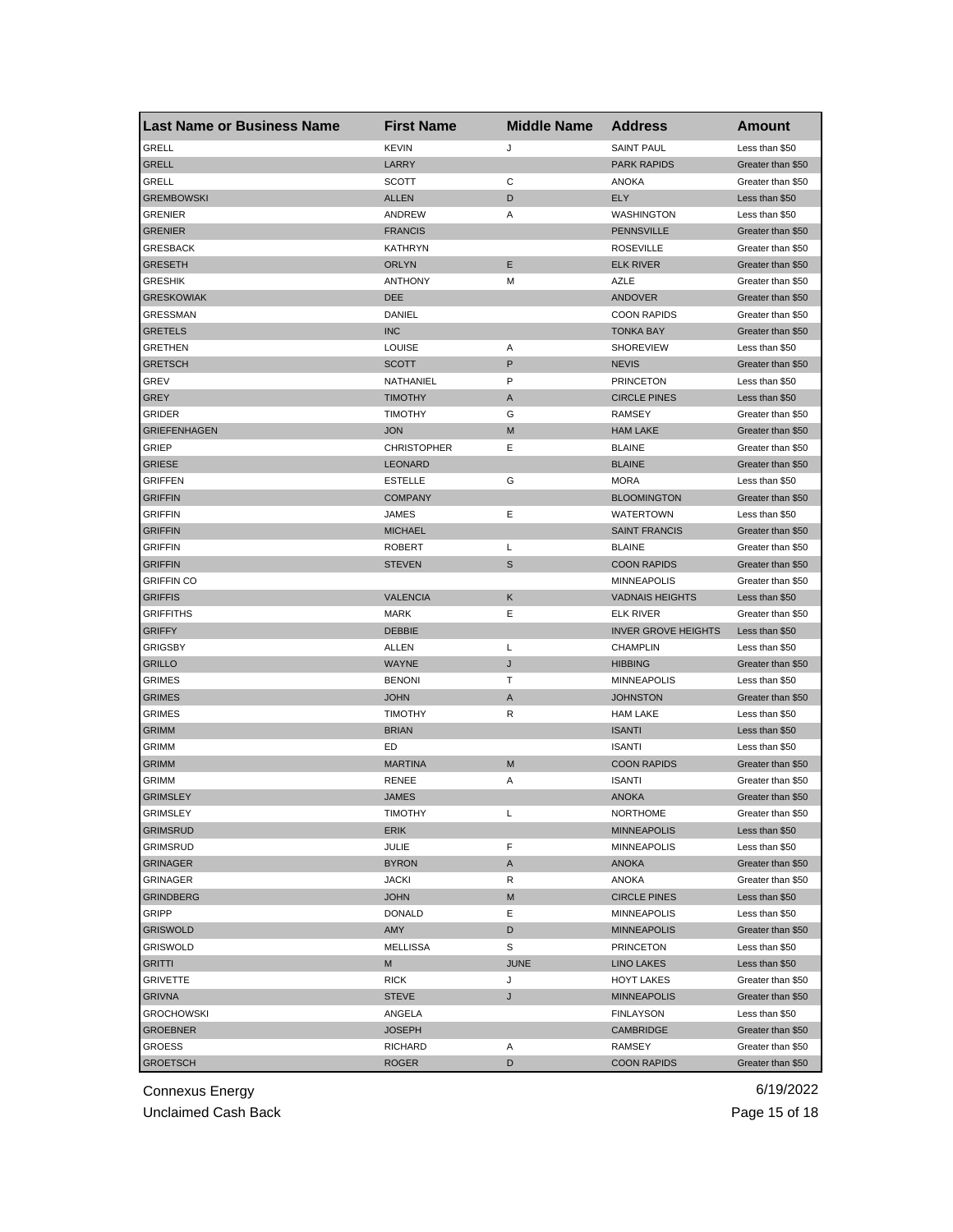| <b>GRELL</b><br><b>KEVIN</b><br>J<br><b>SAINT PAUL</b><br>Less than \$50<br><b>GRELL</b><br>LARRY<br><b>PARK RAPIDS</b><br>Greater than \$50<br>С<br>GRELL<br>SCOTT<br>ANOKA<br>Greater than \$50<br><b>GREMBOWSKI</b><br><b>ALLEN</b><br>D<br><b>ELY</b><br>Less than \$50<br><b>GRENIER</b><br>ANDREW<br>Α<br>WASHINGTON<br>Less than \$50<br><b>GRENIER</b><br><b>FRANCIS</b><br><b>PENNSVILLE</b><br>Greater than \$50<br>GRESBACK<br><b>KATHRYN</b><br><b>ROSEVILLE</b><br>Greater than \$50<br>GRESETH<br><b>ORLYN</b><br>Е<br><b>ELK RIVER</b><br>Greater than \$50<br><b>GRESHIK</b><br><b>ANTHONY</b><br>М<br>AZLE<br>Greater than \$50<br><b>GRESKOWIAK</b><br><b>DEE</b><br><b>ANDOVER</b><br>Greater than \$50<br><b>GRESSMAN</b><br>DANIEL<br><b>COON RAPIDS</b><br>Greater than \$50<br><b>GRETELS</b><br><b>INC</b><br><b>TONKA BAY</b><br>Greater than \$50<br><b>GRETHEN</b><br><b>LOUISE</b><br>Α<br><b>SHOREVIEW</b><br>Less than \$50<br>P<br><b>GRETSCH</b><br><b>SCOTT</b><br><b>NEVIS</b><br>Greater than \$50<br>P<br><b>GREV</b><br>NATHANIEL<br><b>PRINCETON</b><br>Less than \$50<br>GREY<br><b>TIMOTHY</b><br>A<br><b>CIRCLE PINES</b><br>Less than \$50<br>G<br>GRIDER<br><b>TIMOTHY</b><br><b>RAMSEY</b><br>Greater than \$50<br><b>GRIEFENHAGEN</b><br><b>JON</b><br>M<br><b>HAM LAKE</b><br>Greater than \$50<br>Ε<br>GRIEP<br><b>CHRISTOPHER</b><br><b>BLAINE</b><br>Greater than \$50<br><b>GRIESE</b><br><b>LEONARD</b><br><b>BLAINE</b><br>Greater than \$50<br>G<br><b>GRIFFEN</b><br><b>ESTELLE</b><br><b>MORA</b><br>Less than \$50<br><b>GRIFFIN</b><br><b>COMPANY</b><br><b>BLOOMINGTON</b><br>Greater than \$50<br>Ε<br><b>GRIFFIN</b><br><b>JAMES</b><br><b>WATERTOWN</b><br>Less than \$50<br><b>GRIFFIN</b><br><b>MICHAEL</b><br><b>SAINT FRANCIS</b><br>Greater than \$50<br>GRIFFIN<br>L<br><b>BLAINE</b><br><b>ROBERT</b><br>Greater than \$50<br><b>GRIFFIN</b><br>S<br><b>COON RAPIDS</b><br><b>STEVEN</b><br>Greater than \$50<br><b>GRIFFIN CO</b><br><b>MINNEAPOLIS</b><br>Greater than \$50<br><b>GRIFFIS</b><br><b>VALENCIA</b><br>Κ<br><b>VADNAIS HEIGHTS</b><br>Less than \$50<br><b>GRIFFITHS</b><br><b>MARK</b><br>Ε<br><b>ELK RIVER</b><br>Greater than \$50<br><b>DEBBIE</b><br><b>GRIFFY</b><br><b>INVER GROVE HEIGHTS</b><br>Less than \$50<br><b>GRIGSBY</b><br>ALLEN<br>L<br><b>CHAMPLIN</b><br>Less than \$50<br>J<br>GRILLO<br><b>WAYNE</b><br><b>HIBBING</b><br>Greater than \$50<br>Т<br>GRIMES<br><b>BENONI</b><br><b>MINNEAPOLIS</b><br>Less than \$50<br><b>GRIMES</b><br><b>JOHN</b><br>A<br><b>JOHNSTON</b><br>Greater than \$50<br><b>GRIMES</b><br><b>TIMOTHY</b><br>R<br><b>HAM LAKE</b><br>Less than \$50<br><b>GRIMM</b><br><b>BRIAN</b><br><b>ISANTI</b><br>Less than \$50<br>GRIMM<br>ED<br><b>ISANTI</b><br>Less than \$50<br><b>GRIMM</b><br><b>MARTINA</b><br>M<br><b>COON RAPIDS</b><br>Greater than \$50<br>GRIMM<br><b>RENEE</b><br>Α<br><b>ISANTI</b><br>Greater than \$50<br><b>GRIMSLEY</b><br><b>JAMES</b><br><b>ANOKA</b><br>Greater than \$50<br>GRIMSLEY<br>TIMOTHY<br>L<br>NORTHOME<br>Greater than \$50<br><b>GRIMSRUD</b><br>ERIK<br><b>MINNEAPOLIS</b><br>Less than \$50<br>F<br><b>GRIMSRUD</b><br>JULIE<br><b>MINNEAPOLIS</b><br>Less than \$50<br>GRINAGER<br><b>BYRON</b><br>A<br>ANOKA<br>Greater than \$50<br>GRINAGER<br><b>JACKI</b><br>R<br>ANOKA<br>Greater than \$50<br><b>JOHN</b><br><b>GRINDBERG</b><br>M<br><b>CIRCLE PINES</b><br>Less than \$50<br><b>GRIPP</b><br>Ε<br><b>DONALD</b><br><b>MINNEAPOLIS</b><br>Less than \$50<br><b>GRISWOLD</b><br>AMY<br>D<br><b>MINNEAPOLIS</b><br>Greater than \$50<br><b>GRISWOLD</b><br><b>MELLISSA</b><br>S<br><b>PRINCETON</b><br>Less than \$50<br>GRITTI<br>M<br><b>JUNE</b><br><b>LINO LAKES</b><br>Less than \$50<br><b>GRIVETTE</b><br><b>RICK</b><br>J<br><b>HOYT LAKES</b><br>Greater than \$50<br><b>GRIVNA</b><br><b>STEVE</b><br>J<br><b>MINNEAPOLIS</b><br>Greater than \$50<br><b>GROCHOWSKI</b><br>ANGELA<br><b>FINLAYSON</b><br>Less than \$50<br><b>GROEBNER</b><br><b>JOSEPH</b><br>Greater than \$50<br>CAMBRIDGE<br>GROESS<br><b>RICHARD</b><br>Α<br>RAMSEY<br>Greater than \$50<br><b>ROGER</b><br>D<br><b>COON RAPIDS</b><br>Greater than \$50 | <b>Last Name or Business Name</b> | <b>First Name</b> | <b>Middle Name</b> | <b>Address</b> | <b>Amount</b> |
|-------------------------------------------------------------------------------------------------------------------------------------------------------------------------------------------------------------------------------------------------------------------------------------------------------------------------------------------------------------------------------------------------------------------------------------------------------------------------------------------------------------------------------------------------------------------------------------------------------------------------------------------------------------------------------------------------------------------------------------------------------------------------------------------------------------------------------------------------------------------------------------------------------------------------------------------------------------------------------------------------------------------------------------------------------------------------------------------------------------------------------------------------------------------------------------------------------------------------------------------------------------------------------------------------------------------------------------------------------------------------------------------------------------------------------------------------------------------------------------------------------------------------------------------------------------------------------------------------------------------------------------------------------------------------------------------------------------------------------------------------------------------------------------------------------------------------------------------------------------------------------------------------------------------------------------------------------------------------------------------------------------------------------------------------------------------------------------------------------------------------------------------------------------------------------------------------------------------------------------------------------------------------------------------------------------------------------------------------------------------------------------------------------------------------------------------------------------------------------------------------------------------------------------------------------------------------------------------------------------------------------------------------------------------------------------------------------------------------------------------------------------------------------------------------------------------------------------------------------------------------------------------------------------------------------------------------------------------------------------------------------------------------------------------------------------------------------------------------------------------------------------------------------------------------------------------------------------------------------------------------------------------------------------------------------------------------------------------------------------------------------------------------------------------------------------------------------------------------------------------------------------------------------------------------------------------------------------------------------------------------------------------------------------------------------------------------------------------------------------------------------------------------------------------------------------------------------------------------------------------------------------------------------------------------------------------------------------------------------------------------------------------------------------------------------------------------------------------------------------------------------------------------------------------------------------------------------------------------------|-----------------------------------|-------------------|--------------------|----------------|---------------|
|                                                                                                                                                                                                                                                                                                                                                                                                                                                                                                                                                                                                                                                                                                                                                                                                                                                                                                                                                                                                                                                                                                                                                                                                                                                                                                                                                                                                                                                                                                                                                                                                                                                                                                                                                                                                                                                                                                                                                                                                                                                                                                                                                                                                                                                                                                                                                                                                                                                                                                                                                                                                                                                                                                                                                                                                                                                                                                                                                                                                                                                                                                                                                                                                                                                                                                                                                                                                                                                                                                                                                                                                                                                                                                                                                                                                                                                                                                                                                                                                                                                                                                                                                                                                                               |                                   |                   |                    |                |               |
|                                                                                                                                                                                                                                                                                                                                                                                                                                                                                                                                                                                                                                                                                                                                                                                                                                                                                                                                                                                                                                                                                                                                                                                                                                                                                                                                                                                                                                                                                                                                                                                                                                                                                                                                                                                                                                                                                                                                                                                                                                                                                                                                                                                                                                                                                                                                                                                                                                                                                                                                                                                                                                                                                                                                                                                                                                                                                                                                                                                                                                                                                                                                                                                                                                                                                                                                                                                                                                                                                                                                                                                                                                                                                                                                                                                                                                                                                                                                                                                                                                                                                                                                                                                                                               |                                   |                   |                    |                |               |
|                                                                                                                                                                                                                                                                                                                                                                                                                                                                                                                                                                                                                                                                                                                                                                                                                                                                                                                                                                                                                                                                                                                                                                                                                                                                                                                                                                                                                                                                                                                                                                                                                                                                                                                                                                                                                                                                                                                                                                                                                                                                                                                                                                                                                                                                                                                                                                                                                                                                                                                                                                                                                                                                                                                                                                                                                                                                                                                                                                                                                                                                                                                                                                                                                                                                                                                                                                                                                                                                                                                                                                                                                                                                                                                                                                                                                                                                                                                                                                                                                                                                                                                                                                                                                               |                                   |                   |                    |                |               |
|                                                                                                                                                                                                                                                                                                                                                                                                                                                                                                                                                                                                                                                                                                                                                                                                                                                                                                                                                                                                                                                                                                                                                                                                                                                                                                                                                                                                                                                                                                                                                                                                                                                                                                                                                                                                                                                                                                                                                                                                                                                                                                                                                                                                                                                                                                                                                                                                                                                                                                                                                                                                                                                                                                                                                                                                                                                                                                                                                                                                                                                                                                                                                                                                                                                                                                                                                                                                                                                                                                                                                                                                                                                                                                                                                                                                                                                                                                                                                                                                                                                                                                                                                                                                                               |                                   |                   |                    |                |               |
|                                                                                                                                                                                                                                                                                                                                                                                                                                                                                                                                                                                                                                                                                                                                                                                                                                                                                                                                                                                                                                                                                                                                                                                                                                                                                                                                                                                                                                                                                                                                                                                                                                                                                                                                                                                                                                                                                                                                                                                                                                                                                                                                                                                                                                                                                                                                                                                                                                                                                                                                                                                                                                                                                                                                                                                                                                                                                                                                                                                                                                                                                                                                                                                                                                                                                                                                                                                                                                                                                                                                                                                                                                                                                                                                                                                                                                                                                                                                                                                                                                                                                                                                                                                                                               |                                   |                   |                    |                |               |
|                                                                                                                                                                                                                                                                                                                                                                                                                                                                                                                                                                                                                                                                                                                                                                                                                                                                                                                                                                                                                                                                                                                                                                                                                                                                                                                                                                                                                                                                                                                                                                                                                                                                                                                                                                                                                                                                                                                                                                                                                                                                                                                                                                                                                                                                                                                                                                                                                                                                                                                                                                                                                                                                                                                                                                                                                                                                                                                                                                                                                                                                                                                                                                                                                                                                                                                                                                                                                                                                                                                                                                                                                                                                                                                                                                                                                                                                                                                                                                                                                                                                                                                                                                                                                               |                                   |                   |                    |                |               |
|                                                                                                                                                                                                                                                                                                                                                                                                                                                                                                                                                                                                                                                                                                                                                                                                                                                                                                                                                                                                                                                                                                                                                                                                                                                                                                                                                                                                                                                                                                                                                                                                                                                                                                                                                                                                                                                                                                                                                                                                                                                                                                                                                                                                                                                                                                                                                                                                                                                                                                                                                                                                                                                                                                                                                                                                                                                                                                                                                                                                                                                                                                                                                                                                                                                                                                                                                                                                                                                                                                                                                                                                                                                                                                                                                                                                                                                                                                                                                                                                                                                                                                                                                                                                                               |                                   |                   |                    |                |               |
|                                                                                                                                                                                                                                                                                                                                                                                                                                                                                                                                                                                                                                                                                                                                                                                                                                                                                                                                                                                                                                                                                                                                                                                                                                                                                                                                                                                                                                                                                                                                                                                                                                                                                                                                                                                                                                                                                                                                                                                                                                                                                                                                                                                                                                                                                                                                                                                                                                                                                                                                                                                                                                                                                                                                                                                                                                                                                                                                                                                                                                                                                                                                                                                                                                                                                                                                                                                                                                                                                                                                                                                                                                                                                                                                                                                                                                                                                                                                                                                                                                                                                                                                                                                                                               |                                   |                   |                    |                |               |
|                                                                                                                                                                                                                                                                                                                                                                                                                                                                                                                                                                                                                                                                                                                                                                                                                                                                                                                                                                                                                                                                                                                                                                                                                                                                                                                                                                                                                                                                                                                                                                                                                                                                                                                                                                                                                                                                                                                                                                                                                                                                                                                                                                                                                                                                                                                                                                                                                                                                                                                                                                                                                                                                                                                                                                                                                                                                                                                                                                                                                                                                                                                                                                                                                                                                                                                                                                                                                                                                                                                                                                                                                                                                                                                                                                                                                                                                                                                                                                                                                                                                                                                                                                                                                               |                                   |                   |                    |                |               |
|                                                                                                                                                                                                                                                                                                                                                                                                                                                                                                                                                                                                                                                                                                                                                                                                                                                                                                                                                                                                                                                                                                                                                                                                                                                                                                                                                                                                                                                                                                                                                                                                                                                                                                                                                                                                                                                                                                                                                                                                                                                                                                                                                                                                                                                                                                                                                                                                                                                                                                                                                                                                                                                                                                                                                                                                                                                                                                                                                                                                                                                                                                                                                                                                                                                                                                                                                                                                                                                                                                                                                                                                                                                                                                                                                                                                                                                                                                                                                                                                                                                                                                                                                                                                                               |                                   |                   |                    |                |               |
|                                                                                                                                                                                                                                                                                                                                                                                                                                                                                                                                                                                                                                                                                                                                                                                                                                                                                                                                                                                                                                                                                                                                                                                                                                                                                                                                                                                                                                                                                                                                                                                                                                                                                                                                                                                                                                                                                                                                                                                                                                                                                                                                                                                                                                                                                                                                                                                                                                                                                                                                                                                                                                                                                                                                                                                                                                                                                                                                                                                                                                                                                                                                                                                                                                                                                                                                                                                                                                                                                                                                                                                                                                                                                                                                                                                                                                                                                                                                                                                                                                                                                                                                                                                                                               |                                   |                   |                    |                |               |
|                                                                                                                                                                                                                                                                                                                                                                                                                                                                                                                                                                                                                                                                                                                                                                                                                                                                                                                                                                                                                                                                                                                                                                                                                                                                                                                                                                                                                                                                                                                                                                                                                                                                                                                                                                                                                                                                                                                                                                                                                                                                                                                                                                                                                                                                                                                                                                                                                                                                                                                                                                                                                                                                                                                                                                                                                                                                                                                                                                                                                                                                                                                                                                                                                                                                                                                                                                                                                                                                                                                                                                                                                                                                                                                                                                                                                                                                                                                                                                                                                                                                                                                                                                                                                               |                                   |                   |                    |                |               |
|                                                                                                                                                                                                                                                                                                                                                                                                                                                                                                                                                                                                                                                                                                                                                                                                                                                                                                                                                                                                                                                                                                                                                                                                                                                                                                                                                                                                                                                                                                                                                                                                                                                                                                                                                                                                                                                                                                                                                                                                                                                                                                                                                                                                                                                                                                                                                                                                                                                                                                                                                                                                                                                                                                                                                                                                                                                                                                                                                                                                                                                                                                                                                                                                                                                                                                                                                                                                                                                                                                                                                                                                                                                                                                                                                                                                                                                                                                                                                                                                                                                                                                                                                                                                                               |                                   |                   |                    |                |               |
|                                                                                                                                                                                                                                                                                                                                                                                                                                                                                                                                                                                                                                                                                                                                                                                                                                                                                                                                                                                                                                                                                                                                                                                                                                                                                                                                                                                                                                                                                                                                                                                                                                                                                                                                                                                                                                                                                                                                                                                                                                                                                                                                                                                                                                                                                                                                                                                                                                                                                                                                                                                                                                                                                                                                                                                                                                                                                                                                                                                                                                                                                                                                                                                                                                                                                                                                                                                                                                                                                                                                                                                                                                                                                                                                                                                                                                                                                                                                                                                                                                                                                                                                                                                                                               |                                   |                   |                    |                |               |
|                                                                                                                                                                                                                                                                                                                                                                                                                                                                                                                                                                                                                                                                                                                                                                                                                                                                                                                                                                                                                                                                                                                                                                                                                                                                                                                                                                                                                                                                                                                                                                                                                                                                                                                                                                                                                                                                                                                                                                                                                                                                                                                                                                                                                                                                                                                                                                                                                                                                                                                                                                                                                                                                                                                                                                                                                                                                                                                                                                                                                                                                                                                                                                                                                                                                                                                                                                                                                                                                                                                                                                                                                                                                                                                                                                                                                                                                                                                                                                                                                                                                                                                                                                                                                               |                                   |                   |                    |                |               |
|                                                                                                                                                                                                                                                                                                                                                                                                                                                                                                                                                                                                                                                                                                                                                                                                                                                                                                                                                                                                                                                                                                                                                                                                                                                                                                                                                                                                                                                                                                                                                                                                                                                                                                                                                                                                                                                                                                                                                                                                                                                                                                                                                                                                                                                                                                                                                                                                                                                                                                                                                                                                                                                                                                                                                                                                                                                                                                                                                                                                                                                                                                                                                                                                                                                                                                                                                                                                                                                                                                                                                                                                                                                                                                                                                                                                                                                                                                                                                                                                                                                                                                                                                                                                                               |                                   |                   |                    |                |               |
|                                                                                                                                                                                                                                                                                                                                                                                                                                                                                                                                                                                                                                                                                                                                                                                                                                                                                                                                                                                                                                                                                                                                                                                                                                                                                                                                                                                                                                                                                                                                                                                                                                                                                                                                                                                                                                                                                                                                                                                                                                                                                                                                                                                                                                                                                                                                                                                                                                                                                                                                                                                                                                                                                                                                                                                                                                                                                                                                                                                                                                                                                                                                                                                                                                                                                                                                                                                                                                                                                                                                                                                                                                                                                                                                                                                                                                                                                                                                                                                                                                                                                                                                                                                                                               |                                   |                   |                    |                |               |
|                                                                                                                                                                                                                                                                                                                                                                                                                                                                                                                                                                                                                                                                                                                                                                                                                                                                                                                                                                                                                                                                                                                                                                                                                                                                                                                                                                                                                                                                                                                                                                                                                                                                                                                                                                                                                                                                                                                                                                                                                                                                                                                                                                                                                                                                                                                                                                                                                                                                                                                                                                                                                                                                                                                                                                                                                                                                                                                                                                                                                                                                                                                                                                                                                                                                                                                                                                                                                                                                                                                                                                                                                                                                                                                                                                                                                                                                                                                                                                                                                                                                                                                                                                                                                               |                                   |                   |                    |                |               |
|                                                                                                                                                                                                                                                                                                                                                                                                                                                                                                                                                                                                                                                                                                                                                                                                                                                                                                                                                                                                                                                                                                                                                                                                                                                                                                                                                                                                                                                                                                                                                                                                                                                                                                                                                                                                                                                                                                                                                                                                                                                                                                                                                                                                                                                                                                                                                                                                                                                                                                                                                                                                                                                                                                                                                                                                                                                                                                                                                                                                                                                                                                                                                                                                                                                                                                                                                                                                                                                                                                                                                                                                                                                                                                                                                                                                                                                                                                                                                                                                                                                                                                                                                                                                                               |                                   |                   |                    |                |               |
|                                                                                                                                                                                                                                                                                                                                                                                                                                                                                                                                                                                                                                                                                                                                                                                                                                                                                                                                                                                                                                                                                                                                                                                                                                                                                                                                                                                                                                                                                                                                                                                                                                                                                                                                                                                                                                                                                                                                                                                                                                                                                                                                                                                                                                                                                                                                                                                                                                                                                                                                                                                                                                                                                                                                                                                                                                                                                                                                                                                                                                                                                                                                                                                                                                                                                                                                                                                                                                                                                                                                                                                                                                                                                                                                                                                                                                                                                                                                                                                                                                                                                                                                                                                                                               |                                   |                   |                    |                |               |
|                                                                                                                                                                                                                                                                                                                                                                                                                                                                                                                                                                                                                                                                                                                                                                                                                                                                                                                                                                                                                                                                                                                                                                                                                                                                                                                                                                                                                                                                                                                                                                                                                                                                                                                                                                                                                                                                                                                                                                                                                                                                                                                                                                                                                                                                                                                                                                                                                                                                                                                                                                                                                                                                                                                                                                                                                                                                                                                                                                                                                                                                                                                                                                                                                                                                                                                                                                                                                                                                                                                                                                                                                                                                                                                                                                                                                                                                                                                                                                                                                                                                                                                                                                                                                               |                                   |                   |                    |                |               |
|                                                                                                                                                                                                                                                                                                                                                                                                                                                                                                                                                                                                                                                                                                                                                                                                                                                                                                                                                                                                                                                                                                                                                                                                                                                                                                                                                                                                                                                                                                                                                                                                                                                                                                                                                                                                                                                                                                                                                                                                                                                                                                                                                                                                                                                                                                                                                                                                                                                                                                                                                                                                                                                                                                                                                                                                                                                                                                                                                                                                                                                                                                                                                                                                                                                                                                                                                                                                                                                                                                                                                                                                                                                                                                                                                                                                                                                                                                                                                                                                                                                                                                                                                                                                                               |                                   |                   |                    |                |               |
|                                                                                                                                                                                                                                                                                                                                                                                                                                                                                                                                                                                                                                                                                                                                                                                                                                                                                                                                                                                                                                                                                                                                                                                                                                                                                                                                                                                                                                                                                                                                                                                                                                                                                                                                                                                                                                                                                                                                                                                                                                                                                                                                                                                                                                                                                                                                                                                                                                                                                                                                                                                                                                                                                                                                                                                                                                                                                                                                                                                                                                                                                                                                                                                                                                                                                                                                                                                                                                                                                                                                                                                                                                                                                                                                                                                                                                                                                                                                                                                                                                                                                                                                                                                                                               |                                   |                   |                    |                |               |
|                                                                                                                                                                                                                                                                                                                                                                                                                                                                                                                                                                                                                                                                                                                                                                                                                                                                                                                                                                                                                                                                                                                                                                                                                                                                                                                                                                                                                                                                                                                                                                                                                                                                                                                                                                                                                                                                                                                                                                                                                                                                                                                                                                                                                                                                                                                                                                                                                                                                                                                                                                                                                                                                                                                                                                                                                                                                                                                                                                                                                                                                                                                                                                                                                                                                                                                                                                                                                                                                                                                                                                                                                                                                                                                                                                                                                                                                                                                                                                                                                                                                                                                                                                                                                               |                                   |                   |                    |                |               |
|                                                                                                                                                                                                                                                                                                                                                                                                                                                                                                                                                                                                                                                                                                                                                                                                                                                                                                                                                                                                                                                                                                                                                                                                                                                                                                                                                                                                                                                                                                                                                                                                                                                                                                                                                                                                                                                                                                                                                                                                                                                                                                                                                                                                                                                                                                                                                                                                                                                                                                                                                                                                                                                                                                                                                                                                                                                                                                                                                                                                                                                                                                                                                                                                                                                                                                                                                                                                                                                                                                                                                                                                                                                                                                                                                                                                                                                                                                                                                                                                                                                                                                                                                                                                                               |                                   |                   |                    |                |               |
|                                                                                                                                                                                                                                                                                                                                                                                                                                                                                                                                                                                                                                                                                                                                                                                                                                                                                                                                                                                                                                                                                                                                                                                                                                                                                                                                                                                                                                                                                                                                                                                                                                                                                                                                                                                                                                                                                                                                                                                                                                                                                                                                                                                                                                                                                                                                                                                                                                                                                                                                                                                                                                                                                                                                                                                                                                                                                                                                                                                                                                                                                                                                                                                                                                                                                                                                                                                                                                                                                                                                                                                                                                                                                                                                                                                                                                                                                                                                                                                                                                                                                                                                                                                                                               |                                   |                   |                    |                |               |
|                                                                                                                                                                                                                                                                                                                                                                                                                                                                                                                                                                                                                                                                                                                                                                                                                                                                                                                                                                                                                                                                                                                                                                                                                                                                                                                                                                                                                                                                                                                                                                                                                                                                                                                                                                                                                                                                                                                                                                                                                                                                                                                                                                                                                                                                                                                                                                                                                                                                                                                                                                                                                                                                                                                                                                                                                                                                                                                                                                                                                                                                                                                                                                                                                                                                                                                                                                                                                                                                                                                                                                                                                                                                                                                                                                                                                                                                                                                                                                                                                                                                                                                                                                                                                               |                                   |                   |                    |                |               |
|                                                                                                                                                                                                                                                                                                                                                                                                                                                                                                                                                                                                                                                                                                                                                                                                                                                                                                                                                                                                                                                                                                                                                                                                                                                                                                                                                                                                                                                                                                                                                                                                                                                                                                                                                                                                                                                                                                                                                                                                                                                                                                                                                                                                                                                                                                                                                                                                                                                                                                                                                                                                                                                                                                                                                                                                                                                                                                                                                                                                                                                                                                                                                                                                                                                                                                                                                                                                                                                                                                                                                                                                                                                                                                                                                                                                                                                                                                                                                                                                                                                                                                                                                                                                                               |                                   |                   |                    |                |               |
|                                                                                                                                                                                                                                                                                                                                                                                                                                                                                                                                                                                                                                                                                                                                                                                                                                                                                                                                                                                                                                                                                                                                                                                                                                                                                                                                                                                                                                                                                                                                                                                                                                                                                                                                                                                                                                                                                                                                                                                                                                                                                                                                                                                                                                                                                                                                                                                                                                                                                                                                                                                                                                                                                                                                                                                                                                                                                                                                                                                                                                                                                                                                                                                                                                                                                                                                                                                                                                                                                                                                                                                                                                                                                                                                                                                                                                                                                                                                                                                                                                                                                                                                                                                                                               |                                   |                   |                    |                |               |
|                                                                                                                                                                                                                                                                                                                                                                                                                                                                                                                                                                                                                                                                                                                                                                                                                                                                                                                                                                                                                                                                                                                                                                                                                                                                                                                                                                                                                                                                                                                                                                                                                                                                                                                                                                                                                                                                                                                                                                                                                                                                                                                                                                                                                                                                                                                                                                                                                                                                                                                                                                                                                                                                                                                                                                                                                                                                                                                                                                                                                                                                                                                                                                                                                                                                                                                                                                                                                                                                                                                                                                                                                                                                                                                                                                                                                                                                                                                                                                                                                                                                                                                                                                                                                               |                                   |                   |                    |                |               |
|                                                                                                                                                                                                                                                                                                                                                                                                                                                                                                                                                                                                                                                                                                                                                                                                                                                                                                                                                                                                                                                                                                                                                                                                                                                                                                                                                                                                                                                                                                                                                                                                                                                                                                                                                                                                                                                                                                                                                                                                                                                                                                                                                                                                                                                                                                                                                                                                                                                                                                                                                                                                                                                                                                                                                                                                                                                                                                                                                                                                                                                                                                                                                                                                                                                                                                                                                                                                                                                                                                                                                                                                                                                                                                                                                                                                                                                                                                                                                                                                                                                                                                                                                                                                                               |                                   |                   |                    |                |               |
|                                                                                                                                                                                                                                                                                                                                                                                                                                                                                                                                                                                                                                                                                                                                                                                                                                                                                                                                                                                                                                                                                                                                                                                                                                                                                                                                                                                                                                                                                                                                                                                                                                                                                                                                                                                                                                                                                                                                                                                                                                                                                                                                                                                                                                                                                                                                                                                                                                                                                                                                                                                                                                                                                                                                                                                                                                                                                                                                                                                                                                                                                                                                                                                                                                                                                                                                                                                                                                                                                                                                                                                                                                                                                                                                                                                                                                                                                                                                                                                                                                                                                                                                                                                                                               |                                   |                   |                    |                |               |
|                                                                                                                                                                                                                                                                                                                                                                                                                                                                                                                                                                                                                                                                                                                                                                                                                                                                                                                                                                                                                                                                                                                                                                                                                                                                                                                                                                                                                                                                                                                                                                                                                                                                                                                                                                                                                                                                                                                                                                                                                                                                                                                                                                                                                                                                                                                                                                                                                                                                                                                                                                                                                                                                                                                                                                                                                                                                                                                                                                                                                                                                                                                                                                                                                                                                                                                                                                                                                                                                                                                                                                                                                                                                                                                                                                                                                                                                                                                                                                                                                                                                                                                                                                                                                               |                                   |                   |                    |                |               |
|                                                                                                                                                                                                                                                                                                                                                                                                                                                                                                                                                                                                                                                                                                                                                                                                                                                                                                                                                                                                                                                                                                                                                                                                                                                                                                                                                                                                                                                                                                                                                                                                                                                                                                                                                                                                                                                                                                                                                                                                                                                                                                                                                                                                                                                                                                                                                                                                                                                                                                                                                                                                                                                                                                                                                                                                                                                                                                                                                                                                                                                                                                                                                                                                                                                                                                                                                                                                                                                                                                                                                                                                                                                                                                                                                                                                                                                                                                                                                                                                                                                                                                                                                                                                                               |                                   |                   |                    |                |               |
|                                                                                                                                                                                                                                                                                                                                                                                                                                                                                                                                                                                                                                                                                                                                                                                                                                                                                                                                                                                                                                                                                                                                                                                                                                                                                                                                                                                                                                                                                                                                                                                                                                                                                                                                                                                                                                                                                                                                                                                                                                                                                                                                                                                                                                                                                                                                                                                                                                                                                                                                                                                                                                                                                                                                                                                                                                                                                                                                                                                                                                                                                                                                                                                                                                                                                                                                                                                                                                                                                                                                                                                                                                                                                                                                                                                                                                                                                                                                                                                                                                                                                                                                                                                                                               |                                   |                   |                    |                |               |
|                                                                                                                                                                                                                                                                                                                                                                                                                                                                                                                                                                                                                                                                                                                                                                                                                                                                                                                                                                                                                                                                                                                                                                                                                                                                                                                                                                                                                                                                                                                                                                                                                                                                                                                                                                                                                                                                                                                                                                                                                                                                                                                                                                                                                                                                                                                                                                                                                                                                                                                                                                                                                                                                                                                                                                                                                                                                                                                                                                                                                                                                                                                                                                                                                                                                                                                                                                                                                                                                                                                                                                                                                                                                                                                                                                                                                                                                                                                                                                                                                                                                                                                                                                                                                               |                                   |                   |                    |                |               |
|                                                                                                                                                                                                                                                                                                                                                                                                                                                                                                                                                                                                                                                                                                                                                                                                                                                                                                                                                                                                                                                                                                                                                                                                                                                                                                                                                                                                                                                                                                                                                                                                                                                                                                                                                                                                                                                                                                                                                                                                                                                                                                                                                                                                                                                                                                                                                                                                                                                                                                                                                                                                                                                                                                                                                                                                                                                                                                                                                                                                                                                                                                                                                                                                                                                                                                                                                                                                                                                                                                                                                                                                                                                                                                                                                                                                                                                                                                                                                                                                                                                                                                                                                                                                                               |                                   |                   |                    |                |               |
|                                                                                                                                                                                                                                                                                                                                                                                                                                                                                                                                                                                                                                                                                                                                                                                                                                                                                                                                                                                                                                                                                                                                                                                                                                                                                                                                                                                                                                                                                                                                                                                                                                                                                                                                                                                                                                                                                                                                                                                                                                                                                                                                                                                                                                                                                                                                                                                                                                                                                                                                                                                                                                                                                                                                                                                                                                                                                                                                                                                                                                                                                                                                                                                                                                                                                                                                                                                                                                                                                                                                                                                                                                                                                                                                                                                                                                                                                                                                                                                                                                                                                                                                                                                                                               |                                   |                   |                    |                |               |
|                                                                                                                                                                                                                                                                                                                                                                                                                                                                                                                                                                                                                                                                                                                                                                                                                                                                                                                                                                                                                                                                                                                                                                                                                                                                                                                                                                                                                                                                                                                                                                                                                                                                                                                                                                                                                                                                                                                                                                                                                                                                                                                                                                                                                                                                                                                                                                                                                                                                                                                                                                                                                                                                                                                                                                                                                                                                                                                                                                                                                                                                                                                                                                                                                                                                                                                                                                                                                                                                                                                                                                                                                                                                                                                                                                                                                                                                                                                                                                                                                                                                                                                                                                                                                               |                                   |                   |                    |                |               |
|                                                                                                                                                                                                                                                                                                                                                                                                                                                                                                                                                                                                                                                                                                                                                                                                                                                                                                                                                                                                                                                                                                                                                                                                                                                                                                                                                                                                                                                                                                                                                                                                                                                                                                                                                                                                                                                                                                                                                                                                                                                                                                                                                                                                                                                                                                                                                                                                                                                                                                                                                                                                                                                                                                                                                                                                                                                                                                                                                                                                                                                                                                                                                                                                                                                                                                                                                                                                                                                                                                                                                                                                                                                                                                                                                                                                                                                                                                                                                                                                                                                                                                                                                                                                                               |                                   |                   |                    |                |               |
|                                                                                                                                                                                                                                                                                                                                                                                                                                                                                                                                                                                                                                                                                                                                                                                                                                                                                                                                                                                                                                                                                                                                                                                                                                                                                                                                                                                                                                                                                                                                                                                                                                                                                                                                                                                                                                                                                                                                                                                                                                                                                                                                                                                                                                                                                                                                                                                                                                                                                                                                                                                                                                                                                                                                                                                                                                                                                                                                                                                                                                                                                                                                                                                                                                                                                                                                                                                                                                                                                                                                                                                                                                                                                                                                                                                                                                                                                                                                                                                                                                                                                                                                                                                                                               |                                   |                   |                    |                |               |
|                                                                                                                                                                                                                                                                                                                                                                                                                                                                                                                                                                                                                                                                                                                                                                                                                                                                                                                                                                                                                                                                                                                                                                                                                                                                                                                                                                                                                                                                                                                                                                                                                                                                                                                                                                                                                                                                                                                                                                                                                                                                                                                                                                                                                                                                                                                                                                                                                                                                                                                                                                                                                                                                                                                                                                                                                                                                                                                                                                                                                                                                                                                                                                                                                                                                                                                                                                                                                                                                                                                                                                                                                                                                                                                                                                                                                                                                                                                                                                                                                                                                                                                                                                                                                               |                                   |                   |                    |                |               |
|                                                                                                                                                                                                                                                                                                                                                                                                                                                                                                                                                                                                                                                                                                                                                                                                                                                                                                                                                                                                                                                                                                                                                                                                                                                                                                                                                                                                                                                                                                                                                                                                                                                                                                                                                                                                                                                                                                                                                                                                                                                                                                                                                                                                                                                                                                                                                                                                                                                                                                                                                                                                                                                                                                                                                                                                                                                                                                                                                                                                                                                                                                                                                                                                                                                                                                                                                                                                                                                                                                                                                                                                                                                                                                                                                                                                                                                                                                                                                                                                                                                                                                                                                                                                                               |                                   |                   |                    |                |               |
|                                                                                                                                                                                                                                                                                                                                                                                                                                                                                                                                                                                                                                                                                                                                                                                                                                                                                                                                                                                                                                                                                                                                                                                                                                                                                                                                                                                                                                                                                                                                                                                                                                                                                                                                                                                                                                                                                                                                                                                                                                                                                                                                                                                                                                                                                                                                                                                                                                                                                                                                                                                                                                                                                                                                                                                                                                                                                                                                                                                                                                                                                                                                                                                                                                                                                                                                                                                                                                                                                                                                                                                                                                                                                                                                                                                                                                                                                                                                                                                                                                                                                                                                                                                                                               |                                   |                   |                    |                |               |
|                                                                                                                                                                                                                                                                                                                                                                                                                                                                                                                                                                                                                                                                                                                                                                                                                                                                                                                                                                                                                                                                                                                                                                                                                                                                                                                                                                                                                                                                                                                                                                                                                                                                                                                                                                                                                                                                                                                                                                                                                                                                                                                                                                                                                                                                                                                                                                                                                                                                                                                                                                                                                                                                                                                                                                                                                                                                                                                                                                                                                                                                                                                                                                                                                                                                                                                                                                                                                                                                                                                                                                                                                                                                                                                                                                                                                                                                                                                                                                                                                                                                                                                                                                                                                               |                                   |                   |                    |                |               |
|                                                                                                                                                                                                                                                                                                                                                                                                                                                                                                                                                                                                                                                                                                                                                                                                                                                                                                                                                                                                                                                                                                                                                                                                                                                                                                                                                                                                                                                                                                                                                                                                                                                                                                                                                                                                                                                                                                                                                                                                                                                                                                                                                                                                                                                                                                                                                                                                                                                                                                                                                                                                                                                                                                                                                                                                                                                                                                                                                                                                                                                                                                                                                                                                                                                                                                                                                                                                                                                                                                                                                                                                                                                                                                                                                                                                                                                                                                                                                                                                                                                                                                                                                                                                                               |                                   |                   |                    |                |               |
|                                                                                                                                                                                                                                                                                                                                                                                                                                                                                                                                                                                                                                                                                                                                                                                                                                                                                                                                                                                                                                                                                                                                                                                                                                                                                                                                                                                                                                                                                                                                                                                                                                                                                                                                                                                                                                                                                                                                                                                                                                                                                                                                                                                                                                                                                                                                                                                                                                                                                                                                                                                                                                                                                                                                                                                                                                                                                                                                                                                                                                                                                                                                                                                                                                                                                                                                                                                                                                                                                                                                                                                                                                                                                                                                                                                                                                                                                                                                                                                                                                                                                                                                                                                                                               |                                   |                   |                    |                |               |
|                                                                                                                                                                                                                                                                                                                                                                                                                                                                                                                                                                                                                                                                                                                                                                                                                                                                                                                                                                                                                                                                                                                                                                                                                                                                                                                                                                                                                                                                                                                                                                                                                                                                                                                                                                                                                                                                                                                                                                                                                                                                                                                                                                                                                                                                                                                                                                                                                                                                                                                                                                                                                                                                                                                                                                                                                                                                                                                                                                                                                                                                                                                                                                                                                                                                                                                                                                                                                                                                                                                                                                                                                                                                                                                                                                                                                                                                                                                                                                                                                                                                                                                                                                                                                               |                                   |                   |                    |                |               |
|                                                                                                                                                                                                                                                                                                                                                                                                                                                                                                                                                                                                                                                                                                                                                                                                                                                                                                                                                                                                                                                                                                                                                                                                                                                                                                                                                                                                                                                                                                                                                                                                                                                                                                                                                                                                                                                                                                                                                                                                                                                                                                                                                                                                                                                                                                                                                                                                                                                                                                                                                                                                                                                                                                                                                                                                                                                                                                                                                                                                                                                                                                                                                                                                                                                                                                                                                                                                                                                                                                                                                                                                                                                                                                                                                                                                                                                                                                                                                                                                                                                                                                                                                                                                                               |                                   |                   |                    |                |               |
|                                                                                                                                                                                                                                                                                                                                                                                                                                                                                                                                                                                                                                                                                                                                                                                                                                                                                                                                                                                                                                                                                                                                                                                                                                                                                                                                                                                                                                                                                                                                                                                                                                                                                                                                                                                                                                                                                                                                                                                                                                                                                                                                                                                                                                                                                                                                                                                                                                                                                                                                                                                                                                                                                                                                                                                                                                                                                                                                                                                                                                                                                                                                                                                                                                                                                                                                                                                                                                                                                                                                                                                                                                                                                                                                                                                                                                                                                                                                                                                                                                                                                                                                                                                                                               |                                   |                   |                    |                |               |
|                                                                                                                                                                                                                                                                                                                                                                                                                                                                                                                                                                                                                                                                                                                                                                                                                                                                                                                                                                                                                                                                                                                                                                                                                                                                                                                                                                                                                                                                                                                                                                                                                                                                                                                                                                                                                                                                                                                                                                                                                                                                                                                                                                                                                                                                                                                                                                                                                                                                                                                                                                                                                                                                                                                                                                                                                                                                                                                                                                                                                                                                                                                                                                                                                                                                                                                                                                                                                                                                                                                                                                                                                                                                                                                                                                                                                                                                                                                                                                                                                                                                                                                                                                                                                               |                                   |                   |                    |                |               |
|                                                                                                                                                                                                                                                                                                                                                                                                                                                                                                                                                                                                                                                                                                                                                                                                                                                                                                                                                                                                                                                                                                                                                                                                                                                                                                                                                                                                                                                                                                                                                                                                                                                                                                                                                                                                                                                                                                                                                                                                                                                                                                                                                                                                                                                                                                                                                                                                                                                                                                                                                                                                                                                                                                                                                                                                                                                                                                                                                                                                                                                                                                                                                                                                                                                                                                                                                                                                                                                                                                                                                                                                                                                                                                                                                                                                                                                                                                                                                                                                                                                                                                                                                                                                                               |                                   |                   |                    |                |               |
|                                                                                                                                                                                                                                                                                                                                                                                                                                                                                                                                                                                                                                                                                                                                                                                                                                                                                                                                                                                                                                                                                                                                                                                                                                                                                                                                                                                                                                                                                                                                                                                                                                                                                                                                                                                                                                                                                                                                                                                                                                                                                                                                                                                                                                                                                                                                                                                                                                                                                                                                                                                                                                                                                                                                                                                                                                                                                                                                                                                                                                                                                                                                                                                                                                                                                                                                                                                                                                                                                                                                                                                                                                                                                                                                                                                                                                                                                                                                                                                                                                                                                                                                                                                                                               |                                   |                   |                    |                |               |
|                                                                                                                                                                                                                                                                                                                                                                                                                                                                                                                                                                                                                                                                                                                                                                                                                                                                                                                                                                                                                                                                                                                                                                                                                                                                                                                                                                                                                                                                                                                                                                                                                                                                                                                                                                                                                                                                                                                                                                                                                                                                                                                                                                                                                                                                                                                                                                                                                                                                                                                                                                                                                                                                                                                                                                                                                                                                                                                                                                                                                                                                                                                                                                                                                                                                                                                                                                                                                                                                                                                                                                                                                                                                                                                                                                                                                                                                                                                                                                                                                                                                                                                                                                                                                               |                                   |                   |                    |                |               |
|                                                                                                                                                                                                                                                                                                                                                                                                                                                                                                                                                                                                                                                                                                                                                                                                                                                                                                                                                                                                                                                                                                                                                                                                                                                                                                                                                                                                                                                                                                                                                                                                                                                                                                                                                                                                                                                                                                                                                                                                                                                                                                                                                                                                                                                                                                                                                                                                                                                                                                                                                                                                                                                                                                                                                                                                                                                                                                                                                                                                                                                                                                                                                                                                                                                                                                                                                                                                                                                                                                                                                                                                                                                                                                                                                                                                                                                                                                                                                                                                                                                                                                                                                                                                                               |                                   |                   |                    |                |               |
|                                                                                                                                                                                                                                                                                                                                                                                                                                                                                                                                                                                                                                                                                                                                                                                                                                                                                                                                                                                                                                                                                                                                                                                                                                                                                                                                                                                                                                                                                                                                                                                                                                                                                                                                                                                                                                                                                                                                                                                                                                                                                                                                                                                                                                                                                                                                                                                                                                                                                                                                                                                                                                                                                                                                                                                                                                                                                                                                                                                                                                                                                                                                                                                                                                                                                                                                                                                                                                                                                                                                                                                                                                                                                                                                                                                                                                                                                                                                                                                                                                                                                                                                                                                                                               | <b>GROETSCH</b>                   |                   |                    |                |               |

Unclaimed Cash Back **Page 15 of 18**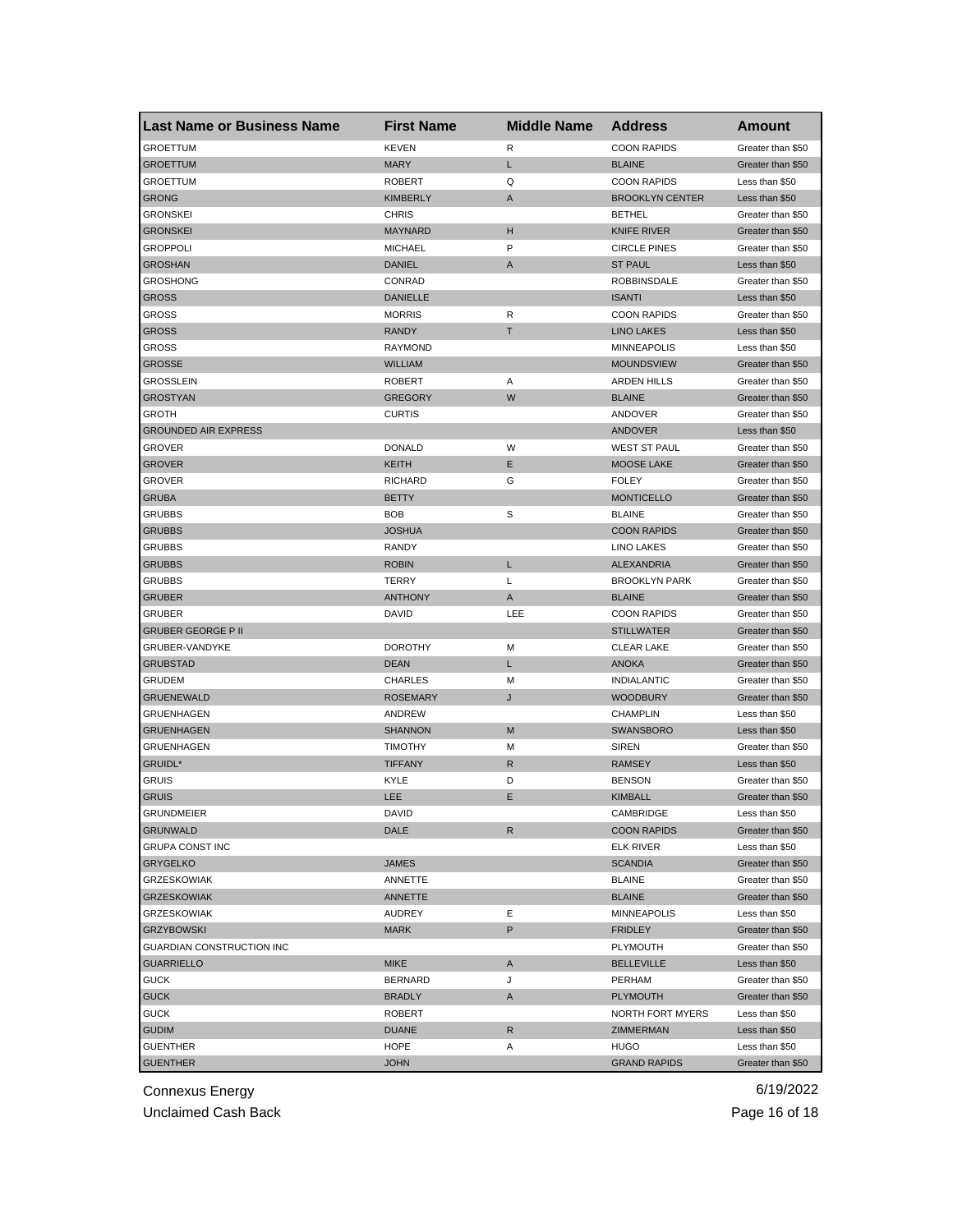| <b>Last Name or Business Name</b> | <b>First Name</b> | <b>Middle Name</b> | <b>Address</b>         | Amount            |
|-----------------------------------|-------------------|--------------------|------------------------|-------------------|
| <b>GROETTUM</b>                   | <b>KEVEN</b>      | R                  | <b>COON RAPIDS</b>     | Greater than \$50 |
| <b>GROETTUM</b>                   | <b>MARY</b>       | L.                 | <b>BLAINE</b>          | Greater than \$50 |
| <b>GROETTUM</b>                   | <b>ROBERT</b>     | Q                  | <b>COON RAPIDS</b>     | Less than \$50    |
| <b>GRONG</b>                      | <b>KIMBERLY</b>   | Α                  | <b>BROOKLYN CENTER</b> | Less than \$50    |
| <b>GRONSKEI</b>                   | <b>CHRIS</b>      |                    | <b>BETHEL</b>          | Greater than \$50 |
| <b>GRONSKEI</b>                   | <b>MAYNARD</b>    | н                  | <b>KNIFE RIVER</b>     | Greater than \$50 |
| <b>GROPPOLI</b>                   | <b>MICHAEL</b>    | P                  | <b>CIRCLE PINES</b>    | Greater than \$50 |
| <b>GROSHAN</b>                    | <b>DANIEL</b>     | A                  | <b>ST PAUL</b>         | Less than \$50    |
| <b>GROSHONG</b>                   | CONRAD            |                    | <b>ROBBINSDALE</b>     | Greater than \$50 |
| <b>GROSS</b>                      | DANIELLE          |                    | <b>ISANTI</b>          | Less than \$50    |
| GROSS                             | <b>MORRIS</b>     | R                  | <b>COON RAPIDS</b>     | Greater than \$50 |
| <b>GROSS</b>                      | <b>RANDY</b>      | T                  | <b>LINO LAKES</b>      | Less than \$50    |
| GROSS                             | <b>RAYMOND</b>    |                    | <b>MINNEAPOLIS</b>     | Less than \$50    |
| <b>GROSSE</b>                     | <b>WILLIAM</b>    |                    | <b>MOUNDSVIEW</b>      | Greater than \$50 |
| GROSSLEIN                         | <b>ROBERT</b>     | Α                  | <b>ARDEN HILLS</b>     | Greater than \$50 |
| <b>GROSTYAN</b>                   | <b>GREGORY</b>    | W                  | <b>BLAINE</b>          | Greater than \$50 |
| GROTH                             | <b>CURTIS</b>     |                    | ANDOVER                | Greater than \$50 |
| <b>GROUNDED AIR EXPRESS</b>       |                   |                    | <b>ANDOVER</b>         | Less than \$50    |
| GROVER                            | <b>DONALD</b>     | W                  | WEST ST PAUL           | Greater than \$50 |
| <b>GROVER</b>                     | KEITH             | Е                  | <b>MOOSE LAKE</b>      | Greater than \$50 |
| <b>GROVER</b>                     | <b>RICHARD</b>    | G                  | <b>FOLEY</b>           | Greater than \$50 |
| <b>GRUBA</b>                      | <b>BETTY</b>      |                    | <b>MONTICELLO</b>      | Greater than \$50 |
| <b>GRUBBS</b>                     | <b>BOB</b>        | S                  | <b>BLAINE</b>          | Greater than \$50 |
| <b>GRUBBS</b>                     | <b>JOSHUA</b>     |                    | <b>COON RAPIDS</b>     | Greater than \$50 |
| <b>GRUBBS</b>                     | RANDY             |                    | LINO LAKES             | Greater than \$50 |
| <b>GRUBBS</b>                     | <b>ROBIN</b>      | L                  | <b>ALEXANDRIA</b>      | Greater than \$50 |
| <b>GRUBBS</b>                     | TERRY             | L                  | <b>BROOKLYN PARK</b>   | Greater than \$50 |
| <b>GRUBER</b>                     | <b>ANTHONY</b>    | Α                  | <b>BLAINE</b>          | Greater than \$50 |
| GRUBER                            | DAVID             | LEE                | <b>COON RAPIDS</b>     | Greater than \$50 |
| <b>GRUBER GEORGE P II</b>         |                   |                    | <b>STILLWATER</b>      | Greater than \$50 |
| GRUBER-VANDYKE                    | <b>DOROTHY</b>    | М                  | <b>CLEAR LAKE</b>      | Greater than \$50 |
| <b>GRUBSTAD</b>                   | <b>DEAN</b>       | L                  | <b>ANOKA</b>           | Greater than \$50 |
| GRUDEM                            | <b>CHARLES</b>    | м                  | <b>INDIALANTIC</b>     | Greater than \$50 |
| <b>GRUENEWALD</b>                 | <b>ROSEMARY</b>   | J                  | <b>WOODBURY</b>        | Greater than \$50 |
| <b>GRUENHAGEN</b>                 | ANDREW            |                    | <b>CHAMPLIN</b>        | Less than \$50    |
| <b>GRUENHAGEN</b>                 | <b>SHANNON</b>    | M                  | <b>SWANSBORO</b>       | Less than \$50    |
| <b>GRUENHAGEN</b>                 | <b>TIMOTHY</b>    | М                  | <b>SIREN</b>           | Greater than \$50 |
| GRUIDL*                           | <b>TIFFANY</b>    | R                  | <b>RAMSEY</b>          | Less than \$50    |
| <b>GRUIS</b>                      | KYLE              | D                  | <b>BENSON</b>          | Greater than \$50 |
| <b>GRUIS</b>                      | LEE               | Е                  | <b>KIMBALL</b>         | Greater than \$50 |
| <b>GRUNDMEIER</b>                 | DAVID             |                    | CAMBRIDGE              | Less than \$50    |
| <b>GRUNWALD</b>                   | DALE              | R                  | <b>COON RAPIDS</b>     | Greater than \$50 |
| <b>GRUPA CONST INC</b>            |                   |                    | <b>ELK RIVER</b>       | Less than \$50    |
| <b>GRYGELKO</b>                   | <b>JAMES</b>      |                    | <b>SCANDIA</b>         | Greater than \$50 |
| <b>GRZESKOWIAK</b>                | ANNETTE           |                    | <b>BLAINE</b>          | Greater than \$50 |
| <b>GRZESKOWIAK</b>                | <b>ANNETTE</b>    |                    | <b>BLAINE</b>          | Greater than \$50 |
| <b>GRZESKOWIAK</b>                | <b>AUDREY</b>     | Е                  | <b>MINNEAPOLIS</b>     |                   |
|                                   |                   |                    |                        | Less than \$50    |
| <b>GRZYBOWSKI</b>                 | <b>MARK</b>       | P                  | <b>FRIDLEY</b>         | Greater than \$50 |
| GUARDIAN CONSTRUCTION INC         |                   |                    | PLYMOUTH               | Greater than \$50 |
| <b>GUARRIELLO</b>                 | <b>MIKE</b>       | A                  | <b>BELLEVILLE</b>      | Less than \$50    |
| <b>GUCK</b>                       | <b>BERNARD</b>    | J                  | PERHAM                 | Greater than \$50 |
| <b>GUCK</b>                       | <b>BRADLY</b>     | A                  | <b>PLYMOUTH</b>        | Greater than \$50 |
| <b>GUCK</b>                       | <b>ROBERT</b>     |                    | NORTH FORT MYERS       | Less than \$50    |
| <b>GUDIM</b>                      | <b>DUANE</b>      | R                  | ZIMMERMAN              | Less than \$50    |
| <b>GUENTHER</b>                   | HOPE              | Α                  | <b>HUGO</b>            | Less than \$50    |
| <b>GUENTHER</b>                   | <b>JOHN</b>       |                    | <b>GRAND RAPIDS</b>    | Greater than \$50 |

Unclaimed Cash Back **Page 16 of 18**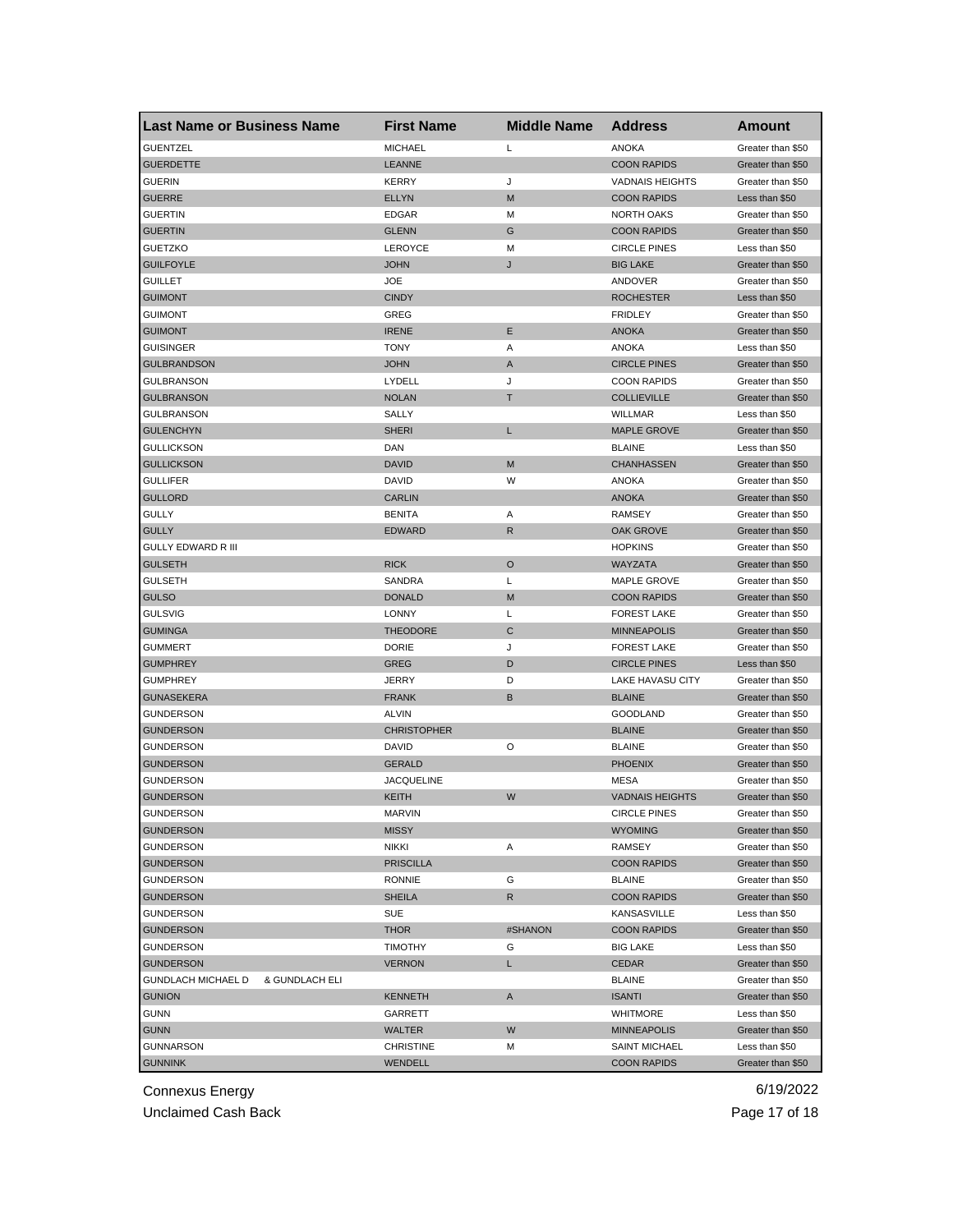| <b>Last Name or Business Name</b>           | <b>First Name</b>  | <b>Middle Name</b> | <b>Address</b>         | Amount            |
|---------------------------------------------|--------------------|--------------------|------------------------|-------------------|
| <b>GUENTZEL</b>                             | <b>MICHAEL</b>     | Г                  | <b>ANOKA</b>           | Greater than \$50 |
| <b>GUERDETTE</b>                            | LEANNE             |                    | <b>COON RAPIDS</b>     | Greater than \$50 |
| <b>GUERIN</b>                               | <b>KERRY</b>       | J                  | <b>VADNAIS HEIGHTS</b> | Greater than \$50 |
| <b>GUERRE</b>                               | <b>ELLYN</b>       | M                  | <b>COON RAPIDS</b>     | Less than \$50    |
| <b>GUERTIN</b>                              | <b>EDGAR</b>       | M                  | <b>NORTH OAKS</b>      | Greater than \$50 |
| <b>GUERTIN</b>                              | <b>GLENN</b>       | G                  | <b>COON RAPIDS</b>     | Greater than \$50 |
| <b>GUETZKO</b>                              | LEROYCE            | M                  | <b>CIRCLE PINES</b>    | Less than \$50    |
| <b>GUILFOYLE</b>                            | JOHN               | J                  | <b>BIG LAKE</b>        | Greater than \$50 |
| <b>GUILLET</b>                              | JOE                |                    | ANDOVER                | Greater than \$50 |
| <b>GUIMONT</b>                              | <b>CINDY</b>       |                    | <b>ROCHESTER</b>       | Less than \$50    |
| <b>GUIMONT</b>                              | GREG               |                    | <b>FRIDLEY</b>         | Greater than \$50 |
| <b>GUIMONT</b>                              | <b>IRENE</b>       | Ε                  | <b>ANOKA</b>           | Greater than \$50 |
| <b>GUISINGER</b>                            | <b>TONY</b>        | Α                  | ANOKA                  | Less than \$50    |
| <b>GULBRANDSON</b>                          | <b>JOHN</b>        | A                  | <b>CIRCLE PINES</b>    | Greater than \$50 |
| <b>GULBRANSON</b>                           | LYDELL             | J                  | <b>COON RAPIDS</b>     | Greater than \$50 |
| <b>GULBRANSON</b>                           | <b>NOLAN</b>       | т                  | <b>COLLIEVILLE</b>     | Greater than \$50 |
| <b>GULBRANSON</b>                           | SALLY              |                    | <b>WILLMAR</b>         | Less than \$50    |
| <b>GULENCHYN</b>                            | <b>SHERI</b>       | L                  | <b>MAPLE GROVE</b>     | Greater than \$50 |
| <b>GULLICKSON</b>                           | DAN                |                    | <b>BLAINE</b>          | Less than \$50    |
| <b>GULLICKSON</b>                           | <b>DAVID</b>       | M                  | <b>CHANHASSEN</b>      | Greater than \$50 |
| <b>GULLIFER</b>                             | <b>DAVID</b>       | W                  | <b>ANOKA</b>           | Greater than \$50 |
| <b>GULLORD</b>                              | <b>CARLIN</b>      |                    | <b>ANOKA</b>           | Greater than \$50 |
| <b>GULLY</b>                                | <b>BENITA</b>      | Α                  | <b>RAMSEY</b>          | Greater than \$50 |
| <b>GULLY</b>                                | <b>EDWARD</b>      | R                  | OAK GROVE              | Greater than \$50 |
| <b>GULLY EDWARD R III</b>                   |                    |                    | <b>HOPKINS</b>         | Greater than \$50 |
| <b>GULSETH</b>                              | <b>RICK</b>        | O                  | <b>WAYZATA</b>         | Greater than \$50 |
| <b>GULSETH</b>                              | SANDRA             | Г                  | MAPLE GROVE            | Greater than \$50 |
| <b>GULSO</b>                                | <b>DONALD</b>      | M                  | <b>COON RAPIDS</b>     | Greater than \$50 |
| <b>GULSVIG</b>                              | LONNY              | Г                  | <b>FOREST LAKE</b>     | Greater than \$50 |
| <b>GUMINGA</b>                              | <b>THEODORE</b>    | C                  | <b>MINNEAPOLIS</b>     | Greater than \$50 |
| <b>GUMMERT</b>                              | <b>DORIE</b>       | J                  | <b>FOREST LAKE</b>     | Greater than \$50 |
| <b>GUMPHREY</b>                             | GREG               | D                  | <b>CIRCLE PINES</b>    | Less than \$50    |
| <b>GUMPHREY</b>                             | JERRY              | D                  | LAKE HAVASU CITY       | Greater than \$50 |
| <b>GUNASEKERA</b>                           | <b>FRANK</b>       | B                  | <b>BLAINE</b>          | Greater than \$50 |
| <b>GUNDERSON</b>                            | <b>ALVIN</b>       |                    | <b>GOODLAND</b>        | Greater than \$50 |
| <b>GUNDERSON</b>                            | <b>CHRISTOPHER</b> |                    | <b>BLAINE</b>          | Greater than \$50 |
| <b>GUNDERSON</b>                            | <b>DAVID</b>       | O                  | <b>BLAINE</b>          | Greater than \$50 |
| <b>GUNDERSON</b>                            | <b>GERALD</b>      |                    | <b>PHOENIX</b>         | Greater than \$50 |
| <b>GUNDERSON</b>                            | JACQUELINE         |                    | MESA                   | Greater than \$50 |
| <b>GUNDERSON</b>                            | KEITH              | W                  | <b>VADNAIS HEIGHTS</b> | Greater than \$50 |
| GUNDERSON                                   | MARVIN             |                    | <b>CIRCLE PINES</b>    | Greater than \$50 |
| <b>GUNDERSON</b>                            | <b>MISSY</b>       |                    | <b>WYOMING</b>         | Greater than \$50 |
| <b>GUNDERSON</b>                            | <b>NIKKI</b>       | Α                  | RAMSEY                 | Greater than \$50 |
| <b>GUNDERSON</b>                            | <b>PRISCILLA</b>   |                    | <b>COON RAPIDS</b>     | Greater than \$50 |
| <b>GUNDERSON</b>                            | <b>RONNIE</b>      | G                  | <b>BLAINE</b>          | Greater than \$50 |
| <b>GUNDERSON</b>                            | <b>SHEILA</b>      | R                  | <b>COON RAPIDS</b>     | Greater than \$50 |
| <b>GUNDERSON</b>                            | SUE                |                    | KANSASVILLE            | Less than \$50    |
| <b>GUNDERSON</b>                            | <b>THOR</b>        | #SHANON            | <b>COON RAPIDS</b>     | Greater than \$50 |
| GUNDERSON                                   | <b>TIMOTHY</b>     | G                  | <b>BIG LAKE</b>        | Less than \$50    |
|                                             |                    |                    |                        |                   |
| <b>GUNDERSON</b>                            | <b>VERNON</b>      | L.                 | <b>CEDAR</b>           | Greater than \$50 |
| <b>GUNDLACH MICHAEL D</b><br>& GUNDLACH ELI |                    |                    | <b>BLAINE</b>          | Greater than \$50 |
| <b>GUNION</b>                               | KENNETH            | A                  | <b>ISANTI</b>          | Greater than \$50 |
| <b>GUNN</b>                                 | GARRETT            |                    | <b>WHITMORE</b>        | Less than \$50    |
| <b>GUNN</b>                                 | WALTER             | W                  | <b>MINNEAPOLIS</b>     | Greater than \$50 |
| <b>GUNNARSON</b>                            | <b>CHRISTINE</b>   | Μ                  | <b>SAINT MICHAEL</b>   | Less than \$50    |
| <b>GUNNINK</b>                              | WENDELL            |                    | <b>COON RAPIDS</b>     | Greater than \$50 |

Unclaimed Cash Back **Page 17 of 18**